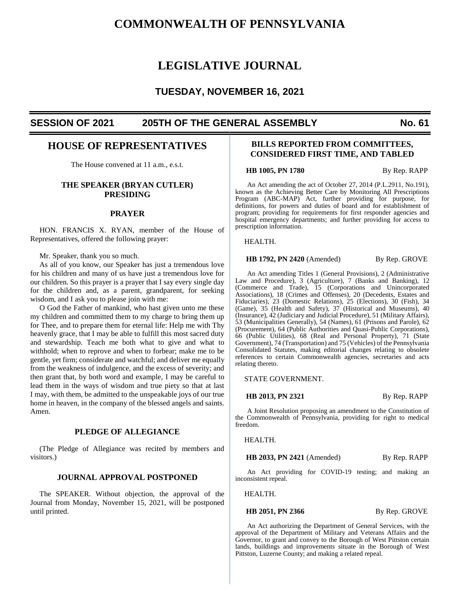# **COMMONWEALTH OF PENNSYLVANIA**

# **LEGISLATIVE JOURNAL**

# **TUESDAY, NOVEMBER 16, 2021**

# **SESSION OF 2021 205TH OF THE GENERAL ASSEMBLY No. 61**

# **HOUSE OF REPRESENTATIVES**

The House convened at 11 a.m., e.s.t.

# **THE SPEAKER (BRYAN CUTLER) PRESIDING**

#### **PRAYER**

HON. FRANCIS X. RYAN, member of the House of Representatives, offered the following prayer:

Mr. Speaker, thank you so much.

As all of you know, our Speaker has just a tremendous love for his children and many of us have just a tremendous love for our children. So this prayer is a prayer that I say every single day for the children and, as a parent, grandparent, for seeking wisdom, and I ask you to please join with me:

O God the Father of mankind, who hast given unto me these my children and committed them to my charge to bring them up for Thee, and to prepare them for eternal life: Help me with Thy heavenly grace, that I may be able to fulfill this most sacred duty and stewardship. Teach me both what to give and what to withhold; when to reprove and when to forbear; make me to be gentle, yet firm; considerate and watchful; and deliver me equally from the weakness of indulgence, and the excess of severity; and then grant that, by both word and example, I may be careful to lead them in the ways of wisdom and true piety so that at last I may, with them, be admitted to the unspeakable joys of our true home in heaven, in the company of the blessed angels and saints. Amen.

# **PLEDGE OF ALLEGIANCE**

(The Pledge of Allegiance was recited by members and visitors.)

## **JOURNAL APPROVAL POSTPONED**

The SPEAKER. Without objection, the approval of the Journal from Monday, November 15, 2021, will be postponed until printed.

# **BILLS REPORTED FROM COMMITTEES, CONSIDERED FIRST TIME, AND TABLED**

**HB 1005, PN 1780** By Rep. RAPP

An Act amending the act of October 27, 2014 (P.L.2911, No.191), known as the Achieving Better Care by Monitoring All Prescriptions Program (ABC-MAP) Act, further providing for purpose, for definitions, for powers and duties of board and for establishment of program; providing for requirements for first responder agencies and hospital emergency departments; and further providing for access to prescription information.

HEALTH.

#### **HB 1792, PN 2420** (Amended) By Rep. GROVE

An Act amending Titles 1 (General Provisions), 2 (Administrative Law and Procedure), 3 (Agriculture), 7 (Banks and Banking), 12 (Commerce and Trade), 15 (Corporations and Unincorporated Associations), 18 (Crimes and Offenses), 20 (Decedents, Estates and Fiduciaries), 23 (Domestic Relations), 25 (Elections), 30 (Fish), 34 (Game), 35 (Health and Safety), 37 (Historical and Museums), 40 (Insurance), 42 (Judiciary and Judicial Procedure), 51 (Military Affairs), 53 (Municipalities Generally), 54 (Names), 61 (Prisons and Parole), 62 (Procurement), 64 (Public Authorities and Quasi-Public Corporations), 66 (Public Utilities), 68 (Real and Personal Property), 71 (State Government), 74 (Transportation) and 75 (Vehicles) of the Pennsylvania Consolidated Statutes, making editorial changes relating to obsolete references to certain Commonwealth agencies, secretaries and acts relating thereto.

#### STATE GOVERNMENT.

#### **HB 2013, PN 2321** By Rep. RAPP

A Joint Resolution proposing an amendment to the Constitution of the Commonwealth of Pennsylvania, providing for right to medical freedom.

HEALTH.

**HB 2033, PN 2421** (Amended) By Rep. RAPP

An Act providing for COVID-19 testing; and making an inconsistent repeal.

HEALTH.

#### **HB 2051, PN 2366** By Rep. GROVE

An Act authorizing the Department of General Services, with the approval of the Department of Military and Veterans Affairs and the Governor, to grant and convey to the Borough of West Pittston certain lands, buildings and improvements situate in the Borough of West Pittston, Luzerne County; and making a related repeal.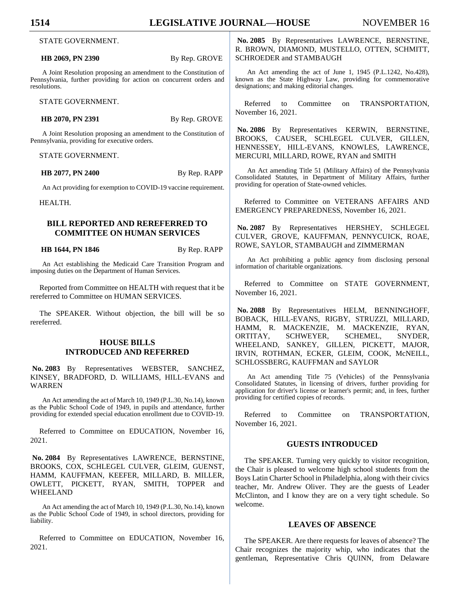#### **HB 2069, PN 2390** By Rep. GROVE

A Joint Resolution proposing an amendment to the Constitution of Pennsylvania, further providing for action on concurrent orders and resolutions.

STATE GOVERNMENT.

**HB 2070, PN 2391** By Rep. GROVE

A Joint Resolution proposing an amendment to the Constitution of Pennsylvania, providing for executive orders.

STATE GOVERNMENT.

**HB 2077, PN 2400** By Rep. RAPP

An Act providing for exemption to COVID-19 vaccine requirement.

HEALTH.

# **BILL REPORTED AND REREFERRED TO COMMITTEE ON HUMAN SERVICES**

**HB 1644, PN 1846** By Rep. RAPP

An Act establishing the Medicaid Care Transition Program and imposing duties on the Department of Human Services.

Reported from Committee on HEALTH with request that it be rereferred to Committee on HUMAN SERVICES.

The SPEAKER. Without objection, the bill will be so rereferred.

# **HOUSE BILLS INTRODUCED AND REFERRED**

**No. 2083** By Representatives WEBSTER, SANCHEZ, KINSEY, BRADFORD, D. WILLIAMS, HILL-EVANS and WARREN

An Act amending the act of March 10, 1949 (P.L.30, No.14), known as the Public School Code of 1949, in pupils and attendance, further providing for extended special education enrollment due to COVID-19.

Referred to Committee on EDUCATION, November 16, 2021.

**No. 2084** By Representatives LAWRENCE, BERNSTINE, BROOKS, COX, SCHLEGEL CULVER, GLEIM, GUENST, HAMM, KAUFFMAN, KEEFER, MILLARD, B. MILLER, OWLETT, PICKETT, RYAN, SMITH, TOPPER and WHEELAND

An Act amending the act of March 10, 1949 (P.L.30, No.14), known as the Public School Code of 1949, in school directors, providing for liability.

Referred to Committee on EDUCATION, November 16, 2021.

**No. 2085** By Representatives LAWRENCE, BERNSTINE, R. BROWN, DIAMOND, MUSTELLO, OTTEN, SCHMITT, SCHROEDER and STAMBAUGH

An Act amending the act of June 1, 1945 (P.L.1242, No.428), known as the State Highway Law, providing for commemorative designations; and making editorial changes.

Referred to Committee on TRANSPORTATION, November 16, 2021.

**No. 2086** By Representatives KERWIN, BERNSTINE, BROOKS, CAUSER, SCHLEGEL CULVER, GILLEN, HENNESSEY, HILL-EVANS, KNOWLES, LAWRENCE, MERCURI, MILLARD, ROWE, RYAN and SMITH

An Act amending Title 51 (Military Affairs) of the Pennsylvania Consolidated Statutes, in Department of Military Affairs, further providing for operation of State-owned vehicles.

Referred to Committee on VETERANS AFFAIRS AND EMERGENCY PREPAREDNESS, November 16, 2021.

**No. 2087** By Representatives HERSHEY, SCHLEGEL CULVER, GROVE, KAUFFMAN, PENNYCUICK, ROAE, ROWE, SAYLOR, STAMBAUGH and ZIMMERMAN

An Act prohibiting a public agency from disclosing personal information of charitable organizations.

Referred to Committee on STATE GOVERNMENT, November 16, 2021.

**No. 2088** By Representatives HELM, BENNINGHOFF, BOBACK, HILL-EVANS, RIGBY, STRUZZI, MILLARD, HAMM, R. MACKENZIE, M. MACKENZIE, RYAN, ORTITAY, SCHWEYER, SCHEMEL, SNYDER, WHEELAND, SANKEY, GILLEN, PICKETT, MAJOR, IRVIN, ROTHMAN, ECKER, GLEIM, COOK, McNEILL, SCHLOSSBERG, KAUFFMAN and SAYLOR

An Act amending Title 75 (Vehicles) of the Pennsylvania Consolidated Statutes, in licensing of drivers, further providing for application for driver's license or learner's permit; and, in fees, further providing for certified copies of records.

Referred to Committee on TRANSPORTATION, November 16, 2021.

## **GUESTS INTRODUCED**

The SPEAKER. Turning very quickly to visitor recognition, the Chair is pleased to welcome high school students from the Boys Latin Charter School in Philadelphia, along with their civics teacher, Mr. Andrew Oliver. They are the guests of Leader McClinton, and I know they are on a very tight schedule. So welcome.

## **LEAVES OF ABSENCE**

The SPEAKER. Are there requests for leaves of absence? The Chair recognizes the majority whip, who indicates that the gentleman, Representative Chris QUINN, from Delaware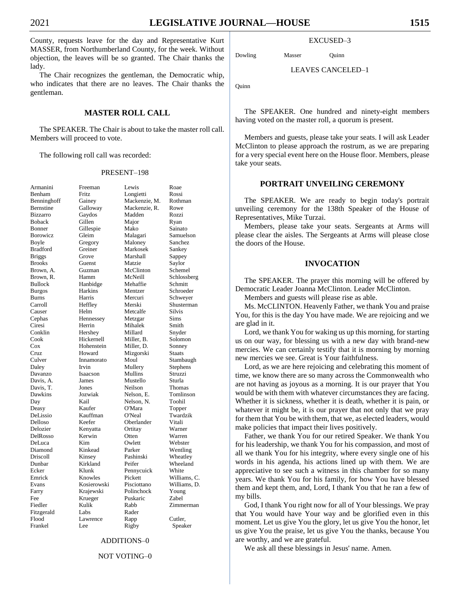County, requests leave for the day and Representative Kurt MASSER, from Northumberland County, for the week. Without objection, the leaves will be so granted. The Chair thanks the lady.

The Chair recognizes the gentleman, the Democratic whip, who indicates that there are no leaves. The Chair thanks the gentleman.

# **MASTER ROLL CALL**

The SPEAKER. The Chair is about to take the master roll call. Members will proceed to vote.

The following roll call was recorded:

#### PRESENT–198

| Armanini        | Freeman     | Lewis         | Roae         |
|-----------------|-------------|---------------|--------------|
| Benham          | Fritz       | Longietti     | Rossi        |
| Benninghoff     | Gainey      | Mackenzie, M. | Rothman      |
| Bernstine       | Galloway    | Mackenzie, R. | Rowe         |
| <b>Bizzarro</b> | Gaydos      | Madden        | Rozzi        |
| <b>Boback</b>   | Gillen      | Major         | Ryan         |
| Bonner          | Gillespie   | Mako          | Sainato      |
| Borowicz        | Gleim       | Malagari      | Samuelson    |
| Boyle           | Gregory     | Maloney       | Sanchez      |
| <b>Bradford</b> | Greiner     | Markosek      | Sankey       |
| <b>Briggs</b>   | Grove       | Marshall      | Sappey       |
| <b>Brooks</b>   | Guenst      | Matzie        | Saylor       |
| Brown, A.       | Guzman      | McClinton     | Schemel      |
| Brown, R.       | Hamm        | McNeill       | Schlossberg  |
| <b>Bullock</b>  | Hanbidge    | Mehaffie      | Schmitt      |
| <b>Burgos</b>   | Harkins     | Mentzer       | Schroeder    |
| Burns           | Harris      | Mercuri       | Schweyer     |
| Carroll         | Heffley     | Merski        | Shusterman   |
| Causer          | Helm        | Metcalfe      | Silvis       |
| Cephas          | Hennessey   | Metzgar       | Sims         |
| Ciresi          | Herrin      | Mihalek       | Smith        |
| Conklin         | Hershey     | Millard       | Snyder       |
| Cook            | Hickernell  | Miller, B.    | Solomon      |
| $\cos$          | Hohenstein  | Miller, D.    | Sonney       |
| Cruz            | Howard      | Mizgorski     | Staats       |
| Culver          | Innamorato  | Moul          | Stambaugh    |
| Daley           | Irvin       | Mullery       | Stephens     |
| Davanzo         | Isaacson    | Mullins       | Struzzi      |
| Davis, A.       | James       | Mustello      | Sturla       |
| Davis, T.       | Jones       | Neilson       | Thomas       |
| Dawkins         | Jozwiak     | Nelson, E.    | Tomlinson    |
| Day             | Kail        | Nelson, N.    | Toohil       |
| Deasy           | Kaufer      | O'Mara        | Topper       |
| DeLissio        | Kauffman    | O'Neal        | Twardzik     |
| Delloso         | Keefer      | Oberlander    | Vitali       |
| Delozier        | Kenyatta    | Ortitay       | Warner       |
| DelRosso        | Kerwin      | Otten         | Warren       |
| DeLuca          | Kim         | Owlett        | Webster      |
| Diamond         | Kinkead     | Parker        | Wentling     |
| Driscoll        | Kinsey      | Pashinski     | Wheatley     |
| Dunbar          | Kirkland    | Peifer        | Wheeland     |
| Ecker           | Klunk       | Pennycuick    | White        |
| Emrick          | Knowles     | Pickett       | Williams, C. |
| Evans           | Kosierowski | Pisciottano   | Williams, D. |
| Farry           | Krajewski   | Polinchock    | Young        |
| Fee             | Krueger     | Puskaric      | Zabel        |
| Fiedler         | Kulik       | Rabb          | Zimmerman    |
| Fitzgerald      | Labs        | Rader         |              |
| Flood           | Lawrence    | Rapp          | Cutler,      |
| Frankel         | Lee         | Rigby         | Speaker      |
|                 |             |               |              |

## ADDITIONS–0

#### NOT VOTING–0

## EXCUSED–3

Dowling Masser Quinn

#### LEAVES CANCELED–1

Quinn

The SPEAKER. One hundred and ninety-eight members having voted on the master roll, a quorum is present.

Members and guests, please take your seats. I will ask Leader McClinton to please approach the rostrum, as we are preparing for a very special event here on the House floor. Members, please take your seats.

#### **PORTRAIT UNVEILING CEREMONY**

The SPEAKER. We are ready to begin today's portrait unveiling ceremony for the 138th Speaker of the House of Representatives, Mike Turzai.

Members, please take your seats. Sergeants at Arms will please clear the aisles. The Sergeants at Arms will please close the doors of the House.

#### **INVOCATION**

The SPEAKER. The prayer this morning will be offered by Democratic Leader Joanna McClinton. Leader McClinton.

Members and guests will please rise as able.

Ms. McCLINTON. Heavenly Father, we thank You and praise You, for this is the day You have made. We are rejoicing and we are glad in it.

Lord, we thank You for waking us up this morning, for starting us on our way, for blessing us with a new day with brand-new mercies. We can certainly testify that it is morning by morning new mercies we see. Great is Your faithfulness.

Lord, as we are here rejoicing and celebrating this moment of time, we know there are so many across the Commonwealth who are not having as joyous as a morning. It is our prayer that You would be with them with whatever circumstances they are facing. Whether it is sickness, whether it is death, whether it is pain, or whatever it might be, it is our prayer that not only that we pray for them that You be with them, that we, as elected leaders, would make policies that impact their lives positively.

Father, we thank You for our retired Speaker. We thank You for his leadership, we thank You for his compassion, and most of all we thank You for his integrity, where every single one of his words in his agenda, his actions lined up with them. We are appreciative to see such a witness in this chamber for so many years. We thank You for his family, for how You have blessed them and kept them, and, Lord, I thank You that he ran a few of my bills.

God, I thank You right now for all of Your blessings. We pray that You would have Your way and be glorified even in this moment. Let us give You the glory, let us give You the honor, let us give You the praise, let us give You the thanks, because You are worthy, and we are grateful.

We ask all these blessings in Jesus' name. Amen.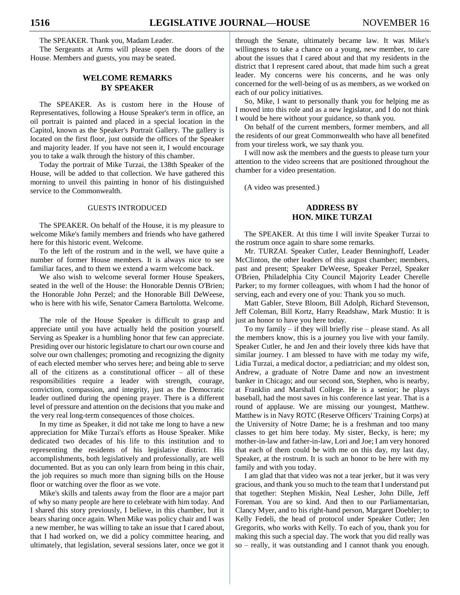The SPEAKER. Thank you, Madam Leader.

The Sergeants at Arms will please open the doors of the House. Members and guests, you may be seated.

# **WELCOME REMARKS BY SPEAKER**

The SPEAKER. As is custom here in the House of Representatives, following a House Speaker's term in office, an oil portrait is painted and placed in a special location in the Capitol, known as the Speaker's Portrait Gallery. The gallery is located on the first floor, just outside the offices of the Speaker and majority leader. If you have not seen it, I would encourage you to take a walk through the history of this chamber.

Today the portrait of Mike Turzai, the 138th Speaker of the House, will be added to that collection. We have gathered this morning to unveil this painting in honor of his distinguished service to the Commonwealth.

#### GUESTS INTRODUCED

The SPEAKER. On behalf of the House, it is my pleasure to welcome Mike's family members and friends who have gathered here for this historic event. Welcome.

To the left of the rostrum and in the well, we have quite a number of former House members. It is always nice to see familiar faces, and to them we extend a warm welcome back.

We also wish to welcome several former House Speakers, seated in the well of the House: the Honorable Dennis O'Brien; the Honorable John Perzel; and the Honorable Bill DeWeese, who is here with his wife, Senator Camera Bartolotta. Welcome.

The role of the House Speaker is difficult to grasp and appreciate until you have actually held the position yourself. Serving as Speaker is a humbling honor that few can appreciate. Presiding over our historic legislature to chart our own course and solve our own challenges; promoting and recognizing the dignity of each elected member who serves here; and being able to serve all of the citizens as a constitutional officer – all of these responsibilities require a leader with strength, courage, conviction, compassion, and integrity, just as the Democratic leader outlined during the opening prayer. There is a different level of pressure and attention on the decisions that you make and the very real long-term consequences of those choices.

In my time as Speaker, it did not take me long to have a new appreciation for Mike Turzai's efforts as House Speaker. Mike dedicated two decades of his life to this institution and to representing the residents of his legislative district. His accomplishments, both legislatively and professionally, are well documented. But as you can only learn from being in this chair, the job requires so much more than signing bills on the House floor or watching over the floor as we vote.

Mike's skills and talents away from the floor are a major part of why so many people are here to celebrate with him today. And I shared this story previously, I believe, in this chamber, but it bears sharing once again. When Mike was policy chair and I was a new member, he was willing to take an issue that I cared about, that I had worked on, we did a policy committee hearing, and ultimately, that legislation, several sessions later, once we got it

through the Senate, ultimately became law. It was Mike's willingness to take a chance on a young, new member, to care about the issues that I cared about and that my residents in the district that I represent cared about, that made him such a great leader. My concerns were his concerns, and he was only concerned for the well-being of us as members, as we worked on each of our policy initiatives.

So, Mike, I want to personally thank you for helping me as I moved into this role and as a new legislator, and I do not think I would be here without your guidance, so thank you.

On behalf of the current members, former members, and all the residents of our great Commonwealth who have all benefited from your tireless work, we say thank you.

I will now ask the members and the guests to please turn your attention to the video screens that are positioned throughout the chamber for a video presentation.

(A video was presented.)

# **ADDRESS BY HON. MIKE TURZAI**

The SPEAKER. At this time I will invite Speaker Turzai to the rostrum once again to share some remarks.

Mr. TURZAI. Speaker Cutler, Leader Benninghoff, Leader McClinton, the other leaders of this august chamber; members, past and present; Speaker DeWeese, Speaker Perzel, Speaker O'Brien, Philadelphia City Council Majority Leader Cherelle Parker; to my former colleagues, with whom I had the honor of serving, each and every one of you: Thank you so much.

Matt Gabler, Steve Bloom, Bill Adolph, Richard Stevenson, Jeff Coleman, Bill Kortz, Harry Readshaw, Mark Mustio: It is just an honor to have you here today.

To my family – if they will briefly rise – please stand. As all the members know, this is a journey you live with your family. Speaker Cutler, he and Jen and their lovely three kids have that similar journey. I am blessed to have with me today my wife, Lidia Turzai, a medical doctor, a pediatrician; and my oldest son, Andrew, a graduate of Notre Dame and now an investment banker in Chicago; and our second son, Stephen, who is nearby, at Franklin and Marshall College. He is a senior; he plays baseball, had the most saves in his conference last year. That is a round of applause. We are missing our youngest, Matthew. Matthew is in Navy ROTC (Reserve Officers' Training Corps) at the University of Notre Dame; he is a freshman and too many classes to get him here today. My sister, Becky, is here; my mother-in-law and father-in-law, Lori and Joe; I am very honored that each of them could be with me on this day, my last day, Speaker, at the rostrum. It is such an honor to be here with my family and with you today.

I am glad that that video was not a tear jerker, but it was very gracious, and thank you so much to the team that I understand put that together: Stephen Miskin, Neal Lesher, John Dille, Jeff Foreman. You are so kind. And then to our Parliamentarian, Clancy Myer, and to his right-hand person, Margaret Doebler; to Kelly Fedeli, the head of protocol under Speaker Cutler; Jen Gregorits, who works with Kelly. To each of you, thank you for making this such a special day. The work that you did really was so – really, it was outstanding and I cannot thank you enough.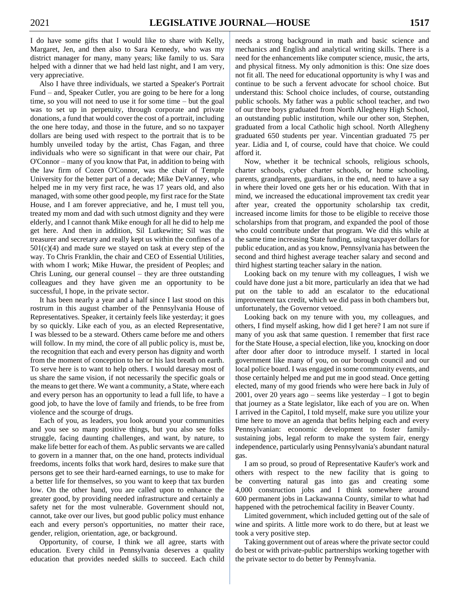I do have some gifts that I would like to share with Kelly, Margaret, Jen, and then also to Sara Kennedy, who was my district manager for many, many years; like family to us. Sara helped with a dinner that we had held last night, and I am very, very appreciative.

Also I have three individuals, we started a Speaker's Portrait Fund – and, Speaker Cutler, you are going to be here for a long time, so you will not need to use it for some time – but the goal was to set up in perpetuity, through corporate and private donations, a fund that would cover the cost of a portrait, including the one here today, and those in the future, and so no taxpayer dollars are being used with respect to the portrait that is to be humbly unveiled today by the artist, Chas Fagan, and three individuals who were so significant in that were our chair, Pat O'Connor – many of you know that Pat, in addition to being with the law firm of Cozen O'Connor, was the chair of Temple University for the better part of a decade; Mike DeVanney, who helped me in my very first race, he was 17 years old, and also managed, with some other good people, my first race for the State House, and I am forever appreciative, and he, I must tell you, treated my mom and dad with such utmost dignity and they were elderly, and I cannot thank Mike enough for all he did to help me get here. And then in addition, Sil Lutkewitte; Sil was the treasurer and secretary and really kept us within the confines of a  $501(c)(4)$  and made sure we stayed on task at every step of the way. To Chris Franklin, the chair and CEO of Essential Utilities, with whom I work; Mike Huwar, the president of Peoples; and Chris Luning, our general counsel – they are three outstanding colleagues and they have given me an opportunity to be successful, I hope, in the private sector.

It has been nearly a year and a half since I last stood on this rostrum in this august chamber of the Pennsylvania House of Representatives. Speaker, it certainly feels like yesterday; it goes by so quickly. Like each of you, as an elected Representative, I was blessed to be a steward. Others came before me and others will follow. In my mind, the core of all public policy is, must be, the recognition that each and every person has dignity and worth from the moment of conception to her or his last breath on earth. To serve here is to want to help others. I would daresay most of us share the same vision, if not necessarily the specific goals or the means to get there. We want a community, a State, where each and every person has an opportunity to lead a full life, to have a good job, to have the love of family and friends, to be free from violence and the scourge of drugs.

Each of you, as leaders, you look around your communities and you see so many positive things, but you also see folks struggle, facing daunting challenges, and want, by nature, to make life better for each of them. As public servants we are called to govern in a manner that, on the one hand, protects individual freedoms, incents folks that work hard, desires to make sure that persons get to see their hard-earned earnings, to use to make for a better life for themselves, so you want to keep that tax burden low. On the other hand, you are called upon to enhance the greater good, by providing needed infrastructure and certainly a safety net for the most vulnerable. Government should not, cannot, take over our lives, but good public policy must enhance each and every person's opportunities, no matter their race, gender, religion, orientation, age, or background.

Opportunity, of course, I think we all agree, starts with education. Every child in Pennsylvania deserves a quality education that provides needed skills to succeed. Each child needs a strong background in math and basic science and mechanics and English and analytical writing skills. There is a need for the enhancements like computer science, music, the arts, and physical fitness. My only admonition is this: One size does not fit all. The need for educational opportunity is why I was and continue to be such a fervent advocate for school choice. But understand this: School choice includes, of course, outstanding public schools. My father was a public school teacher, and two of our three boys graduated from North Allegheny High School, an outstanding public institution, while our other son, Stephen, graduated from a local Catholic high school. North Allegheny graduated 650 students per year. Vincentian graduated 75 per year. Lidia and I, of course, could have that choice. We could afford it.

Now, whether it be technical schools, religious schools, charter schools, cyber charter schools, or home schooling, parents, grandparents, guardians, in the end, need to have a say in where their loved one gets her or his education. With that in mind, we increased the educational improvement tax credit year after year, created the opportunity scholarship tax credit, increased income limits for those to be eligible to receive those scholarships from that program, and expanded the pool of those who could contribute under that program. We did this while at the same time increasing State funding, using taxpayer dollars for public education, and as you know, Pennsylvania has between the second and third highest average teacher salary and second and third highest starting teacher salary in the nation.

Looking back on my tenure with my colleagues, I wish we could have done just a bit more, particularly an idea that we had put on the table to add an escalator to the educational improvement tax credit, which we did pass in both chambers but, unfortunately, the Governor vetoed.

Looking back on my tenure with you, my colleagues, and others, I find myself asking, how did I get here? I am not sure if many of you ask that same question. I remember that first race for the State House, a special election, like you, knocking on door after door after door to introduce myself. I started in local government like many of you, on our borough council and our local police board. I was engaged in some community events, and those certainly helped me and put me in good stead. Once getting elected, many of my good friends who were here back in July of 2001, over 20 years ago – seems like yesterday – I got to begin that journey as a State legislator, like each of you are on. When I arrived in the Capitol, I told myself, make sure you utilize your time here to move an agenda that befits helping each and every Pennsylvanian: economic development to foster familysustaining jobs, legal reform to make the system fair, energy independence, particularly using Pennsylvania's abundant natural gas.

I am so proud, so proud of Representative Kaufer's work and others with respect to the new facility that is going to be converting natural gas into gas and creating some 4,000 construction jobs and I think somewhere around 600 permanent jobs in Lackawanna County, similar to what had happened with the petrochemical facility in Beaver County.

Limited government, which included getting out of the sale of wine and spirits. A little more work to do there, but at least we took a very positive step.

Taking government out of areas where the private sector could do best or with private-public partnerships working together with the private sector to do better by Pennsylvania.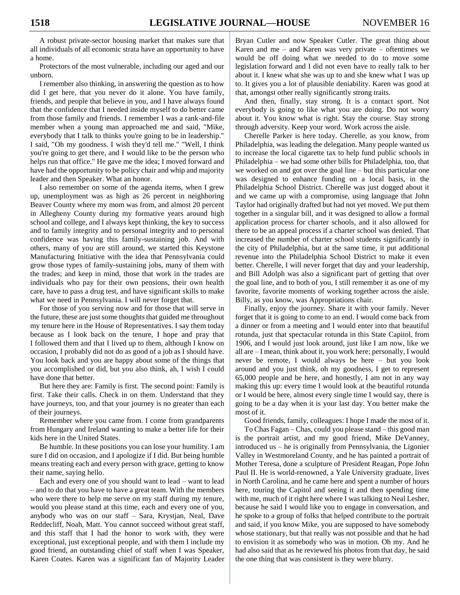A robust private-sector housing market that makes sure that all individuals of all economic strata have an opportunity to have a home.

Protectors of the most vulnerable, including our aged and our unborn.

I remember also thinking, in answering the question as to how did I get here, that you never do it alone. You have family, friends, and people that believe in you, and I have always found that the confidence that I needed inside myself to do better came from those family and friends. I remember I was a rank-and-file member when a young man approached me and said, "Mike, everybody that I talk to thinks you're going to be in leadership." I said, "Oh my goodness. I wish they'd tell me." "Well, I think you're going to get there, and I would like to be the person who helps run that office." He gave me the idea; I moved forward and have had the opportunity to be policy chair and whip and majority leader and then Speaker. What an honor.

I also remember on some of the agenda items, when I grew up, unemployment was as high as 26 percent in neighboring Beaver County where my mom was from, and almost 20 percent in Allegheny County during my formative years around high school and college, and I always kept thinking, the key to success and to family integrity and to personal integrity and to personal confidence was having this family-sustaining job. And with others, many of you are still around, we started this Keystone Manufacturing Initiative with the idea that Pennsylvania could grow those types of family-sustaining jobs, many of them with the trades; and keep in mind, those that work in the trades are individuals who pay for their own pensions, their own health care, have to pass a drug test, and have significant skills to make what we need in Pennsylvania. I will never forget that.

For those of you serving now and for those that will serve in the future, these are just some thoughts that guided me throughout my tenure here in the House of Representatives. I say them today because as I look back on the tenure, I hope and pray that I followed them and that I lived up to them, although I know on occasion, I probably did not do as good of a job as I should have. You look back and you are happy about some of the things that you accomplished or did, but you also think, ah, I wish I could have done that better.

But here they are: Family is first. The second point: Family is first. Take their calls. Check in on them. Understand that they have journeys, too, and that your journey is no greater than each of their journeys.

Remember where you came from. I come from grandparents from Hungary and Ireland wanting to make a better life for their kids here in the United States.

Be humble. In these positions you can lose your humility. I am sure I did on occasion, and I apologize if I did. But being humble means treating each and every person with grace, getting to know their name, saying hello.

Each and every one of you should want to lead – want to lead – and to do that you have to have a great team. With the members who were there to help me serve on my staff during my tenure, would you please stand at this time, each and every one of you, anybody who was on our staff – Sara, Krystjan, Neal, Dave Reddecliff, Noah, Matt. You cannot succeed without great staff, and this staff that I had the honor to work with, they were exceptional, just exceptional people, and with them I include my good friend, an outstanding chief of staff when I was Speaker, Karen Coates. Karen was a significant fan of Majority Leader

Bryan Cutler and now Speaker Cutler. The great thing about Karen and me – and Karen was very private – oftentimes we would be off doing what we needed to do to move some legislation forward and I did not even have to really talk to her about it. I knew what she was up to and she knew what I was up to. It gives you a lot of plausible deniability. Karen was good at that, amongst other really significantly strong traits.

And then, finally, stay strong. It is a contact sport. Not everybody is going to like what you are doing. Do not worry about it. You know what is right. Stay the course. Stay strong through adversity. Keep your word. Work across the aisle.

Cherelle Parker is here today. Cherelle, as you know, from Philadelphia, was leading the delegation. Many people wanted us to increase the local cigarette tax to help fund public schools in Philadelphia – we had some other bills for Philadelphia, too, that we worked on and got over the goal line – but this particular one was designed to enhance funding on a local basis, in the Philadelphia School District. Cherelle was just dogged about it and we came up with a compromise, using language that John Taylor had originally drafted but had not yet moved. We put them together in a singular bill, and it was designed to allow a formal application process for charter schools, and it also allowed for there to be an appeal process if a charter school was denied. That increased the number of charter school students significantly in the city of Philadelphia, but at the same time, it put additional revenue into the Philadelphia School District to make it even better. Cherelle, I will never forget that day and your leadership, and Bill Adolph was also a significant part of getting that over the goal line, and to both of you, I still remember it as one of my favorite, favorite moments of working together across the aisle. Billy, as you know, was Appropriations chair.

Finally, enjoy the journey. Share it with your family. Never forget that it is going to come to an end. I would come back from a dinner or from a meeting and I would enter into that beautiful rotunda, just that spectacular rotunda in this State Capitol, from 1906, and I would just look around, just like I am now, like we all are – I mean, think about it, you work here; personally, I would never be remote, I would always be here – but you look around and you just think, oh my goodness, I get to represent 65,000 people and be here, and honestly, I am not in any way making this up: every time I would look at the beautiful rotunda or I would be here, almost every single time I would say, there is going to be a day when it is your last day. You better make the most of it.

Good friends, family, colleagues: I hope I made the most of it.

To Chas Fagan – Chas, could you please stand – this good man is the portrait artist, and my good friend, Mike DeVanney, introduced us – he is originally from Pennsylvania, the Ligonier Valley in Westmoreland County, and he has painted a portrait of Mother Teresa, done a sculpture of President Reagan, Pope John Paul II. He is world-renowned, a Yale University graduate, lives in North Carolina, and he came here and spent a number of hours here, touring the Capitol and seeing it and then spending time with me, much of it right here where I was talking to Neal Lesher, because he said I would like you to engage in conversation, and he spoke to a group of folks that helped contribute to the portrait and said, if you know Mike, you are supposed to have somebody whose stationary, but that really was not possible and that he had to envision it as somebody who was in motion. Oh my. And he had also said that as he reviewed his photos from that day, he said the one thing that was consistent is they were blurry.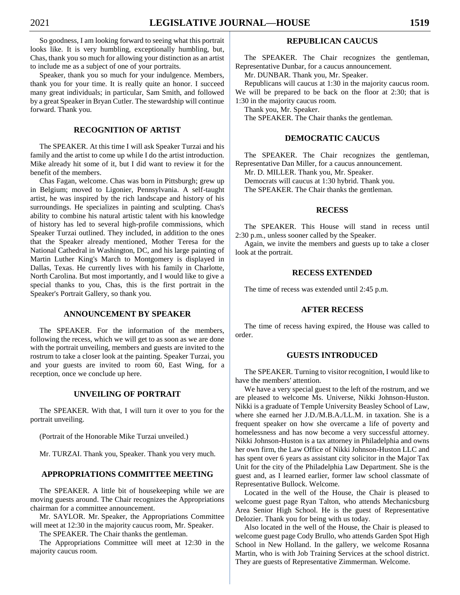So goodness, I am looking forward to seeing what this portrait looks like. It is very humbling, exceptionally humbling, but, Chas, thank you so much for allowing your distinction as an artist to include me as a subject of one of your portraits.

Speaker, thank you so much for your indulgence. Members, thank you for your time. It is really quite an honor. I succeed many great individuals; in particular, Sam Smith, and followed by a great Speaker in Bryan Cutler. The stewardship will continue forward. Thank you.

# **RECOGNITION OF ARTIST**

The SPEAKER. At this time I will ask Speaker Turzai and his family and the artist to come up while I do the artist introduction. Mike already hit some of it, but I did want to review it for the benefit of the members.

Chas Fagan, welcome. Chas was born in Pittsburgh; grew up in Belgium; moved to Ligonier, Pennsylvania. A self-taught artist, he was inspired by the rich landscape and history of his surroundings. He specializes in painting and sculpting. Chas's ability to combine his natural artistic talent with his knowledge of history has led to several high-profile commissions, which Speaker Turzai outlined. They included, in addition to the ones that the Speaker already mentioned, Mother Teresa for the National Cathedral in Washington, DC, and his large painting of Martin Luther King's March to Montgomery is displayed in Dallas, Texas. He currently lives with his family in Charlotte, North Carolina. But most importantly, and I would like to give a special thanks to you, Chas, this is the first portrait in the Speaker's Portrait Gallery, so thank you.

# **ANNOUNCEMENT BY SPEAKER**

The SPEAKER. For the information of the members, following the recess, which we will get to as soon as we are done with the portrait unveiling, members and guests are invited to the rostrum to take a closer look at the painting. Speaker Turzai, you and your guests are invited to room 60, East Wing, for a reception, once we conclude up here.

#### **UNVEILING OF PORTRAIT**

The SPEAKER. With that, I will turn it over to you for the portrait unveiling.

(Portrait of the Honorable Mike Turzai unveiled.)

Mr. TURZAI. Thank you, Speaker. Thank you very much.

#### **APPROPRIATIONS COMMITTEE MEETING**

The SPEAKER. A little bit of housekeeping while we are moving guests around. The Chair recognizes the Appropriations chairman for a committee announcement.

Mr. SAYLOR. Mr. Speaker, the Appropriations Committee will meet at 12:30 in the majority caucus room, Mr. Speaker.

The SPEAKER. The Chair thanks the gentleman.

The Appropriations Committee will meet at 12:30 in the majority caucus room.

# **REPUBLICAN CAUCUS**

The SPEAKER. The Chair recognizes the gentleman, Representative Dunbar, for a caucus announcement.

Mr. DUNBAR. Thank you, Mr. Speaker.

Republicans will caucus at 1:30 in the majority caucus room. We will be prepared to be back on the floor at 2:30; that is 1:30 in the majority caucus room.

Thank you, Mr. Speaker.

The SPEAKER. The Chair thanks the gentleman.

#### **DEMOCRATIC CAUCUS**

The SPEAKER. The Chair recognizes the gentleman, Representative Dan Miller, for a caucus announcement.

Mr. D. MILLER. Thank you, Mr. Speaker.

Democrats will caucus at 1:30 hybrid. Thank you.

The SPEAKER. The Chair thanks the gentleman.

#### **RECESS**

The SPEAKER. This House will stand in recess until 2:30 p.m., unless sooner called by the Speaker.

Again, we invite the members and guests up to take a closer look at the portrait.

# **RECESS EXTENDED**

The time of recess was extended until 2:45 p.m.

# **AFTER RECESS**

The time of recess having expired, the House was called to order.

## **GUESTS INTRODUCED**

The SPEAKER. Turning to visitor recognition, I would like to have the members' attention.

We have a very special guest to the left of the rostrum, and we are pleased to welcome Ms. Universe, Nikki Johnson-Huston. Nikki is a graduate of Temple University Beasley School of Law, where she earned her J.D./M.B.A./LL.M. in taxation. She is a frequent speaker on how she overcame a life of poverty and homelessness and has now become a very successful attorney. Nikki Johnson-Huston is a tax attorney in Philadelphia and owns her own firm, the Law Office of Nikki Johnson-Huston LLC and has spent over 6 years as assistant city solicitor in the Major Tax Unit for the city of the Philadelphia Law Department. She is the guest and, as I learned earlier, former law school classmate of Representative Bullock. Welcome.

Located in the well of the House, the Chair is pleased to welcome guest page Ryan Talton, who attends Mechanicsburg Area Senior High School. He is the guest of Representative Delozier. Thank you for being with us today.

Also located in the well of the House, the Chair is pleased to welcome guest page Cody Brullo, who attends Garden Spot High School in New Holland. In the gallery, we welcome Rosanna Martin, who is with Job Training Services at the school district. They are guests of Representative Zimmerman. Welcome.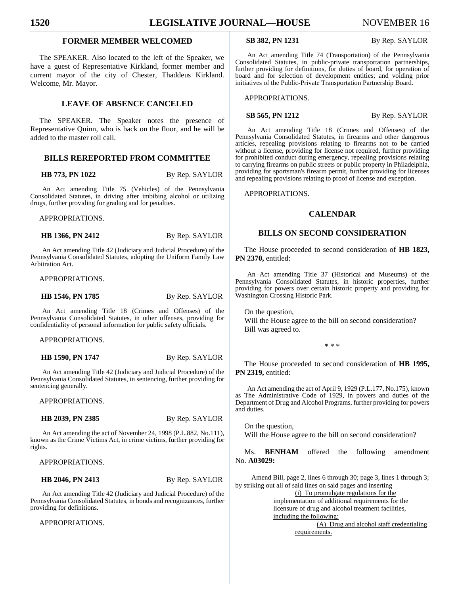# **FORMER MEMBER WELCOMED**

The SPEAKER. Also located to the left of the Speaker, we have a guest of Representative Kirkland, former member and current mayor of the city of Chester, Thaddeus Kirkland. Welcome, Mr. Mayor.

# **LEAVE OF ABSENCE CANCELED**

The SPEAKER. The Speaker notes the presence of Representative Quinn, who is back on the floor, and he will be added to the master roll call.

# **BILLS REREPORTED FROM COMMITTEE**

**HB 773, PN 1022** By Rep. SAYLOR

An Act amending Title 75 (Vehicles) of the Pennsylvania Consolidated Statutes, in driving after imbibing alcohol or utilizing drugs, further providing for grading and for penalties.

APPROPRIATIONS.

**HB 1366, PN 2412** By Rep. SAYLOR

An Act amending Title 42 (Judiciary and Judicial Procedure) of the Pennsylvania Consolidated Statutes, adopting the Uniform Family Law Arbitration Act.

APPROPRIATIONS.

**HB 1546, PN 1785** By Rep. SAYLOR

An Act amending Title 18 (Crimes and Offenses) of the Pennsylvania Consolidated Statutes, in other offenses, providing for confidentiality of personal information for public safety officials.

APPROPRIATIONS.

**HB 1590, PN 1747** By Rep. SAYLOR

An Act amending Title 42 (Judiciary and Judicial Procedure) of the Pennsylvania Consolidated Statutes, in sentencing, further providing for sentencing generally.

APPROPRIATIONS.

**HB 2039, PN 2385** By Rep. SAYLOR

An Act amending the act of November 24, 1998 (P.L.882, No.111), known as the Crime Victims Act, in crime victims, further providing for rights.

APPROPRIATIONS.

#### **HB 2046, PN 2413** By Rep. SAYLOR

An Act amending Title 42 (Judiciary and Judicial Procedure) of the Pennsylvania Consolidated Statutes, in bonds and recognizances, further providing for definitions.

APPROPRIATIONS.

**SB 382, PN 1231** By Rep. SAYLOR

An Act amending Title 74 (Transportation) of the Pennsylvania Consolidated Statutes, in public-private transportation partnerships, further providing for definitions, for duties of board, for operation of board and for selection of development entities; and voiding prior initiatives of the Public-Private Transportation Partnership Board.

APPROPRIATIONS.

**SB 565, PN 1212** By Rep. SAYLOR

An Act amending Title 18 (Crimes and Offenses) of the Pennsylvania Consolidated Statutes, in firearms and other dangerous articles, repealing provisions relating to firearms not to be carried without a license, providing for license not required, further providing for prohibited conduct during emergency, repealing provisions relating to carrying firearms on public streets or public property in Philadelphia, providing for sportsman's firearm permit, further providing for licenses and repealing provisions relating to proof of license and exception.

APPROPRIATIONS.

## **CALENDAR**

# **BILLS ON SECOND CONSIDERATION**

The House proceeded to second consideration of **HB 1823, PN 2370,** entitled:

An Act amending Title 37 (Historical and Museums) of the Pennsylvania Consolidated Statutes, in historic properties, further providing for powers over certain historic property and providing for Washington Crossing Historic Park.

On the question, Will the House agree to the bill on second consideration? Bill was agreed to.

\* \* \*

The House proceeded to second consideration of **HB 1995, PN 2319,** entitled:

An Act amending the act of April 9, 1929 (P.L.177, No.175), known as The Administrative Code of 1929, in powers and duties of the Department of Drug and Alcohol Programs, further providing for powers and duties.

On the question, Will the House agree to the bill on second consideration?

Ms. **BENHAM** offered the following amendment No. **A03029:**

Amend Bill, page 2, lines 6 through 30; page 3, lines 1 through 3; by striking out all of said lines on said pages and inserting

(i) To promulgate regulations for the

implementation of additional requirements for the licensure of drug and alcohol treatment facilities, including the following:

(A) Drug and alcohol staff credentialing requirements.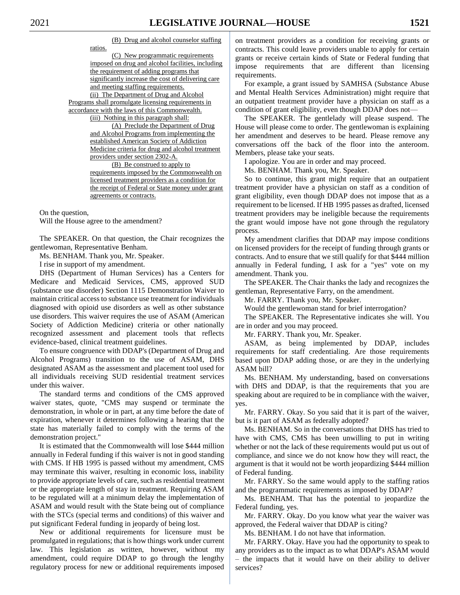(B) Drug and alcohol counselor staffing

ratios.

(C) New programmatic requirements imposed on drug and alcohol facilities, including the requirement of adding programs that significantly increase the cost of delivering care and meeting staffing requirements. (ii) The Department of Drug and Alcohol Programs shall promulgate licensing requirements in accordance with the laws of this Commonwealth. (iii) Nothing in this paragraph shall: (A) Preclude the Department of Drug and Alcohol Programs from implementing the established American Society of Addiction

Medicine criteria for drug and alcohol treatment providers under section 2302-A.

(B) Be construed to apply to requirements imposed by the Commonwealth on licensed treatment providers as a condition for the receipt of Federal or State money under grant agreements or contracts.

On the question,

Will the House agree to the amendment?

The SPEAKER. On that question, the Chair recognizes the gentlewoman, Representative Benham.

Ms. BENHAM. Thank you, Mr. Speaker.

I rise in support of my amendment.

DHS (Department of Human Services) has a Centers for Medicare and Medicaid Services, CMS, approved SUD (substance use disorder) Section 1115 Demonstration Waiver to maintain critical access to substance use treatment for individuals diagnosed with opioid use disorders as well as other substance use disorders. This waiver requires the use of ASAM (American Society of Addiction Medicine) criteria or other nationally recognized assessment and placement tools that reflects evidence-based, clinical treatment guidelines.

To ensure congruence with DDAP's (Department of Drug and Alcohol Programs) transition to the use of ASAM, DHS designated ASAM as the assessment and placement tool used for all individuals receiving SUD residential treatment services under this waiver.

The standard terms and conditions of the CMS approved waiver states, quote, "CMS may suspend or terminate the demonstration, in whole or in part, at any time before the date of expiration, whenever it determines following a hearing that the state has materially failed to comply with the terms of the demonstration project."

It is estimated that the Commonwealth will lose \$444 million annually in Federal funding if this waiver is not in good standing with CMS. If HB 1995 is passed without my amendment, CMS may terminate this waiver, resulting in economic loss, inability to provide appropriate levels of care, such as residential treatment or the appropriate length of stay in treatment. Requiring ASAM to be regulated will at a minimum delay the implementation of ASAM and would result with the State being out of compliance with the STCs (special terms and conditions) of this waiver and put significant Federal funding in jeopardy of being lost.

New or additional requirements for licensure must be promulgated in regulations; that is how things work under current law. This legislation as written, however, without my amendment, could require DDAP to go through the lengthy regulatory process for new or additional requirements imposed

on treatment providers as a condition for receiving grants or contracts. This could leave providers unable to apply for certain grants or receive certain kinds of State or Federal funding that impose requirements that are different than licensing requirements.

For example, a grant issued by SAMHSA (Substance Abuse and Mental Health Services Administration) might require that an outpatient treatment provider have a physician on staff as a condition of grant eligibility, even though DDAP does not—

The SPEAKER. The gentlelady will please suspend. The House will please come to order. The gentlewoman is explaining her amendment and deserves to be heard. Please remove any conversations off the back of the floor into the anteroom. Members, please take your seats.

I apologize. You are in order and may proceed.

Ms. BENHAM. Thank you, Mr. Speaker.

So to continue, this grant might require that an outpatient treatment provider have a physician on staff as a condition of grant eligibility, even though DDAP does not impose that as a requirement to be licensed. If HB 1995 passes as drafted, licensed treatment providers may be ineligible because the requirements the grant would impose have not gone through the regulatory process.

My amendment clarifies that DDAP may impose conditions on licensed providers for the receipt of funding through grants or contracts. And to ensure that we still qualify for that \$444 million annually in Federal funding, I ask for a "yes" vote on my amendment. Thank you.

The SPEAKER. The Chair thanks the lady and recognizes the gentleman, Representative Farry, on the amendment.

Mr. FARRY. Thank you, Mr. Speaker.

Would the gentlewoman stand for brief interrogation?

The SPEAKER. The Representative indicates she will. You are in order and you may proceed.

Mr. FARRY. Thank you, Mr. Speaker.

ASAM, as being implemented by DDAP, includes requirements for staff credentialing. Are those requirements based upon DDAP adding those, or are they in the underlying ASAM bill?

Ms. BENHAM. My understanding, based on conversations with DHS and DDAP, is that the requirements that you are speaking about are required to be in compliance with the waiver, yes.

Mr. FARRY. Okay. So you said that it is part of the waiver, but is it part of ASAM as federally adopted?

Ms. BENHAM. So in the conversations that DHS has tried to have with CMS, CMS has been unwilling to put in writing whether or not the lack of these requirements would put us out of compliance, and since we do not know how they will react, the argument is that it would not be worth jeopardizing \$444 million of Federal funding.

Mr. FARRY. So the same would apply to the staffing ratios and the programmatic requirements as imposed by DDAP?

Ms. BENHAM. That has the potential to jeopardize the Federal funding, yes.

Mr. FARRY. Okay. Do you know what year the waiver was approved, the Federal waiver that DDAP is citing?

Ms. BENHAM. I do not have that information.

Mr. FARRY. Okay. Have you had the opportunity to speak to any providers as to the impact as to what DDAP's ASAM would – the impacts that it would have on their ability to deliver services?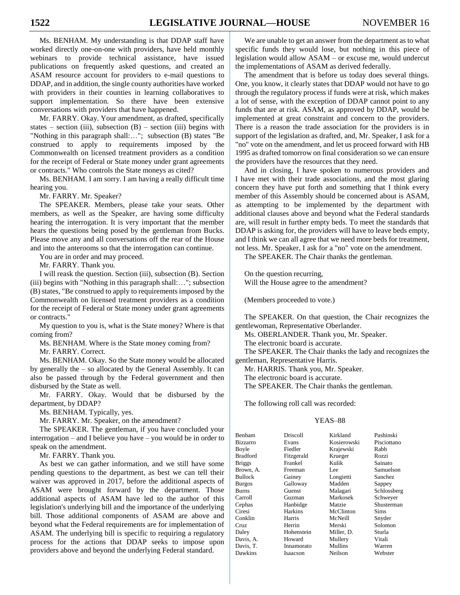Ms. BENHAM. My understanding is that DDAP staff have worked directly one-on-one with providers, have held monthly webinars to provide technical assistance, have issued publications on frequently asked questions, and created an ASAM resource account for providers to e-mail questions to DDAP, and in addition, the single county authorities have worked with providers in their counties in learning collaboratives to support implementation. So there have been extensive conversations with providers that have happened.

Mr. FARRY. Okay. Your amendment, as drafted, specifically states – section (iii), subsection  $(B)$  – section (iii) begins with "Nothing in this paragraph shall:…"; subsection (B) states "Be construed to apply to requirements imposed by the Commonwealth on licensed treatment providers as a condition for the receipt of Federal or State money under grant agreements or contracts." Who controls the State moneys as cited?

Ms. BENHAM. I am sorry. I am having a really difficult time hearing you.

Mr. FARRY. Mr. Speaker?

The SPEAKER. Members, please take your seats. Other members, as well as the Speaker, are having some difficulty hearing the interrogation. It is very important that the member hears the questions being posed by the gentleman from Bucks. Please move any and all conversations off the rear of the House and into the anterooms so that the interrogation can continue.

You are in order and may proceed.

Mr. FARRY. Thank you.

I will reask the question. Section (iii), subsection (B). Section (iii) begins with "Nothing in this paragraph shall:…"; subsection (B) states, "Be construed to apply to requirements imposed by the Commonwealth on licensed treatment providers as a condition for the receipt of Federal or State money under grant agreements or contracts."

My question to you is, what is the State money? Where is that coming from?

Ms. BENHAM. Where is the State money coming from?

Mr. FARRY. Correct.

Ms. BENHAM. Okay. So the State money would be allocated by generally the – so allocated by the General Assembly. It can also be passed through by the Federal government and then disbursed by the State as well.

Mr. FARRY. Okay. Would that be disbursed by the department, by DDAP?

Ms. BENHAM. Typically, yes.

Mr. FARRY. Mr. Speaker, on the amendment?

The SPEAKER. The gentleman, if you have concluded your interrogation – and I believe you have – you would be in order to speak on the amendment.

Mr. FARRY. Thank you.

As best we can gather information, and we still have some pending questions to the department, as best we can tell their waiver was approved in 2017, before the additional aspects of ASAM were brought forward by the department. Those additional aspects of ASAM have led to the author of this legislation's underlying bill and the importance of the underlying bill. Those additional components of ASAM are above and beyond what the Federal requirements are for implementation of ASAM. The underlying bill is specific to requiring a regulatory process for the actions that DDAP seeks to impose upon providers above and beyond the underlying Federal standard.

We are unable to get an answer from the department as to what specific funds they would lose, but nothing in this piece of legislation would allow ASAM – or excuse me, would undercut the implementations of ASAM as derived federally.

The amendment that is before us today does several things. One, you know, it clearly states that DDAP would not have to go through the regulatory process if funds were at risk, which makes a lot of sense, with the exception of DDAP cannot point to any funds that are at risk. ASAM, as approved by DDAP, would be implemented at great constraint and concern to the providers. There is a reason the trade association for the providers is in support of the legislation as drafted, and, Mr. Speaker, I ask for a "no" vote on the amendment, and let us proceed forward with HB 1995 as drafted tomorrow on final consideration so we can ensure the providers have the resources that they need.

And in closing, I have spoken to numerous providers and I have met with their trade associations, and the most glaring concern they have put forth and something that I think every member of this Assembly should be concerned about is ASAM, as attempting to be implemented by the department with additional clauses above and beyond what the Federal standards are, will result in further empty beds. To meet the standards that DDAP is asking for, the providers will have to leave beds empty, and I think we can all agree that we need more beds for treatment, not less. Mr. Speaker, I ask for a "no" vote on the amendment.

The SPEAKER. The Chair thanks the gentleman.

On the question recurring, Will the House agree to the amendment?

(Members proceeded to vote.)

The SPEAKER. On that question, the Chair recognizes the gentlewoman, Representative Oberlander.

Ms. OBERLANDER. Thank you, Mr. Speaker.

The electronic board is accurate.

The SPEAKER. The Chair thanks the lady and recognizes the gentleman, Representative Harris.

Mr. HARRIS. Thank you, Mr. Speaker.

The electronic board is accurate.

The SPEAKER. The Chair thanks the gentleman.

The following roll call was recorded:

| Benham          | Driscoll   | Kirkland    | Pashinski   |
|-----------------|------------|-------------|-------------|
| <b>Bizzarro</b> | Evans      | Kosierowski | Pisciottano |
| Boyle           | Fiedler    | Krajewski   | Rabb        |
| <b>Bradford</b> | Fitzgerald | Krueger     | Rozzi       |
| <b>Briggs</b>   | Frankel    | Kulik       | Sainato     |
| Brown, A.       | Freeman    | Lee         | Samuelson   |
| <b>Bullock</b>  | Gainey     | Longietti   | Sanchez     |
| <b>Burgos</b>   | Galloway   | Madden      | Sappey      |
| <b>Burns</b>    | Guenst     | Malagari    | Schlossberg |
| Carroll         | Guzman     | Markosek    | Schweyer    |
| Cephas          | Hanbidge   | Matzie      | Shusterman  |
| Ciresi          | Harkins    | McClinton   | Sims        |
| Conklin         | Harris     | McNeill     | Snyder      |
| Cruz            | Herrin     | Merski      | Solomon     |
| Daley           | Hohenstein | Miller, D.  | Sturla      |
| Davis, A.       | Howard     | Mullery     | Vitali      |
| Davis, T.       | Innamorato | Mullins     | Warren      |
| Dawkins         | Isaacson   | Neilson     | Webster     |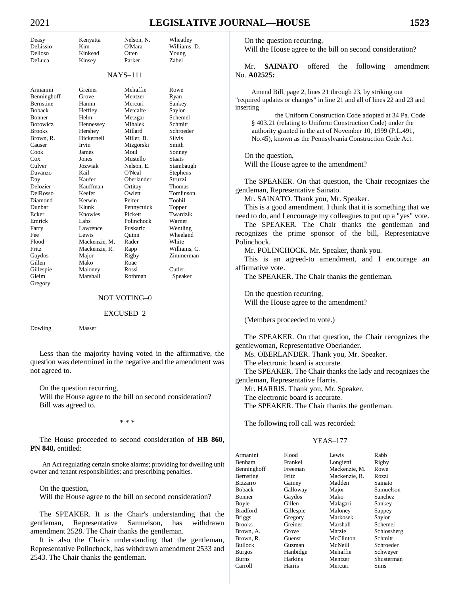# 2021 **LEGISLATIVE JOURNAL—HOUSE 1523**

| Deasy            | Kenyatta      | Nelson, N.      | Wheatley      |
|------------------|---------------|-----------------|---------------|
| DeLissio         | Kim           | O'Mara          | Williams, D.  |
| Delloso          | Kinkead       | Otten           | Young         |
| DeLuca           | Kinsey        | Parker          | Zabel         |
|                  |               | <b>NAYS-111</b> |               |
| Armanini         | Greiner       | Mehaffie        | Rowe          |
| Benninghoff      | Grove         | Mentzer         | Ryan          |
| <b>Bernstine</b> | Hamm          | Mercuri         | Sankey        |
| <b>Boback</b>    | Heffley       | Metcalfe        | Saylor        |
| Bonner           | Helm          | Metzgar         | Schemel       |
| <b>Borowicz</b>  | Hennessey     | Mihalek         | Schmitt       |
| <b>Brooks</b>    | Hershey       | Millard         | Schroeder     |
| Brown, R.        | Hickernell    | Miller, B.      | <b>Silvis</b> |
| Causer           | Irvin         | Mizgorski       | Smith         |
| Cook             | James         | Moul            | Sonney        |
| $\cos$           | Jones         | Mustello        | <b>Staats</b> |
| Culver           | Jozwiak       | Nelson, E.      | Stambaugh     |
| Davanzo          | Kail          | O'Neal          | Stephens      |
| Day              | Kaufer        | Oberlander      | Struzzi       |
| Delozier         | Kauffman      | Ortitay         | Thomas        |
| DelRosso         | Keefer        | Owlett          | Tomlinson     |
| Diamond          | Kerwin        | Peifer          | Toohil        |
| Dunbar           | Klunk         | Pennycuick      | Topper        |
| Ecker            | Knowles       | Pickett         | Twardzik      |
| Emrick           | Labs          | Polinchock      | Warner        |
| Farry            | Lawrence      | Puskaric        | Wentling      |
| Fee              | Lewis         | Quinn           | Wheeland      |
| Flood            | Mackenzie, M. | Rader           | White         |
| <b>Fritz</b>     | Mackenzie, R. | Rapp            | Williams, C.  |
| Gaydos           | Major         | Rigby           | Zimmerman     |
| Gillen           | Mako          | Roae            |               |
| Gillespie        | Maloney       | Rossi           | Cutler,       |
| Gleim            | Marshall      | Rothman         | Sneaker       |

Gleim Marshall Rothman Speaker

#### NOT VOTING–0

#### EXCUSED–2

Dowling Masser

Gregory

Less than the majority having voted in the affirmative, the question was determined in the negative and the amendment was not agreed to.

On the question recurring,

Will the House agree to the bill on second consideration? Bill was agreed to.

\* \* \*

The House proceeded to second consideration of **HB 860,**  PN 848, entitled:

An Act regulating certain smoke alarms; providing for dwelling unit owner and tenant responsibilities; and prescribing penalties.

On the question,

Will the House agree to the bill on second consideration?

The SPEAKER. It is the Chair's understanding that the gentleman, Representative Samuelson, has withdrawn amendment 2528. The Chair thanks the gentleman.

It is also the Chair's understanding that the gentleman, Representative Polinchock, has withdrawn amendment 2533 and 2543. The Chair thanks the gentleman.

On the question recurring,

Will the House agree to the bill on second consideration?

Mr. **SAINATO** offered the following amendment No. **A02525:**

Amend Bill, page 2, lines 21 through 23, by striking out "required updates or changes" in line 21 and all of lines 22 and 23 and inserting

the Uniform Construction Code adopted at 34 Pa. Code § 403.21 (relating to Uniform Construction Code) under the authority granted in the act of November 10, 1999 (P.L.491, No.45), known as the Pennsylvania Construction Code Act.

On the question, Will the House agree to the amendment?

The SPEAKER. On that question, the Chair recognizes the gentleman, Representative Sainato.

Mr. SAINATO. Thank you, Mr. Speaker.

This is a good amendment. I think that it is something that we need to do, and I encourage my colleagues to put up a "yes" vote.

The SPEAKER. The Chair thanks the gentleman and recognizes the prime sponsor of the bill, Representative Polinchock.

Mr. POLINCHOCK. Mr. Speaker, thank you.

This is an agreed-to amendment, and I encourage an affirmative vote.

The SPEAKER. The Chair thanks the gentleman.

On the question recurring, Will the House agree to the amendment?

(Members proceeded to vote.)

The SPEAKER. On that question, the Chair recognizes the gentlewoman, Representative Oberlander.

Ms. OBERLANDER. Thank you, Mr. Speaker.

The electronic board is accurate.

The SPEAKER. The Chair thanks the lady and recognizes the gentleman, Representative Harris.

Mr. HARRIS. Thank you, Mr. Speaker.

The electronic board is accurate.

The SPEAKER. The Chair thanks the gentleman.

The following roll call was recorded:

| Armanini        | Flood          | Lewis         | Rabb        |
|-----------------|----------------|---------------|-------------|
| <b>Benham</b>   | Frankel        | Longietti     | Rigby       |
| Benninghoff     | Freeman        | Mackenzie, M. | Rowe        |
| Bernstine       | Fritz.         | Mackenzie, R. | Rozzi       |
| <b>Bizzarro</b> | Gainey         | Madden        | Sainato     |
| <b>Boback</b>   | Galloway       | Major         | Samuelson   |
| <b>Bonner</b>   | Gaydos         | Mako          | Sanchez     |
| Boyle           | Gillen         | Malagari      | Sankey      |
| <b>Bradford</b> | Gillespie      | Maloney       | Sappey      |
| <b>Briggs</b>   | Gregory        | Markosek      | Saylor      |
| <b>Brooks</b>   | Greiner        | Marshall      | Schemel     |
| Brown, A.       | Grove          | Matzie        | Schlossberg |
| Brown, R.       | Guenst         | McClinton     | Schmitt     |
| <b>Bullock</b>  | Guzman         | McNeill       | Schroeder   |
| <b>Burgos</b>   | Hanbidge       | Mehaffie      | Schwever    |
| <b>Burns</b>    | <b>Harkins</b> | Mentzer       | Shusterman  |
| Carroll         | Harris         | Mercuri       | <b>Sims</b> |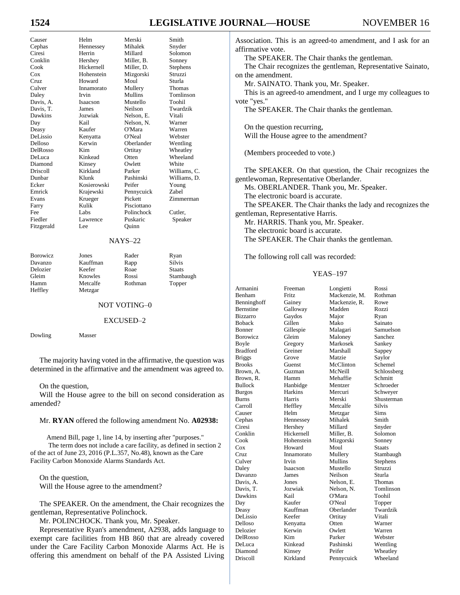# **16 IOURNAL—HOUSE** NOVEMBER 16

| 1524           |
|----------------|
| Causer         |
|                |
| Cephas         |
| Ciresi         |
| Conklin        |
| Cook           |
| Cox            |
| Cruz           |
| Culver         |
| Daley          |
| Davis, A       |
| Davis, T       |
| <b>Dawkins</b> |
| Day            |
|                |

| Causer     | Helm        | Merski      | Smith         |
|------------|-------------|-------------|---------------|
| Cephas     | Hennessey   | Mihalek     | Snyder        |
| Ciresi     | Herrin      | Millard     | Solomon       |
| Conklin    | Hershey     | Miller, B.  | Sonney        |
| Cook       | Hickernell  | Miller, D.  | Stephens      |
| $\cos$     | Hohenstein  | Mizgorski   | Struzzi       |
| Cruz.      | Howard      | Moul        | Sturla        |
| Culver     | Innamorato  | Mullery     | <b>Thomas</b> |
| Daley      | Irvin       | Mullins     | Tomlinson     |
| Davis, A.  | Isaacson    | Mustello    | Toohil        |
| Davis, T.  | James       | Neilson     | Twardzik      |
| Dawkins    | Jozwiak     | Nelson, E.  | Vitali        |
| Day        | Kail        | Nelson, N.  | Warner        |
| Deasy      | Kaufer      | O'Mara      | Warren        |
| DeLissio   | Kenyatta    | O'Neal      | Webster       |
| Delloso    | Kerwin      | Oberlander  | Wentling      |
| DelRosso   | Kim         | Ortitay     | Wheatley      |
| DeLuca     | Kinkead     | Otten       | Wheeland      |
| Diamond    | Kinsey      | Owlett      | White         |
| Driscoll   | Kirkland    | Parker      | Williams, C.  |
| Dunbar     | Klunk       | Pashinski   | Williams, D.  |
| Ecker      | Kosierowski | Peifer      | Young         |
| Emrick     | Krajewski   | Pennycuick  | <b>Zabel</b>  |
| Evans      | Krueger     | Pickett     | Zimmerman     |
| Farry      | Kulik       | Pisciottano |               |
| Fee        | Labs        | Polinchock  | Cutler,       |
| Fiedler    | Lawrence    | Puskaric    | Speaker       |
| Fitzgerald | Lee         | Ouinn       |               |

## NAYS–22

Heffley Metzgar

Borowicz Jones Rader Ryan Davanzo Kauffman Rapp Silvis Delozier Keefer Roae Staats<br>
Gleim Knowles Rossi Stamb

Rossi Stambaugh Hamm Metcalfe Rothman Topper

#### NOT VOTING–0

#### EXCUSED–2

Dowling Masser

The majority having voted in the affirmative, the question was determined in the affirmative and the amendment was agreed to.

On the question,

Will the House agree to the bill on second consideration as amended?

#### Mr. **RYAN** offered the following amendment No. **A02938:**

Amend Bill, page 1, line 14, by inserting after "purposes." The term does not include a care facility, as defined in section 2 of the act of June 23, 2016 (P.L.357, No.48), known as the Care Facility Carbon Monoxide Alarms Standards Act.

On the question, Will the House agree to the amendment?

The SPEAKER. On the amendment, the Chair recognizes the gentleman, Representative Polinchock.

Mr. POLINCHOCK. Thank you, Mr. Speaker.

Representative Ryan's amendment, A2938, adds language to exempt care facilities from HB 860 that are already covered under the Care Facility Carbon Monoxide Alarms Act. He is offering this amendment on behalf of the PA Assisted Living Association. This is an agreed-to amendment, and I ask for an affirmative vote.

The SPEAKER. The Chair thanks the gentleman.

The Chair recognizes the gentleman, Representative Sainato, on the amendment.

Mr. SAINATO. Thank you, Mr. Speaker.

This is an agreed-to amendment, and I urge my colleagues to vote "yes."

The SPEAKER. The Chair thanks the gentleman.

On the question recurring, Will the House agree to the amendment?

(Members proceeded to vote.)

The SPEAKER. On that question, the Chair recognizes the gentlewoman, Representative Oberlander.

Ms. OBERLANDER. Thank you, Mr. Speaker.

The electronic board is accurate. The SPEAKER. The Chair thanks the lady and recognizes the gentleman, Representative Harris. Mr. HARRIS. Thank you, Mr. Speaker.

The electronic board is accurate.

The SPEAKER. The Chair thanks the gentleman.

The following roll call was recorded:

| Armanini         | Freeman    | Longietti     | Rossi       |
|------------------|------------|---------------|-------------|
| Benham           | Fritz.     | Mackenzie, M. | Rothman     |
| Benninghoff      | Gainey     | Mackenzie, R. | Rowe        |
| <b>Bernstine</b> | Galloway   | Madden        | Rozzi       |
| <b>Bizzarro</b>  | Gaydos     | Major         | Ryan        |
| <b>Boback</b>    | Gillen     | Mako          | Sainato     |
| <b>Bonner</b>    | Gillespie  | Malagari      | Samuelson   |
| <b>Borowicz</b>  | Gleim      | Maloney       | Sanchez     |
| Boyle            | Gregory    | Markosek      | Sankey      |
| <b>Bradford</b>  | Greiner    | Marshall      | Sappey      |
| <b>Briggs</b>    | Grove      | Matzie        | Saylor      |
| <b>Brooks</b>    | Guenst     | McClinton     | Schemel     |
| Brown, A.        | Guzman     | McNeill       | Schlossberg |
| Brown, R.        | Hamm       | Mehaffie      | Schmitt     |
| <b>Bullock</b>   | Hanbidge   | Mentzer       | Schroeder   |
| <b>Burgos</b>    | Harkins    | Mercuri       | Schweyer    |
| Burns            | Harris     | Merski        | Shusterman  |
| Carroll          | Heffley    | Metcalfe      | Silvis      |
| Causer           | Helm       | Metzgar       | Sims        |
| Cephas           | Hennessey  | Mihalek       | Smith       |
| Ciresi           | Hershey    | Millard       | Snyder      |
| Conklin          | Hickernell | Miller, B.    | Solomon     |
| Cook             | Hohenstein | Mizgorski     | Sonney      |
| Cox              | Howard     | Moul          | Staats      |
| Cruz             | Innamorato | Mullery       | Stambaugh   |
| Culver           | Irvin      | Mullins       | Stephens    |
| Daley            | Isaacson   | Mustello      | Struzzi     |
| Davanzo          | James      | Neilson       | Sturla      |
| Davis, A.        | Jones      | Nelson, E.    | Thomas      |
| Davis, T.        | Jozwiak    | Nelson, N.    | Tomlinson   |
| Dawkins          | Kail       | O'Mara        | Toohil      |
| Day              | Kaufer     | O'Neal        | Topper      |
| Deasy            | Kauffman   | Oberlander    | Twardzik    |
| DeLissio         | Keefer     | Ortitay       | Vitali      |
| Delloso          | Kenyatta   | Otten         | Warner      |
| Delozier         | Kerwin     | Owlett        | Warren      |
| DelRosso         | Kim        | Parker        | Webster     |
| DeLuca           | Kinkead    | Pashinski     | Wentling    |
| Diamond          | Kinsey     | Peifer        | Wheatley    |
| <b>Driscoll</b>  | Kirkland   | Pennycuick    | Wheeland    |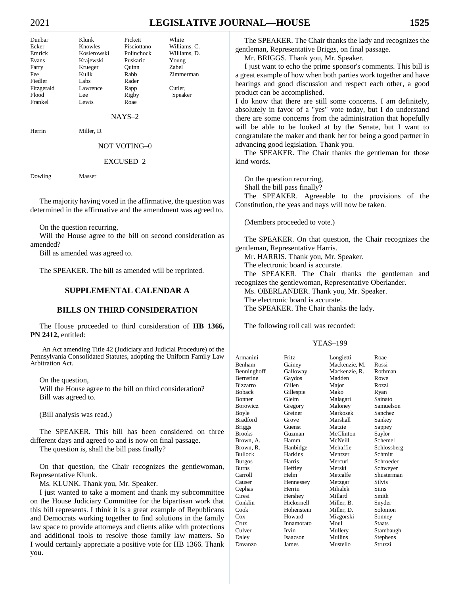# 2021 **LEGISLATIVE JOURNAL—HOUSE 1525**

Dunbar Klunk Pickett White Ecker Knowles Pisciottano Williams, C. Emrick Kosierowski Polinchock Williams, D. Evans Krajewski Puskaric Young Farry Krueger Quinn Zabel Fee Kulik Rabb Zimmerman Fiedler Labs Rader Fitzgerald Lawrence Rapp Cutler, Flood Lee Rigby Speaker Frankel Lewis Roae

NAYS–2

Herrin Miller, D.

NOT VOTING–0

#### EXCUSED–2

Dowling Masser

The majority having voted in the affirmative, the question was determined in the affirmative and the amendment was agreed to.

On the question recurring,

Will the House agree to the bill on second consideration as amended?

Bill as amended was agreed to.

The SPEAKER. The bill as amended will be reprinted.

## **SUPPLEMENTAL CALENDAR A**

# **BILLS ON THIRD CONSIDERATION**

The House proceeded to third consideration of **HB 1366, PN 2412,** entitled:

An Act amending Title 42 (Judiciary and Judicial Procedure) of the Pennsylvania Consolidated Statutes, adopting the Uniform Family Law Arbitration Act.

On the question,

Will the House agree to the bill on third consideration? Bill was agreed to.

(Bill analysis was read.)

The SPEAKER. This bill has been considered on three different days and agreed to and is now on final passage.

The question is, shall the bill pass finally?

On that question, the Chair recognizes the gentlewoman, Representative Klunk.

Ms. KLUNK. Thank you, Mr. Speaker.

I just wanted to take a moment and thank my subcommittee on the House Judiciary Committee for the bipartisan work that this bill represents. I think it is a great example of Republicans and Democrats working together to find solutions in the family law space to provide attorneys and clients alike with protections and additional tools to resolve those family law matters. So I would certainly appreciate a positive vote for HB 1366. Thank you.

The SPEAKER. The Chair thanks the lady and recognizes the gentleman, Representative Briggs, on final passage.

Mr. BRIGGS. Thank you, Mr. Speaker.

I just want to echo the prime sponsor's comments. This bill is a great example of how when both parties work together and have hearings and good discussion and respect each other, a good product can be accomplished.

I do know that there are still some concerns. I am definitely, absolutely in favor of a "yes" vote today, but I do understand there are some concerns from the administration that hopefully will be able to be looked at by the Senate, but I want to congratulate the maker and thank her for being a good partner in advancing good legislation. Thank you.

The SPEAKER. The Chair thanks the gentleman for those kind words.

On the question recurring,

Shall the bill pass finally?

The SPEAKER. Agreeable to the provisions of the Constitution, the yeas and nays will now be taken.

(Members proceeded to vote.)

The SPEAKER. On that question, the Chair recognizes the gentleman, Representative Harris.

Mr. HARRIS. Thank you, Mr. Speaker. The electronic board is accurate.

The SPEAKER. The Chair thanks the gentleman and recognizes the gentlewoman, Representative Oberlander.

Ms. OBERLANDER. Thank you, Mr. Speaker.

The electronic board is accurate.

The SPEAKER. The Chair thanks the lady.

The following roll call was recorded:

| Armanini         | Fritz.     | Longietti     | Roae          |
|------------------|------------|---------------|---------------|
| Benham           | Gainey     | Mackenzie, M. | Rossi         |
| Benninghoff      | Galloway   | Mackenzie, R. | Rothman       |
| <b>Bernstine</b> | Gaydos     | Madden        | Rowe          |
| <b>Bizzarro</b>  | Gillen     | Major         | Rozzi         |
| <b>Boback</b>    | Gillespie  | Mako          | Ryan          |
| <b>Bonner</b>    | Gleim      | Malagari      | Sainato       |
| Borowicz         | Gregory    | Maloney       | Samuelson     |
| Boyle            | Greiner    | Markosek      | Sanchez       |
| <b>Bradford</b>  | Grove      | Marshall      | Sankey        |
| <b>Briggs</b>    | Guenst     | Matzie        | Sappey        |
| <b>Brooks</b>    | Guzman     | McClinton     | Saylor        |
| Brown, A.        | Hamm       | McNeill       | Schemel       |
| Brown, R.        | Hanbidge   | Mehaffie      | Schlossberg   |
| <b>Bullock</b>   | Harkins    | Mentzer       | Schmitt       |
| <b>Burgos</b>    | Harris     | Mercuri       | Schroeder     |
| <b>Burns</b>     | Heffley    | Merski        | Schweyer      |
| Carroll          | Helm       | Metcalfe      | Shusterman    |
| Causer           | Hennessey  | Metzgar       | <b>Silvis</b> |
| Cephas           | Herrin     | Mihalek       | Sims          |
| Ciresi           | Hershey    | Millard       | Smith         |
| Conklin          | Hickernell | Miller, B.    | Snyder        |
| Cook             | Hohenstein | Miller, D.    | Solomon       |
| Cox              | Howard     | Mizgorski     | Sonney        |
| Cruz             | Innamorato | Moul          | <b>Staats</b> |
| Culver           | Irvin      | Mullery       | Stambaugh     |
| Daley            | Isaacson   | Mullins       | Stephens      |
| Davanzo          | James      | Mustello      | Struzzi       |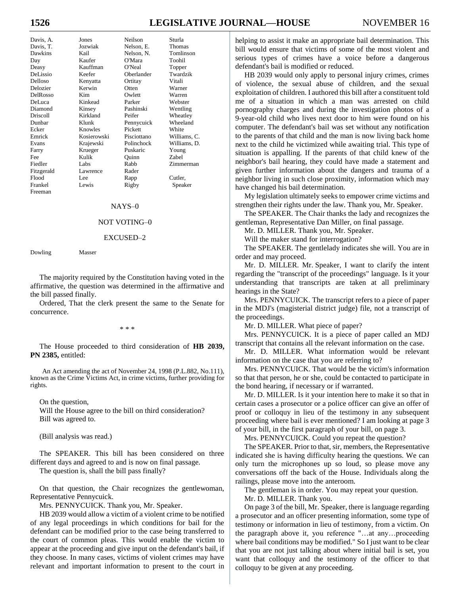# **1526 LEGISLATIVE JOURNAL—HOUSE** NOVEMBER 16

| Davis, A.       | Jones       | Neilson     | Sturla       |
|-----------------|-------------|-------------|--------------|
| Davis, T.       | Jozwiak     | Nelson, E.  | Thomas       |
| Dawkins         | Kail        | Nelson, N.  | Tomlinson    |
| Day             | Kaufer      | O'Mara      | Toohil       |
| Deasy           | Kauffman    | O'Neal      | Topper       |
| DeLissio        | Keefer      | Oberlander  | Twardzik     |
| Delloso         | Kenyatta    | Ortitay     | Vitali       |
| Delozier        | Kerwin      | Otten       | Warner       |
| DelRosso        | Kim         | Owlett      | Warren       |
| DeLuca          | Kinkead     | Parker      | Webster      |
| Diamond         | Kinsey      | Pashinski   | Wentling     |
| <b>Driscoll</b> | Kirkland    | Peifer      | Wheatley     |
| Dunbar          | Klunk       | Pennycuick  | Wheeland     |
| Ecker           | Knowles     | Pickett     | White        |
| Emrick          | Kosierowski | Pisciottano | Williams, C. |
| Evans           | Krajewski   | Polinchock  | Williams, D. |
| Farry           | Krueger     | Puskaric    | Young        |
| Fee             | Kulik       | Ouinn       | Zabel        |
| Fiedler         | Labs        | Rabb        | Zimmerman    |
| Fitzgerald      | Lawrence    | Rader       |              |
| Flood           | Lee         | Rapp        | Cutler,      |
| Frankel         | Lewis       | Rigby       | Speaker      |
| Freeman         |             |             |              |

#### NAYS–0

#### NOT VOTING–0

#### EXCUSED–2

Dowling Masser

The majority required by the Constitution having voted in the affirmative, the question was determined in the affirmative and the bill passed finally.

Ordered, That the clerk present the same to the Senate for concurrence.

\* \* \*

The House proceeded to third consideration of **HB 2039, PN 2385,** entitled:

An Act amending the act of November 24, 1998 (P.L.882, No.111), known as the Crime Victims Act, in crime victims, further providing for rights.

On the question, Will the House agree to the bill on third consideration? Bill was agreed to.

(Bill analysis was read.)

The SPEAKER. This bill has been considered on three different days and agreed to and is now on final passage.

The question is, shall the bill pass finally?

On that question, the Chair recognizes the gentlewoman, Representative Pennycuick.

Mrs. PENNYCUICK. Thank you, Mr. Speaker.

HB 2039 would allow a victim of a violent crime to be notified of any legal proceedings in which conditions for bail for the defendant can be modified prior to the case being transferred to the court of common pleas. This would enable the victim to appear at the proceeding and give input on the defendant's bail, if they choose. In many cases, victims of violent crimes may have relevant and important information to present to the court in

helping to assist it make an appropriate bail determination. This bill would ensure that victims of some of the most violent and serious types of crimes have a voice before a dangerous defendant's bail is modified or reduced.

HB 2039 would only apply to personal injury crimes, crimes of violence, the sexual abuse of children, and the sexual exploitation of children. I authored this bill after a constituent told me of a situation in which a man was arrested on child pornography charges and during the investigation photos of a 9-year-old child who lives next door to him were found on his computer. The defendant's bail was set without any notification to the parents of that child and the man is now living back home next to the child he victimized while awaiting trial. This type of situation is appalling. If the parents of that child knew of the neighbor's bail hearing, they could have made a statement and given further information about the dangers and trauma of a neighbor living in such close proximity, information which may have changed his bail determination.

My legislation ultimately seeks to empower crime victims and strengthen their rights under the law. Thank you, Mr. Speaker.

The SPEAKER. The Chair thanks the lady and recognizes the gentleman, Representative Dan Miller, on final passage.

Mr. D. MILLER. Thank you, Mr. Speaker.

Will the maker stand for interrogation?

The SPEAKER. The gentlelady indicates she will. You are in order and may proceed.

Mr. D. MILLER. Mr. Speaker, I want to clarify the intent regarding the "transcript of the proceedings" language. Is it your understanding that transcripts are taken at all preliminary hearings in the State?

Mrs. PENNYCUICK. The transcript refers to a piece of paper in the MDJ's (magisterial district judge) file, not a transcript of the proceedings.

Mr. D. MILLER. What piece of paper?

Mrs. PENNYCUICK. It is a piece of paper called an MDJ transcript that contains all the relevant information on the case.

Mr. D. MILLER. What information would be relevant information on the case that you are referring to?

Mrs. PENNYCUICK. That would be the victim's information so that that person, he or she, could be contacted to participate in the bond hearing, if necessary or if warranted.

Mr. D. MILLER. Is it your intention here to make it so that in certain cases a prosecutor or a police officer can give an offer of proof or colloquy in lieu of the testimony in any subsequent proceeding where bail is ever mentioned? I am looking at page 3 of your bill, in the first paragraph of your bill, on page 3.

Mrs. PENNYCUICK. Could you repeat the question?

The SPEAKER. Prior to that, sir, members, the Representative indicated she is having difficulty hearing the questions. We can only turn the microphones up so loud, so please move any conversations off the back of the House. Individuals along the railings, please move into the anteroom.

The gentleman is in order. You may repeat your question.

Mr. D. MILLER. Thank you.

On page 3 of the bill, Mr. Speaker, there is language regarding a prosecutor and an officer presenting information, some type of testimony or information in lieu of testimony, from a victim. On the paragraph above it, you reference "…at any…proceeding where bail conditions may be modified." So I just want to be clear that you are not just talking about where initial bail is set, you want that colloquy and the testimony of the officer to that colloquy to be given at any proceeding.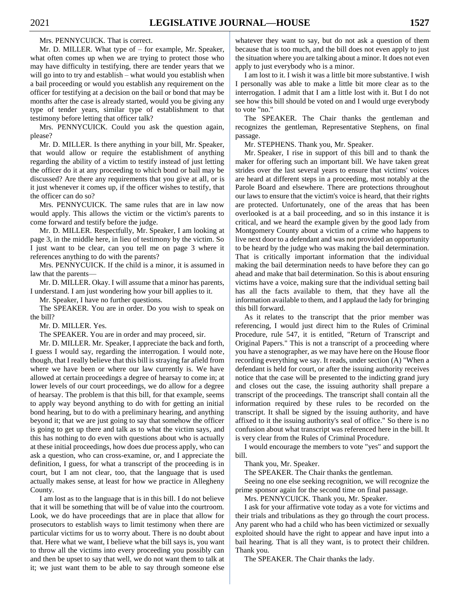Mrs. PENNYCUICK. That is correct. Mr. D. MILLER. What type of – for example, Mr. Speaker, what often comes up when we are trying to protect those who may have difficulty in testifying, there are tender years that we will go into to try and establish – what would you establish when a bail proceeding or would you establish any requirement on the officer for testifying at a decision on the bail or bond that may be months after the case is already started, would you be giving any type of tender years, similar type of establishment to that testimony before letting that officer talk?

Mrs. PENNYCUICK. Could you ask the question again, please?

Mr. D. MILLER. Is there anything in your bill, Mr. Speaker, that would allow or require the establishment of anything regarding the ability of a victim to testify instead of just letting the officer do it at any proceeding to which bond or bail may be discussed? Are there any requirements that you give at all, or is it just whenever it comes up, if the officer wishes to testify, that the officer can do so?

Mrs. PENNYCUICK. The same rules that are in law now would apply. This allows the victim or the victim's parents to come forward and testify before the judge.

Mr. D. MILLER. Respectfully, Mr. Speaker, I am looking at page 3, in the middle here, in lieu of testimony by the victim. So I just want to be clear, can you tell me on page 3 where it references anything to do with the parents?

Mrs. PENNYCUICK. If the child is a minor, it is assumed in law that the parents—

Mr. D. MILLER. Okay. I will assume that a minor has parents, I understand. I am just wondering how your bill applies to it.

Mr. Speaker, I have no further questions.

The SPEAKER. You are in order. Do you wish to speak on the bill?

Mr. D. MILLER. Yes.

The SPEAKER. You are in order and may proceed, sir.

Mr. D. MILLER. Mr. Speaker, I appreciate the back and forth, I guess I would say, regarding the interrogation. I would note, though, that I really believe that this bill is straying far afield from where we have been or where our law currently is. We have allowed at certain proceedings a degree of hearsay to come in; at lower levels of our court proceedings, we do allow for a degree of hearsay. The problem is that this bill, for that example, seems to apply way beyond anything to do with for getting an initial bond hearing, but to do with a preliminary hearing, and anything beyond it; that we are just going to say that somehow the officer is going to get up there and talk as to what the victim says, and this has nothing to do even with questions about who is actually at these initial proceedings, how does due process apply, who can ask a question, who can cross-examine, or, and I appreciate the definition, I guess, for what a transcript of the proceeding is in court, but I am not clear, too, that the language that is used actually makes sense, at least for how we practice in Allegheny County.

I am lost as to the language that is in this bill. I do not believe that it will be something that will be of value into the courtroom. Look, we do have proceedings that are in place that allow for prosecutors to establish ways to limit testimony when there are particular victims for us to worry about. There is no doubt about that. Here what we want, I believe what the bill says is, you want to throw all the victims into every proceeding you possibly can and then be upset to say that well, we do not want them to talk at it; we just want them to be able to say through someone else

whatever they want to say, but do not ask a question of them because that is too much, and the bill does not even apply to just the situation where you are talking about a minor. It does not even apply to just everybody who is a minor.

I am lost to it. I wish it was a little bit more substantive. I wish I personally was able to make a little bit more clear as to the interrogation. I admit that I am a little lost with it. But I do not see how this bill should be voted on and I would urge everybody to vote "no."

The SPEAKER. The Chair thanks the gentleman and recognizes the gentleman, Representative Stephens, on final passage.

Mr. STEPHENS. Thank you, Mr. Speaker.

Mr. Speaker, I rise in support of this bill and to thank the maker for offering such an important bill. We have taken great strides over the last several years to ensure that victims' voices are heard at different steps in a proceeding, most notably at the Parole Board and elsewhere. There are protections throughout our laws to ensure that the victim's voice is heard, that their rights are protected. Unfortunately, one of the areas that has been overlooked is at a bail proceeding, and so in this instance it is critical, and we heard the example given by the good lady from Montgomery County about a victim of a crime who happens to live next door to a defendant and was not provided an opportunity to be heard by the judge who was making the bail determination. That is critically important information that the individual making the bail determination needs to have before they can go ahead and make that bail determination. So this is about ensuring victims have a voice, making sure that the individual setting bail has all the facts available to them, that they have all the information available to them, and I applaud the lady for bringing this bill forward.

As it relates to the transcript that the prior member was referencing, I would just direct him to the Rules of Criminal Procedure, rule 547, it is entitled, "Return of Transcript and Original Papers." This is not a transcript of a proceeding where you have a stenographer, as we may have here on the House floor recording everything we say. It reads, under section (A) "When a defendant is held for court, or after the issuing authority receives notice that the case will be presented to the indicting grand jury and closes out the case, the issuing authority shall prepare a transcript of the proceedings. The transcript shall contain all the information required by these rules to be recorded on the transcript. It shall be signed by the issuing authority, and have affixed to it the issuing authority's seal of office." So there is no confusion about what transcript was referenced here in the bill. It is very clear from the Rules of Criminal Procedure.

I would encourage the members to vote "yes" and support the bill.

Thank you, Mr. Speaker.

The SPEAKER. The Chair thanks the gentleman.

Seeing no one else seeking recognition, we will recognize the prime sponsor again for the second time on final passage.

Mrs. PENNYCUICK. Thank you, Mr. Speaker.

I ask for your affirmative vote today as a vote for victims and their trials and tribulations as they go through the court process. Any parent who had a child who has been victimized or sexually exploited should have the right to appear and have input into a bail hearing. That is all they want, is to protect their children. Thank you.

The SPEAKER. The Chair thanks the lady.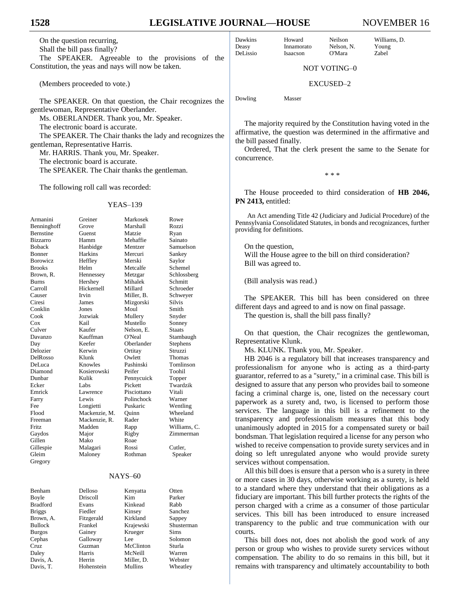On the question recurring, Shall the bill pass finally? The SPEAKER. Agreeable to the provisions of the Constitution, the yeas and nays will now be taken.

(Members proceeded to vote.)

The SPEAKER. On that question, the Chair recognizes the gentlewoman, Representative Oberlander. Ms. OBERLANDER. Thank you, Mr. Speaker. The electronic board is accurate.

The SPEAKER. The Chair thanks the lady and recognizes the gentleman, Representative Harris.

Mr. HARRIS. Thank you, Mr. Speaker.

The electronic board is accurate.

The SPEAKER. The Chair thanks the gentleman.

The following roll call was recorded:

# YEAS–139

| Armanini        | Greiner       | Markosek    | Rowe          |
|-----------------|---------------|-------------|---------------|
| Benninghoff     | Grove         | Marshall    | Rozzi         |
| Bernstine       | Guenst        | Matzie      | Ryan          |
| <b>Bizzarro</b> | Hamm          | Mehaffie    | Sainato       |
| Boback          | Hanbidge      | Mentzer     | Samuelson     |
| Bonner          | Harkins       | Mercuri     | Sankey        |
| Borowicz        | Heffley       | Merski      | Saylor        |
| <b>Brooks</b>   | Helm          | Metcalfe    | Schemel       |
| Brown, R.       | Hennessey     | Metzgar     | Schlossberg   |
| Burns           | Hershey       | Mihalek     | Schmitt       |
| Carroll         | Hickernell    | Millard     | Schroeder     |
| Causer          | Irvin         | Miller, B.  | Schweyer      |
| Ciresi          | James         | Mizgorski   | <b>Silvis</b> |
| Conklin         | Jones         | Moul        | Smith         |
| Cook            | Jozwiak       | Mullery     | Snyder        |
| Cox             | Kail          | Mustello    | Sonney        |
| Culver          | Kaufer        | Nelson. E.  | Staats        |
| Davanzo         | Kauffman      | O'Neal      | Stambaugh     |
| Day             | Keefer        | Oberlander  | Stephens      |
| Delozier        | Kerwin        | Ortitay     | Struzzi       |
| DelRosso        | Klunk         | Owlett      | Thomas        |
| DeLuca          | Knowles       | Pashinski   | Tomlinson     |
| Diamond         | Kosierowski   | Peifer      | Toohil        |
| Dunbar          | Kulik         | Pennycuick  | Topper        |
| Ecker           | Labs          | Pickett     | Twardzik      |
| Emrick          | Lawrence      | Pisciottano | Vitali        |
| Farry           | Lewis         | Polinchock  | Warner        |
| Fee             | Longietti     | Puskaric    | Wentling      |
| Flood           | Mackenzie, M. | Ouinn       | Wheeland      |
| Freeman         | Mackenzie, R. | Rader       | White         |
| Fritz           | Madden        | Rapp        | Williams, C.  |
| Gaydos          | Major         | Rigby       | Zimmerman     |
| Gillen          | Mako          | Roae        |               |
| Gillespie       | Malagari      | Rossi       | Cutler,       |
| Gleim           | Maloney       | Rothman     | Speaker       |
| Gregory         |               |             |               |
|                 |               | $NAYS-60$   |               |
| Benham          | Delloso       | Kenyatta    | Otten         |

Boyle Driscoll Kim Parker Bradford Evans Kinkead Rabb<br>Briggs Fiedler Kinsey Sanch Briggs Fiedler Kinsey Sanchez Brown, A. Fitzgerald Kirkland Sappey Bullock Frankel Krajewski Shusterman Burgos Gainey Krueger Sims Cephas Galloway Lee Solomon Cruz Guzman McClinton Sturla Daley Harris McNeill Warren Davis, A. Herrin Miller, D. Webster

Davis, T. Hohenstein Mullins Wheatley

Dawkins Howard Neilson Williams, D.<br>
Deasy Innamorato Nelson, N. Young Innamorato Nelson, N. Young

DeLissio Isaacson O'Mara Zabel

NOT VOTING–0

#### EXCUSED–2

Dowling Masser

The majority required by the Constitution having voted in the affirmative, the question was determined in the affirmative and the bill passed finally.

Ordered, That the clerk present the same to the Senate for concurrence.

\* \* \*

The House proceeded to third consideration of **HB 2046, PN 2413,** entitled:

An Act amending Title 42 (Judiciary and Judicial Procedure) of the Pennsylvania Consolidated Statutes, in bonds and recognizances, further providing for definitions.

On the question, Will the House agree to the bill on third consideration? Bill was agreed to.

(Bill analysis was read.)

The SPEAKER. This bill has been considered on three different days and agreed to and is now on final passage. The question is, shall the bill pass finally?

On that question, the Chair recognizes the gentlewoman, Representative Klunk.

Ms. KLUNK. Thank you, Mr. Speaker.

HB 2046 is a regulatory bill that increases transparency and professionalism for anyone who is acting as a third-party guarantor, referred to as a "surety," in a criminal case. This bill is designed to assure that any person who provides bail to someone facing a criminal charge is, one, listed on the necessary court paperwork as a surety and, two, is licensed to perform those services. The language in this bill is a refinement to the transparency and professionalism measures that this body unanimously adopted in 2015 for a compensated surety or bail bondsman. That legislation required a license for any person who wished to receive compensation to provide surety services and in doing so left unregulated anyone who would provide surety services without compensation.

All this bill does is ensure that a person who is a surety in three or more cases in 30 days, otherwise working as a surety, is held to a standard where they understand that their obligations as a fiduciary are important. This bill further protects the rights of the person charged with a crime as a consumer of those particular services. This bill has been introduced to ensure increased transparency to the public and true communication with our courts.

This bill does not, does not abolish the good work of any person or group who wishes to provide surety services without compensation. The ability to do so remains in this bill, but it remains with transparency and ultimately accountability to both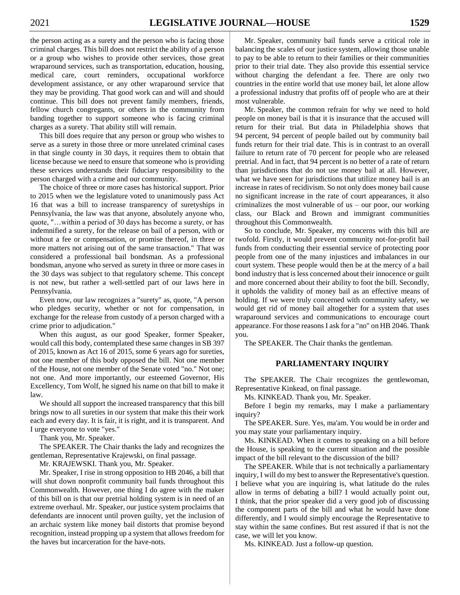the person acting as a surety and the person who is facing those criminal charges. This bill does not restrict the ability of a person or a group who wishes to provide other services, those great wraparound services, such as transportation, education, housing, medical care, court reminders, occupational workforce development assistance, or any other wraparound service that they may be providing. That good work can and will and should continue. This bill does not prevent family members, friends, fellow church congregants, or others in the community from banding together to support someone who is facing criminal charges as a surety. That ability still will remain.

This bill does require that any person or group who wishes to serve as a surety in those three or more unrelated criminal cases in that single county in 30 days, it requires them to obtain that license because we need to ensure that someone who is providing these services understands their fiduciary responsibility to the person charged with a crime and our community.

The choice of three or more cases has historical support. Prior to 2015 when we the legislature voted to unanimously pass Act 16 that was a bill to increase transparency of suretyships in Pennsylvania, the law was that anyone, absolutely anyone who, quote, "…within a period of 30 days has become a surety, or has indemnified a surety, for the release on bail of a person, with or without a fee or compensation, or promise thereof, in three or more matters not arising out of the same transaction." That was considered a professional bail bondsman. As a professional bondsman, anyone who served as surety in three or more cases in the 30 days was subject to that regulatory scheme. This concept is not new, but rather a well-settled part of our laws here in Pennsylvania.

Even now, our law recognizes a "surety" as, quote, "A person who pledges security, whether or not for compensation, in exchange for the release from custody of a person charged with a crime prior to adjudication."

When this august, as our good Speaker, former Speaker, would call this body, contemplated these same changes in SB 397 of 2015, known as Act 16 of 2015, some 6 years ago for sureties, not one member of this body opposed the bill. Not one member of the House, not one member of the Senate voted "no." Not one; not one. And more importantly, our esteemed Governor, His Excellency, Tom Wolf, he signed his name on that bill to make it law.

We should all support the increased transparency that this bill brings now to all sureties in our system that make this their work each and every day. It is fair, it is right, and it is transparent. And I urge everyone to vote "yes."

Thank you, Mr. Speaker.

The SPEAKER. The Chair thanks the lady and recognizes the gentleman, Representative Krajewski, on final passage.

Mr. KRAJEWSKI. Thank you, Mr. Speaker.

Mr. Speaker, I rise in strong opposition to HB 2046, a bill that will shut down nonprofit community bail funds throughout this Commonwealth. However, one thing I do agree with the maker of this bill on is that our pretrial holding system is in need of an extreme overhaul. Mr. Speaker, our justice system proclaims that defendants are innocent until proven guilty, yet the inclusion of an archaic system like money bail distorts that promise beyond recognition, instead propping up a system that allows freedom for the haves but incarceration for the have-nots.

Mr. Speaker, community bail funds serve a critical role in balancing the scales of our justice system, allowing those unable to pay to be able to return to their families or their communities prior to their trial date. They also provide this essential service without charging the defendant a fee. There are only two countries in the entire world that use money bail, let alone allow a professional industry that profits off of people who are at their most vulnerable.

Mr. Speaker, the common refrain for why we need to hold people on money bail is that it is insurance that the accused will return for their trial. But data in Philadelphia shows that 94 percent, 94 percent of people bailed out by community bail funds return for their trial date. This is in contrast to an overall failure to return rate of 70 percent for people who are released pretrial. And in fact, that 94 percent is no better of a rate of return than jurisdictions that do not use money bail at all. However, what we have seen for jurisdictions that utilize money bail is an increase in rates of recidivism. So not only does money bail cause no significant increase in the rate of court appearances, it also criminalizes the most vulnerable of us – our poor, our working class, our Black and Brown and immigrant communities throughout this Commonwealth.

So to conclude, Mr. Speaker, my concerns with this bill are twofold. Firstly, it would prevent community not-for-profit bail funds from conducting their essential service of protecting poor people from one of the many injustices and imbalances in our court system. These people would then be at the mercy of a bail bond industry that is less concerned about their innocence or guilt and more concerned about their ability to foot the bill. Secondly, it upholds the validity of money bail as an effective means of holding. If we were truly concerned with community safety, we would get rid of money bail altogether for a system that uses wraparound services and communications to encourage court appearance. For those reasons I ask for a "no" on HB 2046. Thank you.

The SPEAKER. The Chair thanks the gentleman.

# **PARLIAMENTARY INQUIRY**

The SPEAKER. The Chair recognizes the gentlewoman, Representative Kinkead, on final passage.

Ms. KINKEAD. Thank you, Mr. Speaker.

Before I begin my remarks, may I make a parliamentary inquiry?

The SPEAKER. Sure. Yes, ma'am. You would be in order and you may state your parliamentary inquiry.

Ms. KINKEAD. When it comes to speaking on a bill before the House, is speaking to the current situation and the possible impact of the bill relevant to the discussion of the bill?

The SPEAKER. While that is not technically a parliamentary inquiry, I will do my best to answer the Representative's question. I believe what you are inquiring is, what latitude do the rules allow in terms of debating a bill? I would actually point out, I think, that the prior speaker did a very good job of discussing the component parts of the bill and what he would have done differently, and I would simply encourage the Representative to stay within the same confines. But rest assured if that is not the case, we will let you know.

Ms. KINKEAD. Just a follow-up question.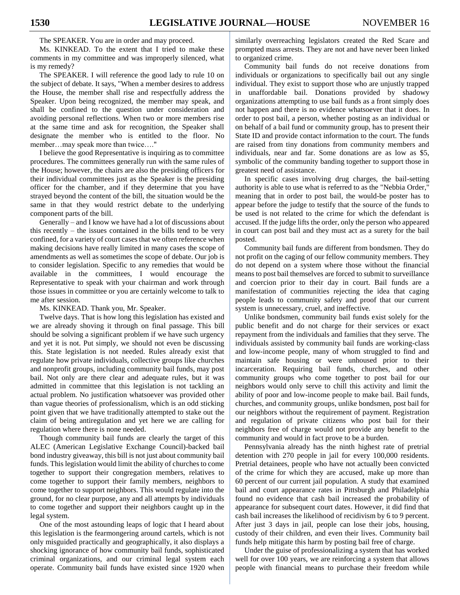The SPEAKER. You are in order and may proceed.

Ms. KINKEAD. To the extent that I tried to make these comments in my committee and was improperly silenced, what is my remedy?

The SPEAKER. I will reference the good lady to rule 10 on the subject of debate. It says, "When a member desires to address the House, the member shall rise and respectfully address the Speaker. Upon being recognized, the member may speak, and shall be confined to the question under consideration and avoiding personal reflections. When two or more members rise at the same time and ask for recognition, the Speaker shall designate the member who is entitled to the floor. No member…may speak more than twice…."

I believe the good Representative is inquiring as to committee procedures. The committees generally run with the same rules of the House; however, the chairs are also the presiding officers for their individual committees just as the Speaker is the presiding officer for the chamber, and if they determine that you have strayed beyond the content of the bill, the situation would be the same in that they would restrict debate to the underlying component parts of the bill.

Generally – and I know we have had a lot of discussions about this recently – the issues contained in the bills tend to be very confined, for a variety of court cases that we often reference when making decisions have really limited in many cases the scope of amendments as well as sometimes the scope of debate. Our job is to consider legislation. Specific to any remedies that would be available in the committees, I would encourage the Representative to speak with your chairman and work through those issues in committee or you are certainly welcome to talk to me after session.

Ms. KINKEAD. Thank you, Mr. Speaker.

Twelve days. That is how long this legislation has existed and we are already shoving it through on final passage. This bill should be solving a significant problem if we have such urgency and yet it is not. Put simply, we should not even be discussing this. State legislation is not needed. Rules already exist that regulate how private individuals, collective groups like churches and nonprofit groups, including community bail funds, may post bail. Not only are there clear and adequate rules, but it was admitted in committee that this legislation is not tackling an actual problem. No justification whatsoever was provided other than vague theories of professionalism, which is an odd sticking point given that we have traditionally attempted to stake out the claim of being antiregulation and yet here we are calling for regulation where there is none needed.

Though community bail funds are clearly the target of this ALEC (American Legislative Exchange Council)-backed bail bond industry giveaway, this bill is not just about community bail funds. This legislation would limit the ability of churches to come together to support their congregation members, relatives to come together to support their family members, neighbors to come together to support neighbors. This would regulate into the ground, for no clear purpose, any and all attempts by individuals to come together and support their neighbors caught up in the legal system.

One of the most astounding leaps of logic that I heard about this legislation is the fearmongering around cartels, which is not only misguided practically and geographically, it also displays a shocking ignorance of how community bail funds, sophisticated criminal organizations, and our criminal legal system each operate. Community bail funds have existed since 1920 when

similarly overreaching legislators created the Red Scare and prompted mass arrests. They are not and have never been linked to organized crime.

Community bail funds do not receive donations from individuals or organizations to specifically bail out any single individual. They exist to support those who are unjustly trapped in unaffordable bail. Donations provided by shadowy organizations attempting to use bail funds as a front simply does not happen and there is no evidence whatsoever that it does. In order to post bail, a person, whether posting as an individual or on behalf of a bail fund or community group, has to present their State ID and provide contact information to the court. The funds are raised from tiny donations from community members and individuals, near and far. Some donations are as low as \$5, symbolic of the community banding together to support those in greatest need of assistance.

In specific cases involving drug charges, the bail-setting authority is able to use what is referred to as the "Nebbia Order," meaning that in order to post bail, the would-be poster has to appear before the judge to testify that the source of the funds to be used is not related to the crime for which the defendant is accused. If the judge lifts the order, only the person who appeared in court can post bail and they must act as a surety for the bail posted.

Community bail funds are different from bondsmen. They do not profit on the caging of our fellow community members. They do not depend on a system where those without the financial means to post bail themselves are forced to submit to surveillance and coercion prior to their day in court. Bail funds are a manifestation of communities rejecting the idea that caging people leads to community safety and proof that our current system is unnecessary, cruel, and ineffective.

Unlike bondsmen, community bail funds exist solely for the public benefit and do not charge for their services or exact repayment from the individuals and families that they serve. The individuals assisted by community bail funds are working-class and low-income people, many of whom struggled to find and maintain safe housing or were unhoused prior to their incarceration. Requiring bail funds, churches, and other community groups who come together to post bail for our neighbors would only serve to chill this activity and limit the ability of poor and low-income people to make bail. Bail funds, churches, and community groups, unlike bondsmen, post bail for our neighbors without the requirement of payment. Registration and regulation of private citizens who post bail for their neighbors free of charge would not provide any benefit to the community and would in fact prove to be a burden.

Pennsylvania already has the ninth highest rate of pretrial detention with 270 people in jail for every 100,000 residents. Pretrial detainees, people who have not actually been convicted of the crime for which they are accused, make up more than 60 percent of our current jail population. A study that examined bail and court appearance rates in Pittsburgh and Philadelphia found no evidence that cash bail increased the probability of appearance for subsequent court dates. However, it did find that cash bail increases the likelihood of recidivism by 6 to 9 percent. After just 3 days in jail, people can lose their jobs, housing, custody of their children, and even their lives. Community bail funds help mitigate this harm by posting bail free of charge.

Under the guise of professionalizing a system that has worked well for over 100 years, we are reinforcing a system that allows people with financial means to purchase their freedom while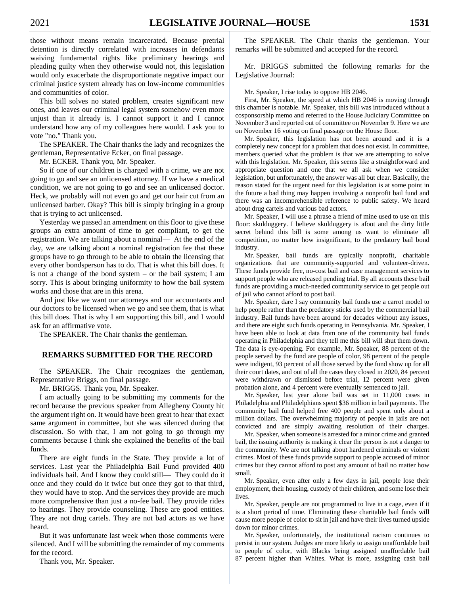those without means remain incarcerated. Because pretrial detention is directly correlated with increases in defendants waiving fundamental rights like preliminary hearings and pleading guilty when they otherwise would not, this legislation would only exacerbate the disproportionate negative impact our criminal justice system already has on low-income communities and communities of color.

This bill solves no stated problem, creates significant new ones, and leaves our criminal legal system somehow even more unjust than it already is. I cannot support it and I cannot understand how any of my colleagues here would. I ask you to vote "no." Thank you.

The SPEAKER. The Chair thanks the lady and recognizes the gentleman, Representative Ecker, on final passage.

Mr. ECKER. Thank you, Mr. Speaker.

So if one of our children is charged with a crime, we are not going to go and see an unlicensed attorney. If we have a medical condition, we are not going to go and see an unlicensed doctor. Heck, we probably will not even go and get our hair cut from an unlicensed barber. Okay? This bill is simply bringing in a group that is trying to act unlicensed.

Yesterday we passed an amendment on this floor to give these groups an extra amount of time to get compliant, to get the registration. We are talking about a nominal— At the end of the day, we are talking about a nominal registration fee that these groups have to go through to be able to obtain the licensing that every other bondsperson has to do. That is what this bill does. It is not a change of the bond system – or the bail system; I am sorry. This is about bringing uniformity to how the bail system works and those that are in this arena.

And just like we want our attorneys and our accountants and our doctors to be licensed when we go and see them, that is what this bill does. That is why I am supporting this bill, and I would ask for an affirmative vote.

The SPEAKER. The Chair thanks the gentleman.

#### **REMARKS SUBMITTED FOR THE RECORD**

The SPEAKER. The Chair recognizes the gentleman, Representative Briggs, on final passage.

Mr. BRIGGS. Thank you, Mr. Speaker.

I am actually going to be submitting my comments for the record because the previous speaker from Allegheny County hit the argument right on. It would have been great to hear that exact same argument in committee, but she was silenced during that discussion. So with that, I am not going to go through my comments because I think she explained the benefits of the bail funds.

There are eight funds in the State. They provide a lot of services. Last year the Philadelphia Bail Fund provided 400 individuals bail. And I know they could still— They could do it once and they could do it twice but once they got to that third, they would have to stop. And the services they provide are much more comprehensive than just a no-fee bail. They provide rides to hearings. They provide counseling. These are good entities. They are not drug cartels. They are not bad actors as we have heard.

But it was unfortunate last week when those comments were silenced. And I will be submitting the remainder of my comments for the record.

Thank you, Mr. Speaker.

The SPEAKER. The Chair thanks the gentleman. Your remarks will be submitted and accepted for the record.

Mr. BRIGGS submitted the following remarks for the Legislative Journal:

Mr. Speaker, I rise today to oppose HB 2046.

First, Mr. Speaker, the speed at which HB 2046 is moving through this chamber is notable. Mr. Speaker, this bill was introduced without a cosponsorship memo and referred to the House Judiciary Committee on November 3 and reported out of committee on November 9. Here we are on November 16 voting on final passage on the House floor.

Mr. Speaker, this legislation has not been around and it is a completely new concept for a problem that does not exist. In committee, members queried what the problem is that we are attempting to solve with this legislation. Mr. Speaker, this seems like a straightforward and appropriate question and one that we all ask when we consider legislation, but unfortunately, the answer was all but clear. Basically, the reason stated for the urgent need for this legislation is at some point in the future a bad thing may happen involving a nonprofit bail fund and there was an incomprehensible reference to public safety. We heard about drug cartels and various bad actors.

Mr. Speaker, I will use a phrase a friend of mine used to use on this floor: skulduggery. I believe skulduggery is afoot and the dirty little secret behind this bill is some among us want to eliminate all competition, no matter how insignificant, to the predatory bail bond industry.

Mr. Speaker, bail funds are typically nonprofit, charitable organizations that are community-supported and volunteer-driven. These funds provide free, no-cost bail and case management services to support people who are released pending trial. By all accounts these bail funds are providing a much-needed community service to get people out of jail who cannot afford to post bail.

Mr. Speaker, dare I say community bail funds use a carrot model to help people rather than the predatory sticks used by the commercial bail industry. Bail funds have been around for decades without any issues, and there are eight such funds operating in Pennsylvania. Mr. Speaker, I have been able to look at data from one of the community bail funds operating in Philadelphia and they tell me this bill will shut them down. The data is eye-opening. For example, Mr. Speaker, 88 percent of the people served by the fund are people of color, 98 percent of the people were indigent, 93 percent of all those served by the fund show up for all their court dates, and out of all the cases they closed in 2020, 84 percent were withdrawn or dismissed before trial, 12 percent were given probation alone, and 4 percent were eventually sentenced to jail.

Mr. Speaker, last year alone bail was set in 11,000 cases in Philadelphia and Philadelphians spent \$36 million in bail payments. The community bail fund helped free 400 people and spent only about a million dollars. The overwhelming majority of people in jails are not convicted and are simply awaiting resolution of their charges.

Mr. Speaker, when someone is arrested for a minor crime and granted bail, the issuing authority is making it clear the person is not a danger to the community. We are not talking about hardened criminals or violent crimes. Most of these funds provide support to people accused of minor crimes but they cannot afford to post any amount of bail no matter how small.

Mr. Speaker, even after only a few days in jail, people lose their employment, their housing, custody of their children, and some lose their lives.

Mr. Speaker, people are not programmed to live in a cage, even if it is a short period of time. Eliminating these charitable bail funds will cause more people of color to sit in jail and have their lives turned upside down for minor crimes.

Mr. Speaker, unfortunately, the institutional racism continues to persist in our system. Judges are more likely to assign unaffordable bail to people of color, with Blacks being assigned unaffordable bail 87 percent higher than Whites. What is more, assigning cash bail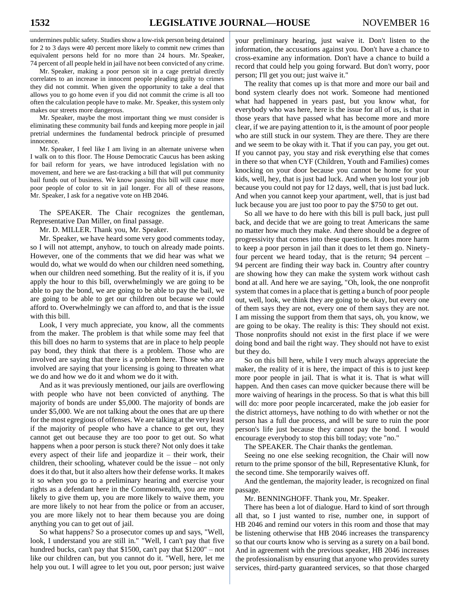undermines public safety. Studies show a low-risk person being detained for 2 to 3 days were 40 percent more likely to commit new crimes than equivalent persons held for no more than 24 hours. Mr. Speaker, 74 percent of all people held in jail have not been convicted of any crime.

Mr. Speaker, making a poor person sit in a cage pretrial directly correlates to an increase in innocent people pleading guilty to crimes they did not commit. When given the opportunity to take a deal that allows you to go home even if you did not commit the crime is all too often the calculation people have to make. Mr. Speaker, this system only makes our streets more dangerous.

Mr. Speaker, maybe the most important thing we must consider is eliminating these community bail funds and keeping more people in jail pretrial undermines the fundamental bedrock principle of presumed innocence.

Mr. Speaker, I feel like I am living in an alternate universe when I walk on to this floor. The House Democratic Caucus has been asking for bail reform for years, we have introduced legislation with no movement, and here we are fast-tracking a bill that will put community bail funds out of business. We know passing this bill will cause more poor people of color to sit in jail longer. For all of these reasons, Mr. Speaker, I ask for a negative vote on HB 2046.

The SPEAKER. The Chair recognizes the gentleman, Representative Dan Miller, on final passage.

Mr. D. MILLER. Thank you, Mr. Speaker.

Mr. Speaker, we have heard some very good comments today, so I will not attempt, anyhow, to touch on already made points. However, one of the comments that we did hear was what we would do, what we would do when our children need something, when our children need something. But the reality of it is, if you apply the hour to this bill, overwhelmingly we are going to be able to pay the bond, we are going to be able to pay the bail, we are going to be able to get our children out because we could afford to. Overwhelmingly we can afford to, and that is the issue with this bill.

Look, I very much appreciate, you know, all the comments from the maker. The problem is that while some may feel that this bill does no harm to systems that are in place to help people pay bond, they think that there is a problem. Those who are involved are saying that there is a problem here. Those who are involved are saying that your licensing is going to threaten what we do and how we do it and whom we do it with.

And as it was previously mentioned, our jails are overflowing with people who have not been convicted of anything. The majority of bonds are under \$5,000. The majority of bonds are under \$5,000. We are not talking about the ones that are up there for the most egregious of offenses. We are talking at the very least if the majority of people who have a chance to get out, they cannot get out because they are too poor to get out. So what happens when a poor person is stuck there? Not only does it take every aspect of their life and jeopardize it – their work, their children, their schooling, whatever could be the issue – not only does it do that, but it also alters how their defense works. It makes it so when you go to a preliminary hearing and exercise your rights as a defendant here in the Commonwealth, you are more likely to give them up, you are more likely to waive them, you are more likely to not hear from the police or from an accuser, you are more likely not to hear them because you are doing anything you can to get out of jail.

So what happens? So a prosecutor comes up and says, "Well, look, I understand you are still in." "Well, I can't pay that five hundred bucks, can't pay that \$1500, can't pay that \$1200" – not like our children can, but you cannot do it. "Well, here, let me help you out. I will agree to let you out, poor person; just waive your preliminary hearing, just waive it. Don't listen to the information, the accusations against you. Don't have a chance to cross-examine any information. Don't have a chance to build a record that could help you going forward. But don't worry, poor person; I'll get you out; just waive it."

The reality that comes up is that more and more our bail and bond system clearly does not work. Someone had mentioned what had happened in years past, but you know what, for everybody who was here, here is the issue for all of us, is that in those years that have passed what has become more and more clear, if we are paying attention to it, is the amount of poor people who are still stuck in our system. They are there. They are there and we seem to be okay with it. That if you can pay, you get out. If you cannot pay, you stay and risk everything else that comes in there so that when CYF (Children, Youth and Families) comes knocking on your door because you cannot be home for your kids, well, hey, that is just bad luck. And when you lost your job because you could not pay for 12 days, well, that is just bad luck. And when you cannot keep your apartment, well, that is just bad luck because you are just too poor to pay the \$750 to get out.

So all we have to do here with this bill is pull back, just pull back, and decide that we are going to treat Americans the same no matter how much they make. And there should be a degree of progressivity that comes into these questions. It does more harm to keep a poor person in jail than it does to let them go. Ninetyfour percent we heard today, that is the return; 94 percent – 94 percent are finding their way back in. Country after country are showing how they can make the system work without cash bond at all. And here we are saying, "Oh, look, the one nonprofit system that comes in a place that is getting a bunch of poor people out, well, look, we think they are going to be okay, but every one of them says they are not, every one of them says they are not. I am missing the support from them that says, oh, you know, we are going to be okay. The reality is this: They should not exist. Those nonprofits should not exist in the first place if we were doing bond and bail the right way. They should not have to exist but they do.

So on this bill here, while I very much always appreciate the maker, the reality of it is here, the impact of this is to just keep more poor people in jail. That is what it is. That is what will happen. And then cases can move quicker because there will be more waiving of hearings in the process. So that is what this bill will do: more poor people incarcerated, make the job easier for the district attorneys, have nothing to do with whether or not the person has a full due process, and will be sure to ruin the poor person's life just because they cannot pay the bond. I would encourage everybody to stop this bill today; vote "no."

The SPEAKER. The Chair thanks the gentleman.

Seeing no one else seeking recognition, the Chair will now return to the prime sponsor of the bill, Representative Klunk, for the second time. She temporarily waives off.

And the gentleman, the majority leader, is recognized on final passage.

Mr. BENNINGHOFF. Thank you, Mr. Speaker.

There has been a lot of dialogue. Hard to kind of sort through all that, so I just wanted to rise, number one, in support of HB 2046 and remind our voters in this room and those that may be listening otherwise that HB 2046 increases the transparency so that our courts know who is serving as a surety on a bail bond. And in agreement with the previous speaker, HB 2046 increases the professionalism by ensuring that anyone who provides surety services, third-party guaranteed services, so that those charged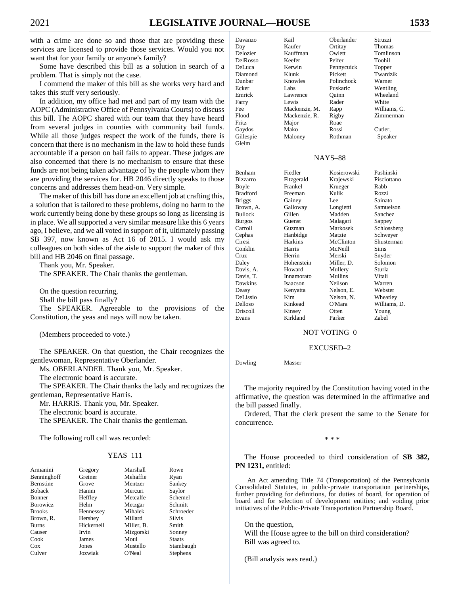$Gl$ 

with a crime are done so and those that are providing these services are licensed to provide those services. Would you not want that for your family or anyone's family?

Some have described this bill as a solution in search of a problem. That is simply not the case.

I commend the maker of this bill as she works very hard and takes this stuff very seriously.

In addition, my office had met and part of my team with the AOPC (Administrative Office of Pennsylvania Courts) to discuss this bill. The AOPC shared with our team that they have heard from several judges in counties with community bail funds. While all those judges respect the work of the funds, there is concern that there is no mechanism in the law to hold these funds accountable if a person on bail fails to appear. These judges are also concerned that there is no mechanism to ensure that these funds are not being taken advantage of by the people whom they are providing the services for. HB 2046 directly speaks to those concerns and addresses them head-on. Very simple.

The maker of this bill has done an excellent job at crafting this, a solution that is tailored to these problems, doing no harm to the work currently being done by these groups so long as licensing is in place. We all supported a very similar measure like this 6 years ago, I believe, and we all voted in support of it, ultimately passing SB 397, now known as Act 16 of 2015. I would ask my colleagues on both sides of the aisle to support the maker of this bill and HB 2046 on final passage.

Thank you, Mr. Speaker.

The SPEAKER. The Chair thanks the gentleman.

On the question recurring, Shall the bill pass finally?

The SPEAKER. Agreeable to the provisions of the Constitution, the yeas and nays will now be taken.

(Members proceeded to vote.)

The SPEAKER. On that question, the Chair recognizes the gentlewoman, Representative Oberlander.

Ms. OBERLANDER. Thank you, Mr. Speaker.

The electronic board is accurate.

The SPEAKER. The Chair thanks the lady and recognizes the gentleman, Representative Harris.

Mr. HARRIS. Thank you, Mr. Speaker.

The electronic board is accurate.

The SPEAKER. The Chair thanks the gentleman.

The following roll call was recorded:

# YEAS–111

| Armanini         | Gregory    | Marshall   | Rowe            |
|------------------|------------|------------|-----------------|
| Benninghoff      | Greiner    | Mehaffie   | Ryan            |
| <b>Bernstine</b> | Grove      | Mentzer    | Sankey          |
| <b>Boback</b>    | Hamm       | Mercuri    | Saylor          |
| <b>Bonner</b>    | Heffley    | Metcalfe   | Schemel         |
| <b>Borowicz</b>  | Helm       | Metzgar    | Schmitt         |
| <b>Brooks</b>    | Hennessey  | Mihalek    | Schroeder       |
| Brown, R.        | Hershey    | Millard    | Silvis          |
| <b>Burns</b>     | Hickernell | Miller, B. | Smith           |
| Causer           | Irvin      | Mizgorski  | Sonney          |
| Cook             | James      | Moul       | <b>Staats</b>   |
| $\cos$           | Jones      | Mustello   | Stambaugh       |
| Culver           | Jozwiak    | O'Neal     | <b>Stephens</b> |

| Davanzo   | Kail          | Oberlander     | Struzzi      |
|-----------|---------------|----------------|--------------|
| Day       | Kaufer        | Ortitay        | Thomas       |
| Delozier  | Kauffman      | Owlett         | Tomlinson    |
| DelRosso  | Keefer        | Peifer         | Toohil       |
| DeLuca    | Kerwin        | Pennycuick     | Topper       |
| Diamond   | Klunk         | Pickett        | Twardzik     |
| Dunbar    | Knowles       | Polinchock     | Warner       |
| Ecker     | Labs          | Puskaric       | Wentling     |
| Emrick    | Lawrence      | Ouinn          | Wheeland     |
| Farry     | Lewis         | Rader          | White        |
| Fee       | Mackenzie, M. | Rapp           | Williams, C. |
| Flood     | Mackenzie, R. | Rigby          | Zimmerman    |
| Fritz     | Major         | Roae           |              |
| Gaydos    | Mako          | Rossi          | Cutler,      |
| Gillespie | Maloney       | Rothman        | Speaker      |
| Gleim     |               |                |              |
|           |               | <b>NAYS-88</b> |              |

| Benham          | Fiedler    | Kosierowski | Pashinski    |
|-----------------|------------|-------------|--------------|
| <b>Bizzarro</b> | Fitzgerald | Krajewski   | Pisciottano  |
| Boyle           | Frankel    | Krueger     | Rabb         |
| Bradford        | Freeman    | Kulik       | Rozzi        |
| <b>Briggs</b>   | Gainey     | Lee         | Sainato      |
| Brown, A.       | Galloway   | Longietti   | Samuelson    |
| <b>Bullock</b>  | Gillen     | Madden      | Sanchez      |
| <b>Burgos</b>   | Guenst     | Malagari    | Sappey       |
| Carroll         | Guzman     | Markosek    | Schlossberg  |
| Cephas          | Hanbidge   | Matzie      | Schweyer     |
| Ciresi          | Harkins    | McClinton   | Shusterman   |
| Conklin         | Harris     | McNeill     | Sims         |
| Cruz            | Herrin     | Merski      | Snyder       |
| Daley           | Hohenstein | Miller, D.  | Solomon      |
| Davis, A.       | Howard     | Mullery     | Sturla       |
| Davis, T.       | Innamorato | Mullins     | Vitali       |
| Dawkins         | Isaacson   | Neilson     | Warren       |
| Deasy           | Kenyatta   | Nelson, E.  | Webster      |
| DeLissio        | Kim        | Nelson, N.  | Wheatley     |
| Delloso         | Kinkead    | O'Mara      | Williams, D. |
| Driscoll        | Kinsey     | Otten       | Young        |
| Evans           | Kirkland   | Parker      | Zabel        |

#### NOT VOTING–0

#### EXCUSED–2

Dowling Masser

The majority required by the Constitution having voted in the affirmative, the question was determined in the affirmative and the bill passed finally.

Ordered, That the clerk present the same to the Senate for concurrence.

\* \* \*

The House proceeded to third consideration of **SB 382, PN 1231,** entitled:

An Act amending Title 74 (Transportation) of the Pennsylvania Consolidated Statutes, in public-private transportation partnerships, further providing for definitions, for duties of board, for operation of board and for selection of development entities; and voiding prior initiatives of the Public-Private Transportation Partnership Board.

On the question, Will the House agree to the bill on third consideration? Bill was agreed to.

(Bill analysis was read.)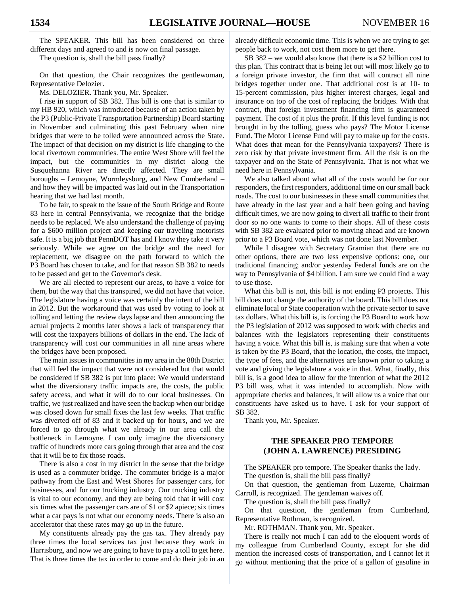The SPEAKER. This bill has been considered on three different days and agreed to and is now on final passage.

The question is, shall the bill pass finally?

On that question, the Chair recognizes the gentlewoman, Representative Delozier.

Ms. DELOZIER. Thank you, Mr. Speaker.

I rise in support of SB 382. This bill is one that is similar to my HB 920, which was introduced because of an action taken by the P3 (Public-Private Transportation Partnership) Board starting in November and culminating this past February when nine bridges that were to be tolled were announced across the State. The impact of that decision on my district is life changing to the local rivertown communities. The entire West Shore will feel the impact, but the communities in my district along the Susquehanna River are directly affected. They are small boroughs – Lemoyne, Wormleysburg, and New Cumberland – and how they will be impacted was laid out in the Transportation hearing that we had last month.

To be fair, to speak to the issue of the South Bridge and Route 83 here in central Pennsylvania, we recognize that the bridge needs to be replaced. We also understand the challenge of paying for a \$600 million project and keeping our traveling motorists safe. It is a big job that PennDOT has and I know they take it very seriously. While we agree on the bridge and the need for replacement, we disagree on the path forward to which the P3 Board has chosen to take, and for that reason SB 382 to needs to be passed and get to the Governor's desk.

We are all elected to represent our areas, to have a voice for them, but the way that this transpired, we did not have that voice. The legislature having a voice was certainly the intent of the bill in 2012. But the workaround that was used by voting to look at tolling and letting the review days lapse and then announcing the actual projects 2 months later shows a lack of transparency that will cost the taxpayers billions of dollars in the end. The lack of transparency will cost our communities in all nine areas where the bridges have been proposed.

The main issues in communities in my area in the 88th District that will feel the impact that were not considered but that would be considered if SB 382 is put into place: We would understand what the diversionary traffic impacts are, the costs, the public safety access, and what it will do to our local businesses. On traffic, we just realized and have seen the backup when our bridge was closed down for small fixes the last few weeks. That traffic was diverted off of 83 and it backed up for hours, and we are forced to go through what we already in our area call the bottleneck in Lemoyne. I can only imagine the diversionary traffic of hundreds more cars going through that area and the cost that it will be to fix those roads.

There is also a cost in my district in the sense that the bridge is used as a commuter bridge. The commuter bridge is a major pathway from the East and West Shores for passenger cars, for businesses, and for our trucking industry. Our trucking industry is vital to our economy, and they are being told that it will cost six times what the passenger cars are of \$1 or \$2 apiece; six times what a car pays is not what our economy needs. There is also an accelerator that these rates may go up in the future.

My constituents already pay the gas tax. They already pay three times the local services tax just because they work in Harrisburg, and now we are going to have to pay a toll to get here. That is three times the tax in order to come and do their job in an

already difficult economic time. This is when we are trying to get people back to work, not cost them more to get there.

SB 382 – we would also know that there is a \$2 billion cost to this plan. This contract that is being let out will most likely go to a foreign private investor, the firm that will contract all nine bridges together under one. That additional cost is at 10- to 15-percent commission, plus higher interest charges, legal and insurance on top of the cost of replacing the bridges. With that contract, that foreign investment financing firm is guaranteed payment. The cost of it plus the profit. If this level funding is not brought in by the tolling, guess who pays? The Motor License Fund. The Motor License Fund will pay to make up for the costs. What does that mean for the Pennsylvania taxpayers? There is zero risk by that private investment firm. All the risk is on the taxpayer and on the State of Pennsylvania. That is not what we need here in Pennsylvania.

We also talked about what all of the costs would be for our responders, the first responders, additional time on our small back roads. The cost to our businesses in these small communities that have already in the last year and a half been going and having difficult times, we are now going to divert all traffic to their front door so no one wants to come to their shops. All of these costs with SB 382 are evaluated prior to moving ahead and are known prior to a P3 Board vote, which was not done last November.

While I disagree with Secretary Gramian that there are no other options, there are two less expensive options: one, our traditional financing; and/or yesterday Federal funds are on the way to Pennsylvania of \$4 billion. I am sure we could find a way to use those.

What this bill is not, this bill is not ending P3 projects. This bill does not change the authority of the board. This bill does not eliminate local or State cooperation with the private sector to save tax dollars. What this bill is, is forcing the P3 Board to work how the P3 legislation of 2012 was supposed to work with checks and balances with the legislators representing their constituents having a voice. What this bill is, is making sure that when a vote is taken by the P3 Board, that the location, the costs, the impact, the type of fees, and the alternatives are known prior to taking a vote and giving the legislature a voice in that. What, finally, this bill is, is a good idea to allow for the intention of what the 2012 P3 bill was, what it was intended to accomplish. Now with appropriate checks and balances, it will allow us a voice that our constituents have asked us to have. I ask for your support of SB 382.

Thank you, Mr. Speaker.

# **THE SPEAKER PRO TEMPORE (JOHN A. LAWRENCE) PRESIDING**

The SPEAKER pro tempore. The Speaker thanks the lady. The question is, shall the bill pass finally?

On that question, the gentleman from Luzerne, Chairman Carroll, is recognized. The gentleman waives off.

The question is, shall the bill pass finally?

On that question, the gentleman from Cumberland, Representative Rothman, is recognized.

Mr. ROTHMAN. Thank you, Mr. Speaker.

There is really not much I can add to the eloquent words of my colleague from Cumberland County, except for she did mention the increased costs of transportation, and I cannot let it go without mentioning that the price of a gallon of gasoline in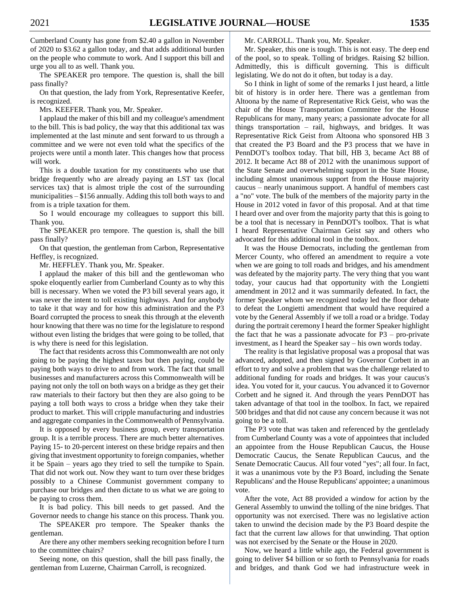Cumberland County has gone from \$2.40 a gallon in November of 2020 to \$3.62 a gallon today, and that adds additional burden on the people who commute to work. And I support this bill and urge you all to as well. Thank you.

The SPEAKER pro tempore. The question is, shall the bill pass finally?

On that question, the lady from York, Representative Keefer, is recognized.

Mrs. KEEFER. Thank you, Mr. Speaker.

I applaud the maker of this bill and my colleague's amendment to the bill. This is bad policy, the way that this additional tax was implemented at the last minute and sent forward to us through a committee and we were not even told what the specifics of the projects were until a month later. This changes how that process will work.

This is a double taxation for my constituents who use that bridge frequently who are already paying an LST tax (local services tax) that is almost triple the cost of the surrounding municipalities – \$156 annually. Adding this toll both ways to and from is a triple taxation for them.

So I would encourage my colleagues to support this bill. Thank you.

The SPEAKER pro tempore. The question is, shall the bill pass finally?

On that question, the gentleman from Carbon, Representative Heffley, is recognized.

Mr. HEFFLEY. Thank you, Mr. Speaker.

I applaud the maker of this bill and the gentlewoman who spoke eloquently earlier from Cumberland County as to why this bill is necessary. When we voted the P3 bill several years ago, it was never the intent to toll existing highways. And for anybody to take it that way and for how this administration and the P3 Board corrupted the process to sneak this through at the eleventh hour knowing that there was no time for the legislature to respond without even listing the bridges that were going to be tolled, that is why there is need for this legislation.

The fact that residents across this Commonwealth are not only going to be paying the highest taxes but then paying, could be paying both ways to drive to and from work. The fact that small businesses and manufacturers across this Commonwealth will be paying not only the toll on both ways on a bridge as they get their raw materials to their factory but then they are also going to be paying a toll both ways to cross a bridge when they take their product to market. This will cripple manufacturing and industries and aggregate companies in the Commonwealth of Pennsylvania.

It is opposed by every business group, every transportation group. It is a terrible process. There are much better alternatives. Paying 15- to 20-percent interest on these bridge repairs and then giving that investment opportunity to foreign companies, whether it be Spain – years ago they tried to sell the turnpike to Spain. That did not work out. Now they want to turn over these bridges possibly to a Chinese Communist government company to purchase our bridges and then dictate to us what we are going to be paying to cross them.

It is bad policy. This bill needs to get passed. And the Governor needs to change his stance on this process. Thank you.

The SPEAKER pro tempore. The Speaker thanks the gentleman.

Are there any other members seeking recognition before I turn to the committee chairs?

Seeing none, on this question, shall the bill pass finally, the gentleman from Luzerne, Chairman Carroll, is recognized.

Mr. CARROLL. Thank you, Mr. Speaker.

Mr. Speaker, this one is tough. This is not easy. The deep end of the pool, so to speak. Tolling of bridges. Raising \$2 billion. Admittedly, this is difficult governing. This is difficult legislating. We do not do it often, but today is a day.

So I think in light of some of the remarks I just heard, a little bit of history is in order here. There was a gentleman from Altoona by the name of Representative Rick Geist, who was the chair of the House Transportation Committee for the House Republicans for many, many years; a passionate advocate for all things transportation – rail, highways, and bridges. It was Representative Rick Geist from Altoona who sponsored HB 3 that created the P3 Board and the P3 process that we have in PennDOT's toolbox today. That bill, HB 3, became Act 88 of 2012. It became Act 88 of 2012 with the unanimous support of the State Senate and overwhelming support in the State House, including almost unanimous support from the House majority caucus – nearly unanimous support. A handful of members cast a "no" vote. The bulk of the members of the majority party in the House in 2012 voted in favor of this proposal. And at that time I heard over and over from the majority party that this is going to be a tool that is necessary in PennDOT's toolbox. That is what I heard Representative Chairman Geist say and others who advocated for this additional tool in the toolbox.

It was the House Democrats, including the gentleman from Mercer County, who offered an amendment to require a vote when we are going to toll roads and bridges, and his amendment was defeated by the majority party. The very thing that you want today, your caucus had that opportunity with the Longietti amendment in 2012 and it was summarily defeated. In fact, the former Speaker whom we recognized today led the floor debate to defeat the Longietti amendment that would have required a vote by the General Assembly if we toll a road or a bridge. Today during the portrait ceremony I heard the former Speaker highlight the fact that he was a passionate advocate for  $P3 - pro$ -pro-private investment, as I heard the Speaker say – his own words today.

The reality is that legislative proposal was a proposal that was advanced, adopted, and then signed by Governor Corbett in an effort to try and solve a problem that was the challenge related to additional funding for roads and bridges. It was your caucus's idea. You voted for it, your caucus. You advanced it to Governor Corbett and he signed it. And through the years PennDOT has taken advantage of that tool in the toolbox. In fact, we repaired 500 bridges and that did not cause any concern because it was not going to be a toll.

The P3 vote that was taken and referenced by the gentlelady from Cumberland County was a vote of appointees that included an appointee from the House Republican Caucus, the House Democratic Caucus, the Senate Republican Caucus, and the Senate Democratic Caucus. All four voted "yes"; all four. In fact, it was a unanimous vote by the P3 Board, including the Senate Republicans' and the House Republicans' appointee; a unanimous vote.

After the vote, Act 88 provided a window for action by the General Assembly to unwind the tolling of the nine bridges. That opportunity was not exercised. There was no legislative action taken to unwind the decision made by the P3 Board despite the fact that the current law allows for that unwinding. That option was not exercised by the Senate or the House in 2020.

Now, we heard a little while ago, the Federal government is going to deliver \$4 billion or so forth to Pennsylvania for roads and bridges, and thank God we had infrastructure week in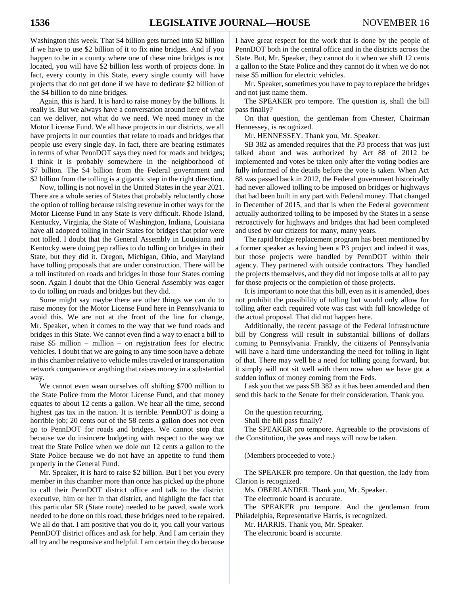Washington this week. That \$4 billion gets turned into \$2 billion if we have to use \$2 billion of it to fix nine bridges. And if you happen to be in a county where one of these nine bridges is not located, you will have \$2 billion less worth of projects done. In fact, every county in this State, every single county will have projects that do not get done if we have to dedicate \$2 billion of the \$4 billion to do nine bridges.

Again, this is hard. It is hard to raise money by the billions. It really is. But we always have a conversation around here of what can we deliver, not what do we need. We need money in the Motor License Fund. We all have projects in our districts, we all have projects in our counties that relate to roads and bridges that people use every single day. In fact, there are bearing estimates in terms of what PennDOT says they need for roads and bridges; I think it is probably somewhere in the neighborhood of \$7 billion. The \$4 billion from the Federal government and \$2 billion from the tolling is a gigantic step in the right direction.

Now, tolling is not novel in the United States in the year 2021. There are a whole series of States that probably reluctantly chose the option of tolling because raising revenue in other ways for the Motor License Fund in any State is very difficult. Rhode Island, Kentucky, Virginia, the State of Washington, Indiana, Louisiana have all adopted tolling in their States for bridges that prior were not tolled. I doubt that the General Assembly in Louisiana and Kentucky were doing pep rallies to do tolling on bridges in their State, but they did it. Oregon, Michigan, Ohio, and Maryland have tolling proposals that are under construction. There will be a toll instituted on roads and bridges in those four States coming soon. Again I doubt that the Ohio General Assembly was eager to do tolling on roads and bridges but they did.

Some might say maybe there are other things we can do to raise money for the Motor License Fund here in Pennsylvania to avoid this. We are not at the front of the line for change, Mr. Speaker, when it comes to the way that we fund roads and bridges in this State. We cannot even find a way to enact a bill to raise \$5 million – million – on registration fees for electric vehicles. I doubt that we are going to any time soon have a debate in this chamber relative to vehicle miles traveled or transportation network companies or anything that raises money in a substantial way.

We cannot even wean ourselves off shifting \$700 million to the State Police from the Motor License Fund, and that money equates to about 12 cents a gallon. We hear all the time, second highest gas tax in the nation. It is terrible. PennDOT is doing a horrible job; 20 cents out of the 58 cents a gallon does not even go to PennDOT for roads and bridges. We cannot stop that because we do insincere budgeting with respect to the way we treat the State Police when we dole out 12 cents a gallon to the State Police because we do not have an appetite to fund them properly in the General Fund.

Mr. Speaker, it is hard to raise \$2 billion. But I bet you every member in this chamber more than once has picked up the phone to call their PennDOT district office and talk to the district executive, him or her in that district, and highlight the fact that this particular SR (State route) needed to be paved, swale work needed to be done on this road, these bridges need to be repaired. We all do that. I am positive that you do it, you call your various PennDOT district offices and ask for help. And I am certain they all try and be responsive and helpful. I am certain they do because

I have great respect for the work that is done by the people of PennDOT both in the central office and in the districts across the State. But, Mr. Speaker, they cannot do it when we shift 12 cents a gallon to the State Police and they cannot do it when we do not raise \$5 million for electric vehicles.

Mr. Speaker, sometimes you have to pay to replace the bridges and not just name them.

The SPEAKER pro tempore. The question is, shall the bill pass finally?

On that question, the gentleman from Chester, Chairman Hennessey, is recognized.

Mr. HENNESSEY. Thank you, Mr. Speaker.

SB 382 as amended requires that the P3 process that was just talked about and was authorized by Act 88 of 2012 be implemented and votes be taken only after the voting bodies are fully informed of the details before the vote is taken. When Act 88 was passed back in 2012, the Federal government historically had never allowed tolling to be imposed on bridges or highways that had been built in any part with Federal money. That changed in December of 2015, and that is when the Federal government actually authorized tolling to be imposed by the States in a sense retroactively for highways and bridges that had been completed and used by our citizens for many, many years.

The rapid bridge replacement program has been mentioned by a former speaker as having been a P3 project and indeed it was, but those projects were handled by PennDOT within their agency. They partnered with outside contractors. They handled the projects themselves, and they did not impose tolls at all to pay for those projects or the completion of those projects.

It is important to note that this bill, even as it is amended, does not prohibit the possibility of tolling but would only allow for tolling after each required vote was cast with full knowledge of the actual proposal. That did not happen here.

Additionally, the recent passage of the Federal infrastructure bill by Congress will result in substantial billions of dollars coming to Pennsylvania. Frankly, the citizens of Pennsylvania will have a hard time understanding the need for tolling in light of that. There may well be a need for tolling going forward, but it simply will not sit well with them now when we have got a sudden influx of money coming from the Feds.

I ask you that we pass SB 382 as it has been amended and then send this back to the Senate for their consideration. Thank you.

On the question recurring,

Shall the bill pass finally?

The SPEAKER pro tempore. Agreeable to the provisions of the Constitution, the yeas and nays will now be taken.

(Members proceeded to vote.)

The SPEAKER pro tempore. On that question, the lady from Clarion is recognized.

Ms. OBERLANDER. Thank you, Mr. Speaker.

The electronic board is accurate.

The SPEAKER pro tempore. And the gentleman from Philadelphia, Representative Harris, is recognized.

Mr. HARRIS. Thank you, Mr. Speaker.

The electronic board is accurate.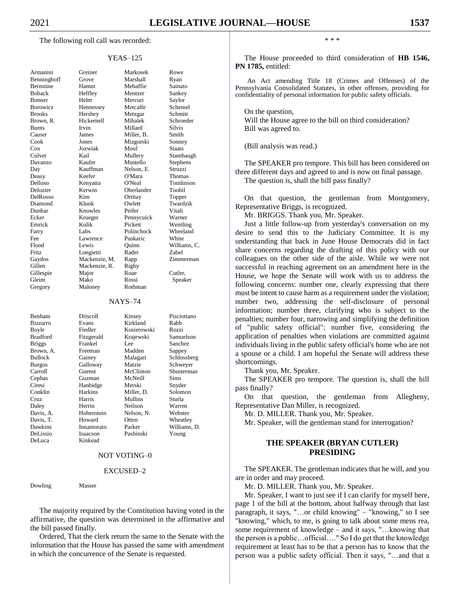The following roll call was recorded:

#### YEAS–125

| Armanini      |
|---------------|
| Benninghoff   |
| Bernstine     |
| <b>Boback</b> |
| Bonner        |
| Borowicz      |
| <b>Brooks</b> |
| Brown, R.     |
| <b>Burns</b>  |
| Causer        |
| Cook          |
| Cox           |
| Culver        |
| Davanzo       |
| Day           |
| Deasy         |
| Delloso       |
| Delozier      |
| DelRosso      |
| Diamond       |
| Dunbar        |
| Ecker         |
| Emrick        |
| Farry         |
| Fee           |
| Flood         |
| Fritz         |
| Gaydos        |
| Gillen        |
| Gillespie     |
| Gleim         |
| Gregory       |
|               |

Armanini Greiner Markosek Rowe Grove Marshall Ryan Hamm Mehaffie Sainato Heffley Mentzer Sankey Bonner Helm Mercuri Saylor Hennessey Metcalfe Schemel Hershey Metzgar Schmitt Hickernell Mihalek Schroeder Burns Irvin Millard Silvis James Miller, B. Smith Jones Mizgorski Sonney Jozwiak Moul Staats Kail Mullery Stambaugh Kaufer Mustello Stephens Kauffman Nelson, E. Struzzi Keefer O'Mara Thomas Kenyatta O'Neal Tomlinson Kerwin Oberlander Toohil Kim Ortitay Topper Klunk Owlett Twardzik Knowles Peifer Vitali Krueger Pennycuick Warner Kulik Pickett Wentling Labs Polinchock Wheeland Lawrence Puskaric White Lewis Quinn Williams, C.<br>
Longietti Rader Zabel Longietti Mackenzie, M. Rapp Zimmerman Mackenzie, R. Rigby Gillespie Major Roae Cutler, Mako Rossi Speaker

#### NAYS–74

Maloney Rothman

| Benham          | Driscoll       | Kinsey      | Pisciottano  |
|-----------------|----------------|-------------|--------------|
| <b>Bizzarro</b> | Evans          | Kirkland    | Rabb         |
| Boyle           | Fiedler        | Kosierowski | Rozzi        |
| <b>Bradford</b> | Fitzgerald     | Krajewski   | Samuelson    |
| <b>Briggs</b>   | Frankel        | Lee         | Sanchez      |
| Brown, A.       | Freeman        | Madden      | Sappey       |
| <b>Bullock</b>  | Gainey         | Malagari    | Schlossberg  |
| <b>Burgos</b>   | Galloway       | Matzie      | Schweyer     |
| Carroll         | Guenst         | McClinton   | Shusterman   |
| Cephas          | Guzman         | McNeill     | Sims         |
| Ciresi          | Hanbidge       | Merski      | Snyder       |
| Conklin         | <b>Harkins</b> | Miller, D.  | Solomon      |
| Cruz.           | Harris         | Mullins     | Sturla       |
| Daley           | Herrin         | Neilson     | Warren       |
| Davis, A.       | Hohenstein     | Nelson, N.  | Webster      |
| Davis, T.       | Howard         | Otten       | Wheatley     |
| Dawkins         | Innamorato     | Parker      | Williams, D. |
| DeLissio        | Isaacson       | Pashinski   | Young        |
| DeLuca          | Kinkead        |             |              |

#### NOT VOTING–0

#### EXCUSED–2

Dowling Masser

The majority required by the Constitution having voted in the affirmative, the question was determined in the affirmative and the bill passed finally.

Ordered, That the clerk return the same to the Senate with the information that the House has passed the same with amendment in which the concurrence of the Senate is requested.

\* \* \*

The House proceeded to third consideration of **HB 1546, PN 1785,** entitled:

An Act amending Title 18 (Crimes and Offenses) of the Pennsylvania Consolidated Statutes, in other offenses, providing for confidentiality of personal information for public safety officials.

On the question,

Will the House agree to the bill on third consideration? Bill was agreed to.

(Bill analysis was read.)

The SPEAKER pro tempore. This bill has been considered on three different days and agreed to and is now on final passage. The question is, shall the bill pass finally?

On that question, the gentleman from Montgomery, Representative Briggs, is recognized.

Mr. BRIGGS. Thank you, Mr. Speaker.

Just a little follow-up from yesterday's conversation on my desire to send this to the Judiciary Committee. It is my understanding that back in June House Democrats did in fact share concerns regarding the drafting of this policy with our colleagues on the other side of the aisle. While we were not successful in reaching agreement on an amendment here in the House, we hope the Senate will work with us to address the following concerns: number one, clearly expressing that there must be intent to cause harm as a requirement under the violation; number two, addressing the self-disclosure of personal information; number three, clarifying who is subject to the penalties; number four, narrowing and simplifying the definition of "public safety official"; number five, considering the application of penalties when violations are committed against individuals living in the public safety official's home who are not a spouse or a child. I am hopeful the Senate will address these shortcomings.

Thank you, Mr. Speaker.

The SPEAKER pro tempore. The question is, shall the bill pass finally?

On that question, the gentleman from Allegheny, Representative Dan Miller, is recognized.

Mr. D. MILLER. Thank you, Mr. Speaker.

Mr. Speaker, will the gentleman stand for interrogation?

# **THE SPEAKER (BRYAN CUTLER) PRESIDING**

The SPEAKER. The gentleman indicates that he will, and you are in order and may proceed.

Mr. D. MILLER. Thank you, Mr. Speaker.

Mr. Speaker, I want to just see if I can clarify for myself here, page 1 of the bill at the bottom, about halfway through that last paragraph, it says, "…or child knowing" – "knowing," so I see "knowing," which, to me, is going to talk about some mens rea, some requirement of knowledge – and it says, "…knowing that the person is a public…official…." So I do get that the knowledge requirement at least has to be that a person has to know that the person was a public safety official. Then it says, "…and that a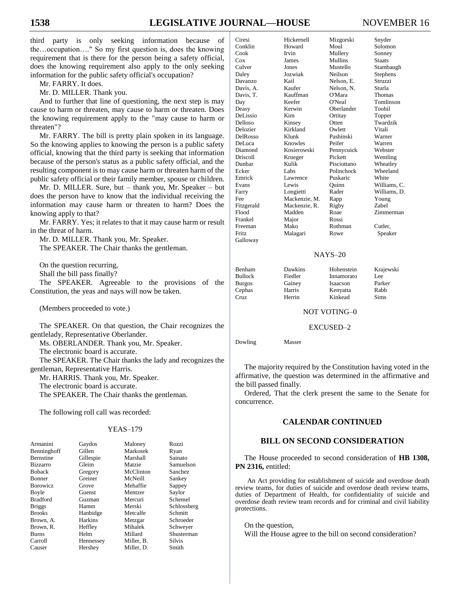third party is only seeking information because of the…occupation…." So my first question is, does the knowing requirement that is there for the person being a safety official, does the knowing requirement also apply to the only seeking information for the public safety official's occupation?

Mr. FARRY. It does.

Mr. D. MILLER. Thank you.

And to further that line of questioning, the next step is may cause to harm or threaten, may cause to harm or threaten. Does the knowing requirement apply to the "may cause to harm or threaten"?

Mr. FARRY. The bill is pretty plain spoken in its language. So the knowing applies to knowing the person is a public safety official, knowing that the third party is seeking that information because of the person's status as a public safety official, and the resulting component is to may cause harm or threaten harm of the public safety official or their family member, spouse or children.

Mr. D. MILLER. Sure, but – thank you, Mr. Speaker – but does the person have to know that the individual receiving the information may cause harm or threaten to harm? Does the knowing apply to that?

Mr. FARRY. Yes; it relates to that it may cause harm or result in the threat of harm.

Mr. D. MILLER. Thank you, Mr. Speaker.

The SPEAKER. The Chair thanks the gentleman.

On the question recurring,

Shall the bill pass finally?

The SPEAKER. Agreeable to the provisions of the Constitution, the yeas and nays will now be taken.

(Members proceeded to vote.)

The SPEAKER. On that question, the Chair recognizes the gentlelady, Representative Oberlander.

Ms. OBERLANDER. Thank you, Mr. Speaker.

The electronic board is accurate.

The SPEAKER. The Chair thanks the lady and recognizes the gentleman, Representative Harris.

Mr. HARRIS. Thank you, Mr. Speaker.

The electronic board is accurate.

The SPEAKER. The Chair thanks the gentleman.

The following roll call was recorded:

#### YEAS–179

| Armanini         | Gaydos    | Maloney    | Rozzi          |
|------------------|-----------|------------|----------------|
| Benninghoff      | Gillen    | Markosek   | Ryan           |
| <b>Bernstine</b> | Gillespie | Marshall   | Sainato        |
| <b>Bizzarro</b>  | Gleim     | Matzie     | Samuelson      |
| <b>Boback</b>    | Gregory   | McClinton  | <b>Sanchez</b> |
| Bonner           | Greiner   | McNeill    | Sankey         |
| <b>Borowicz</b>  | Grove     | Mehaffie   | Sappey         |
| Boyle            | Guenst    | Mentzer    | Saylor         |
| <b>Bradford</b>  | Guzman    | Mercuri    | Schemel        |
| <b>Briggs</b>    | Hamm      | Merski     | Schlossberg    |
| <b>Brooks</b>    | Hanbidge  | Metcalfe   | Schmitt        |
| Brown, A.        | Harkins   | Metzgar    | Schroeder      |
| Brown, R.        | Heffley   | Mihalek    | Schweyer       |
| <b>Burns</b>     | Helm      | Millard    | Shusterman     |
| Carroll          | Hennessey | Miller, B. | <b>Silvis</b>  |
| Causer           | Hershey   | Miller, D. | Smith          |

| Ciresi          | Hickernell    | Mizgorski   | Snyder        |
|-----------------|---------------|-------------|---------------|
| Conklin         | Howard        | Moul        | Solomon       |
| Cook            | Irvin         | Mullery     | Sonney        |
| Cox             | James         | Mullins     | <b>Staats</b> |
| Culver          | Jones         | Mustello    | Stambaugh     |
| Daley           | Jozwiak       | Neilson     | Stephens      |
| Davanzo         | Kail          | Nelson, E.  | Struzzi       |
| Davis, A.       | Kaufer        | Nelson. N.  | Sturla        |
| Davis, T.       | Kauffman      | O'Mara      | <b>Thomas</b> |
| Day             | Keefer        | O'Neal      | Tomlinson     |
| Deasy           | Kerwin        | Oberlander  | Toohil        |
| DeLissio        | Kim           | Ortitay     | Topper        |
| Delloso         | Kinsey        | Otten       | Twardzik      |
| Delozier        | Kirkland      | Owlett      | Vitali        |
| DelRosso        | Klunk         | Pashinski   | Warner        |
| DeLuca          | Knowles       | Peifer      | Warren        |
| Diamond         | Kosierowski   | Pennycuick  | Webster       |
| <b>Driscoll</b> | Krueger       | Pickett     | Wentling      |
| Dunbar          | Kulik         | Pisciottano | Wheatley      |
| Ecker           | Labs          | Polinchock  | Wheeland      |
| Emrick          | Lawrence      | Puskaric    | White         |
| Evans           | Lewis         | Ouinn       | Williams, C.  |
| Farry           | Longietti     | Rader       | Williams, D.  |
| Fee             | Mackenzie, M. | Rapp        | Young         |
| Fitzgerald      | Mackenzie, R. | Rigby       | Zabel         |
| Flood           | Madden        | Roae        | Zimmerman     |
| Frankel         | Major         | Rossi       |               |
| Freeman         | Mako          | Rothman     | Cutler,       |
| Fritz           | Malagari      | Rowe        | Speaker       |
| Galloway        |               |             |               |
|                 |               |             |               |

#### NAYS–20

Benham Dawkins Hohenstein Krajewski Cruz Herrin Kinkead Sims

 $G$ 

Innamorato Lee Burgos Gainey Isaacson Parker Cephas Harris Kenyatta Rabb

NOT VOTING–0

EXCUSED–2

Dowling Masser

The majority required by the Constitution having voted in the affirmative, the question was determined in the affirmative and the bill passed finally.

Ordered, That the clerk present the same to the Senate for concurrence.

## **CALENDAR CONTINUED**

## **BILL ON SECOND CONSIDERATION**

The House proceeded to second consideration of **HB 1308, PN 2316,** entitled:

An Act providing for establishment of suicide and overdose death review teams, for duties of suicide and overdose death review teams, duties of Department of Health, for confidentiality of suicide and overdose death review team records and for criminal and civil liability protections.

On the question, Will the House agree to the bill on second consideration?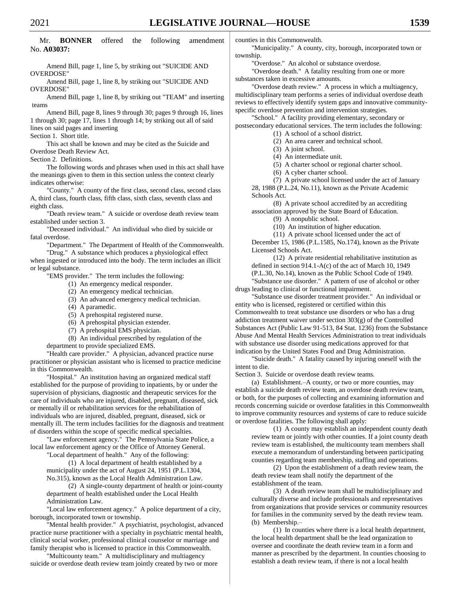Mr. **BONNER** offered the following amendment No. **A03037:**

Amend Bill, page 1, line 5, by striking out "SUICIDE AND OVERDOSE"

Amend Bill, page 1, line 8, by striking out "SUICIDE AND OVERDOSE"

Amend Bill, page 1, line 8, by striking out "TEAM" and inserting teams

Amend Bill, page 8, lines 9 through 30; pages 9 through 16, lines 1 through 30; page 17, lines 1 through 14; by striking out all of said lines on said pages and inserting

Section 1. Short title.

This act shall be known and may be cited as the Suicide and Overdose Death Review Act.

Section 2. Definitions.

The following words and phrases when used in this act shall have the meanings given to them in this section unless the context clearly indicates otherwise:

"County." A county of the first class, second class, second class A, third class, fourth class, fifth class, sixth class, seventh class and eighth class.

"Death review team." A suicide or overdose death review team established under section 3.

"Deceased individual." An individual who died by suicide or fatal overdose.

"Department." The Department of Health of the Commonwealth.

"Drug." A substance which produces a physiological effect when ingested or introduced into the body. The term includes an illicit or legal substance.

"EMS provider." The term includes the following:

(1) An emergency medical responder.

(2) An emergency medical technician.

(3) An advanced emergency medical technician.

(4) A paramedic.

(5) A prehospital registered nurse.

(6) A prehospital physician extender.

(7) A prehospital EMS physician.

(8) An individual prescribed by regulation of the

department to provide specialized EMS.

"Health care provider." A physician, advanced practice nurse practitioner or physician assistant who is licensed to practice medicine in this Commonwealth.

"Hospital." An institution having an organized medical staff established for the purpose of providing to inpatients, by or under the supervision of physicians, diagnostic and therapeutic services for the care of individuals who are injured, disabled, pregnant, diseased, sick or mentally ill or rehabilitation services for the rehabilitation of individuals who are injured, disabled, pregnant, diseased, sick or mentally ill. The term includes facilities for the diagnosis and treatment of disorders within the scope of specific medical specialties.

"Law enforcement agency." The Pennsylvania State Police, a local law enforcement agency or the Office of Attorney General.

"Local department of health." Any of the following:

(1) A local department of health established by a municipality under the act of August 24, 1951 (P.L.1304, No.315), known as the Local Health Administration Law.

(2) A single-county department of health or joint-county department of health established under the Local Health Administration Law.

"Local law enforcement agency." A police department of a city, borough, incorporated town or township.

'Mental health provider." A psychiatrist, psychologist, advanced practice nurse practitioner with a specialty in psychiatric mental health, clinical social worker, professional clinical counselor or marriage and family therapist who is licensed to practice in this Commonwealth.

"Multicounty team." A multidisciplinary and multiagency suicide or overdose death review team jointly created by two or more counties in this Commonwealth.

"Municipality." A county, city, borough, incorporated town or township.

"Overdose." An alcohol or substance overdose.

"Overdose death." A fatality resulting from one or more substances taken in excessive amounts.

"Overdose death review." A process in which a multiagency, multidisciplinary team performs a series of individual overdose death reviews to effectively identify system gaps and innovative communityspecific overdose prevention and intervention strategies.

"School." A facility providing elementary, secondary or postsecondary educational services. The term includes the following:

- (1) A school of a school district.
- (2) An area career and technical school.
- (3) A joint school.

(4) An intermediate unit.

(5) A charter school or regional charter school.

(6) A cyber charter school.

(7) A private school licensed under the act of January 28, 1988 (P.L.24, No.11), known as the Private Academic Schools Act.

(8) A private school accredited by an accrediting association approved by the State Board of Education.

(9) A nonpublic school.

(10) An institution of higher education.

(11) A private school licensed under the act of December 15, 1986 (P.L.1585, No.174), known as the Private Licensed Schools Act.

(12) A private residential rehabilitative institution as defined in section 914.1-A(c) of the act of March 10, 1949 (P.L.30, No.14), known as the Public School Code of 1949.

"Substance use disorder." A pattern of use of alcohol or other drugs leading to clinical or functional impairment.

"Substance use disorder treatment provider." An individual or entity who is licensed, registered or certified within this Commonwealth to treat substance use disorders or who has a drug addiction treatment waiver under section 303(g) of the Controlled Substances Act (Public Law 91-513, 84 Stat. 1236) from the Substance Abuse And Mental Health Services Administration to treat individuals with substance use disorder using medications approved for that indication by the United States Food and Drug Administration.

"Suicide death." A fatality caused by injuring oneself with the intent to die.

Section 3. Suicide or overdose death review teams.

(a) Establishment.–A county, or two or more counties, may establish a suicide death review team, an overdose death review team, or both, for the purposes of collecting and examining information and records concerning suicide or overdose fatalities in this Commonwealth to improve community resources and systems of care to reduce suicide or overdose fatalities. The following shall apply:

(1) A county may establish an independent county death review team or jointly with other counties. If a joint county death review team is established, the multicounty team members shall execute a memorandum of understanding between participating counties regarding team membership, staffing and operations.

(2) Upon the establishment of a death review team, the death review team shall notify the department of the establishment of the team.

(3) A death review team shall be multidisciplinary and culturally diverse and include professionals and representatives from organizations that provide services or community resources for families in the community served by the death review team. (b) Membership.–

(1) In counties where there is a local health department, the local health department shall be the lead organization to oversee and coordinate the death review team in a form and manner as prescribed by the department. In counties choosing to establish a death review team, if there is not a local health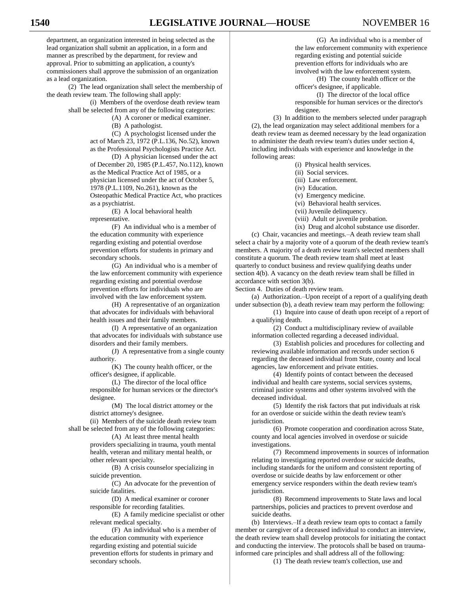department, an organization interested in being selected as the lead organization shall submit an application, in a form and manner as prescribed by the department, for review and approval. Prior to submitting an application, a county's commissioners shall approve the submission of an organization as a lead organization.

(2) The lead organization shall select the membership of the death review team. The following shall apply:

(i) Members of the overdose death review team shall be selected from any of the following categories:

(A) A coroner or medical examiner.

(B) A pathologist.

(C) A psychologist licensed under the act of March 23, 1972 (P.L.136, No.52), known as the Professional Psychologists Practice Act.

(D) A physician licensed under the act of December 20, 1985 (P.L.457, No.112), known as the Medical Practice Act of 1985, or a physician licensed under the act of October 5, 1978 (P.L.1109, No.261), known as the Osteopathic Medical Practice Act, who practices as a psychiatrist.

(E) A local behavioral health representative.

(F) An individual who is a member of the education community with experience regarding existing and potential overdose prevention efforts for students in primary and secondary schools.

(G) An individual who is a member of the law enforcement community with experience regarding existing and potential overdose prevention efforts for individuals who are involved with the law enforcement system.

(H) A representative of an organization that advocates for individuals with behavioral health issues and their family members.

(I) A representative of an organization that advocates for individuals with substance use disorders and their family members.

(J) A representative from a single county authority.

(K) The county health officer, or the officer's designee, if applicable.

(L) The director of the local office responsible for human services or the director's designee.

(M) The local district attorney or the district attorney's designee.

(ii) Members of the suicide death review team shall be selected from any of the following categories:

(A) At least three mental health providers specializing in trauma, youth mental health, veteran and military mental health, or other relevant specialty.

(B) A crisis counselor specializing in suicide prevention.

(C) An advocate for the prevention of suicide fatalities.

(D) A medical examiner or coroner responsible for recording fatalities.

(E) A family medicine specialist or other relevant medical specialty.

(F) An individual who is a member of the education community with experience regarding existing and potential suicide prevention efforts for students in primary and secondary schools.

(G) An individual who is a member of the law enforcement community with experience regarding existing and potential suicide prevention efforts for individuals who are involved with the law enforcement system.

(H) The county health officer or the officer's designee, if applicable.

(I) The director of the local office responsible for human services or the director's designee.

(3) In addition to the members selected under paragraph (2), the lead organization may select additional members for a death review team as deemed necessary by the lead organization to administer the death review team's duties under section 4, including individuals with experience and knowledge in the following areas:

- (i) Physical health services.
- (ii) Social services.
- (iii) Law enforcement.
- (iv) Education.
- (v) Emergency medicine.
- (vi) Behavioral health services.
- (vii) Juvenile delinquency.
- (viii) Adult or juvenile probation.
- (ix) Drug and alcohol substance use disorder.

(c) Chair, vacancies and meetings.–A death review team shall select a chair by a majority vote of a quorum of the death review team's members. A majority of a death review team's selected members shall constitute a quorum. The death review team shall meet at least quarterly to conduct business and review qualifying deaths under section 4(b). A vacancy on the death review team shall be filled in accordance with section 3(b).

Section 4. Duties of death review team.

(a) Authorization.–Upon receipt of a report of a qualifying death under subsection (b), a death review team may perform the following:

(1) Inquire into cause of death upon receipt of a report of a qualifying death.

(2) Conduct a multidisciplinary review of available information collected regarding a deceased individual.

(3) Establish policies and procedures for collecting and reviewing available information and records under section 6 regarding the deceased individual from State, county and local agencies, law enforcement and private entities.

(4) Identify points of contact between the deceased individual and health care systems, social services systems, criminal justice systems and other systems involved with the deceased individual.

(5) Identify the risk factors that put individuals at risk for an overdose or suicide within the death review team's jurisdiction.

(6) Promote cooperation and coordination across State, county and local agencies involved in overdose or suicide investigations.

(7) Recommend improvements in sources of information relating to investigating reported overdose or suicide deaths, including standards for the uniform and consistent reporting of overdose or suicide deaths by law enforcement or other emergency service responders within the death review team's jurisdiction.

(8) Recommend improvements to State laws and local partnerships, policies and practices to prevent overdose and suicide deaths.

(b) Interviews.–If a death review team opts to contact a family member or caregiver of a deceased individual to conduct an interview, the death review team shall develop protocols for initiating the contact and conducting the interview. The protocols shall be based on traumainformed care principles and shall address all of the following:

(1) The death review team's collection, use and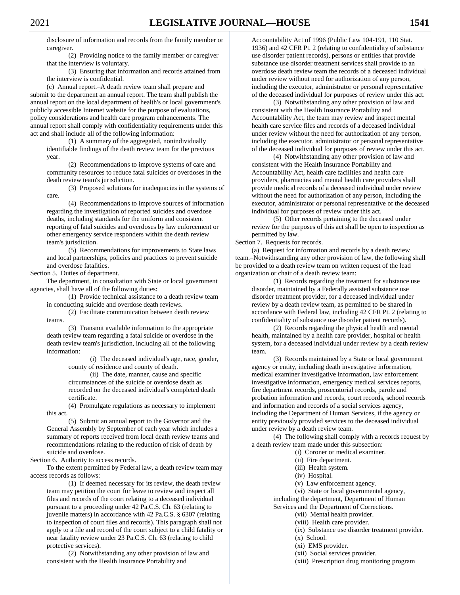disclosure of information and records from the family member or caregiver.

(2) Providing notice to the family member or caregiver that the interview is voluntary.

(3) Ensuring that information and records attained from the interview is confidential.

(c) Annual report.–A death review team shall prepare and submit to the department an annual report. The team shall publish the annual report on the local department of health's or local government's publicly accessible Internet website for the purpose of evaluations, policy considerations and health care program enhancements. The annual report shall comply with confidentiality requirements under this act and shall include all of the following information:

(1) A summary of the aggregated, nonindividually identifiable findings of the death review team for the previous year.

(2) Recommendations to improve systems of care and community resources to reduce fatal suicides or overdoses in the death review team's jurisdiction.

(3) Proposed solutions for inadequacies in the systems of care.

(4) Recommendations to improve sources of information regarding the investigation of reported suicides and overdose deaths, including standards for the uniform and consistent reporting of fatal suicides and overdoses by law enforcement or other emergency service responders within the death review team's jurisdiction.

(5) Recommendations for improvements to State laws and local partnerships, policies and practices to prevent suicide and overdose fatalities.

Section 5. Duties of department.

The department, in consultation with State or local government agencies, shall have all of the following duties:

(1) Provide technical assistance to a death review team in conducting suicide and overdose death reviews.

(2) Facilitate communication between death review teams.

(3) Transmit available information to the appropriate death review team regarding a fatal suicide or overdose in the death review team's jurisdiction, including all of the following information:

> (i) The deceased individual's age, race, gender, county of residence and county of death.

(ii) The date, manner, cause and specific circumstances of the suicide or overdose death as recorded on the deceased individual's completed death certificate.

(4) Promulgate regulations as necessary to implement this act.

(5) Submit an annual report to the Governor and the General Assembly by September of each year which includes a summary of reports received from local death review teams and recommendations relating to the reduction of risk of death by suicide and overdose.

Section 6. Authority to access records.

To the extent permitted by Federal law, a death review team may access records as follows:

(1) If deemed necessary for its review, the death review team may petition the court for leave to review and inspect all files and records of the court relating to a deceased individual pursuant to a proceeding under 42 Pa.C.S. Ch. 63 (relating to juvenile matters) in accordance with 42 Pa.C.S. § 6307 (relating to inspection of court files and records). This paragraph shall not apply to a file and record of the court subject to a child fatality or near fatality review under 23 Pa.C.S. Ch. 63 (relating to child protective services).

(2) Notwithstanding any other provision of law and consistent with the Health Insurance Portability and

Accountability Act of 1996 (Public Law 104-191, 110 Stat. 1936) and 42 CFR Pt. 2 (relating to confidentiality of substance use disorder patient records), persons or entities that provide substance use disorder treatment services shall provide to an overdose death review team the records of a deceased individual under review without need for authorization of any person, including the executor, administrator or personal representative of the deceased individual for purposes of review under this act.

(3) Notwithstanding any other provision of law and consistent with the Health Insurance Portability and Accountability Act, the team may review and inspect mental health care service files and records of a deceased individual under review without the need for authorization of any person, including the executor, administrator or personal representative of the deceased individual for purposes of review under this act.

(4) Notwithstanding any other provision of law and consistent with the Health Insurance Portability and Accountability Act, health care facilities and health care providers, pharmacies and mental health care providers shall provide medical records of a deceased individual under review without the need for authorization of any person, including the executor, administrator or personal representative of the deceased individual for purposes of review under this act.

(5) Other records pertaining to the deceased under review for the purposes of this act shall be open to inspection as permitted by law.

Section 7. Requests for records.

(a) Request for information and records by a death review team.–Notwithstanding any other provision of law, the following shall be provided to a death review team on written request of the lead organization or chair of a death review team:

(1) Records regarding the treatment for substance use disorder, maintained by a Federally assisted substance use disorder treatment provider, for a deceased individual under review by a death review team, as permitted to be shared in accordance with Federal law, including 42 CFR Pt. 2 (relating to confidentiality of substance use disorder patient records).

(2) Records regarding the physical health and mental health, maintained by a health care provider, hospital or health system, for a deceased individual under review by a death review team.

(3) Records maintained by a State or local government agency or entity, including death investigative information, medical examiner investigative information, law enforcement investigative information, emergency medical services reports, fire department records, prosecutorial records, parole and probation information and records, court records, school records and information and records of a social services agency, including the Department of Human Services, if the agency or entity previously provided services to the deceased individual under review by a death review team.

(4) The following shall comply with a records request by a death review team made under this subsection:

(i) Coroner or medical examiner.

- (ii) Fire department.
- (iii) Health system.
- (iv) Hospital.

(v) Law enforcement agency.

(vi) State or local governmental agency,

including the department, Department of Human Services and the Department of Corrections.

(vii) Mental health provider.

- (viii) Health care provider.
- (ix) Substance use disorder treatment provider.
- (x) School.
- (xi) EMS provider.
- (xii) Social services provider.
- (xiii) Prescription drug monitoring program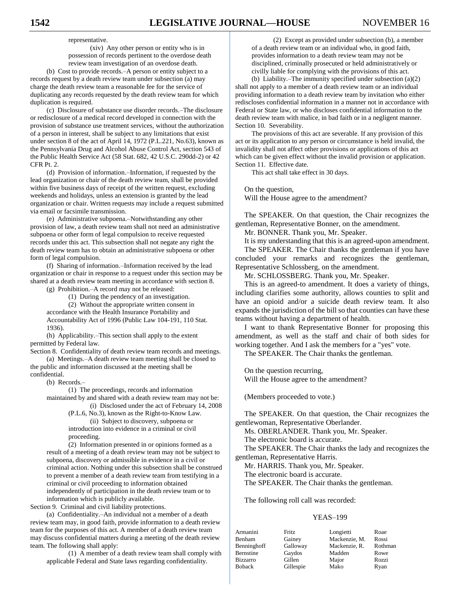representative.

(xiv) Any other person or entity who is in possession of records pertinent to the overdose death review team investigation of an overdose death.

(b) Cost to provide records.–A person or entity subject to a records request by a death review team under subsection (a) may charge the death review team a reasonable fee for the service of duplicating any records requested by the death review team for which duplication is required.

(c) Disclosure of substance use disorder records.–The disclosure or redisclosure of a medical record developed in connection with the provision of substance use treatment services, without the authorization of a person in interest, shall be subject to any limitations that exist under section 8 of the act of April 14, 1972 (P.L.221, No.63), known as the Pennsylvania Drug and Alcohol Abuse Control Act, section 543 of the Public Health Service Act (58 Stat. 682, 42 U.S.C. 290dd-2) or 42 CFR Pt. 2.

(d) Provision of information.–Information, if requested by the lead organization or chair of the death review team, shall be provided within five business days of receipt of the written request, excluding weekends and holidays, unless an extension is granted by the lead organization or chair. Written requests may include a request submitted via email or facsimile transmission.

(e) Administrative subpoena.–Notwithstanding any other provision of law, a death review team shall not need an administrative subpoena or other form of legal compulsion to receive requested records under this act. This subsection shall not negate any right the death review team has to obtain an administrative subpoena or other form of legal compulsion.

(f) Sharing of information.–Information received by the lead organization or chair in response to a request under this section may be shared at a death review team meeting in accordance with section 8.

(g) Prohibition.–A record may not be released:

(1) During the pendency of an investigation.

(2) Without the appropriate written consent in accordance with the Health Insurance Portability and Accountability Act of 1996 (Public Law 104-191, 110 Stat. 1936).

(h) Applicability.–This section shall apply to the extent permitted by Federal law.

Section 8. Confidentiality of death review team records and meetings. (a) Meetings.–A death review team meeting shall be closed to

the public and information discussed at the meeting shall be confidential.

(b) Records.–

(1) The proceedings, records and information maintained by and shared with a death review team may not be:

(i) Disclosed under the act of February 14, 2008 (P.L.6, No.3), known as the Right-to-Know Law. (ii) Subject to discovery, subpoena or introduction into evidence in a criminal or civil proceeding.

(2) Information presented in or opinions formed as a result of a meeting of a death review team may not be subject to subpoena, discovery or admissible in evidence in a civil or criminal action. Nothing under this subsection shall be construed to prevent a member of a death review team from testifying in a criminal or civil proceeding to information obtained independently of participation in the death review team or to information which is publicly available.

Section 9. Criminal and civil liability protections.

(a) Confidentiality.–An individual not a member of a death review team may, in good faith, provide information to a death review team for the purposes of this act. A member of a death review team may discuss confidential matters during a meeting of the death review team. The following shall apply:

(1) A member of a death review team shall comply with applicable Federal and State laws regarding confidentiality.

(2) Except as provided under subsection (b), a member of a death review team or an individual who, in good faith, provides information to a death review team may not be disciplined, criminally prosecuted or held administratively or civilly liable for complying with the provisions of this act.

(b) Liability.–The immunity specified under subsection (a)(2) shall not apply to a member of a death review team or an individual providing information to a death review team by invitation who either rediscloses confidential information in a manner not in accordance with Federal or State law, or who discloses confidential information to the death review team with malice, in bad faith or in a negligent manner. Section 10. Severability.

The provisions of this act are severable. If any provision of this act or its application to any person or circumstance is held invalid, the invalidity shall not affect other provisions or applications of this act which can be given effect without the invalid provision or application. Section 11. Effective date.

This act shall take effect in 30 days.

On the question,

Will the House agree to the amendment?

The SPEAKER. On that question, the Chair recognizes the gentleman, Representative Bonner, on the amendment.

Mr. BONNER. Thank you, Mr. Speaker.

It is my understanding that this is an agreed-upon amendment.

The SPEAKER. The Chair thanks the gentleman if you have concluded your remarks and recognizes the gentleman, Representative Schlossberg, on the amendment.

Mr. SCHLOSSBERG. Thank you, Mr. Speaker.

This is an agreed-to amendment. It does a variety of things, including clarifies some authority, allows counties to split and have an opioid and/or a suicide death review team. It also expands the jurisdiction of the bill so that counties can have these teams without having a department of health.

I want to thank Representative Bonner for proposing this amendment, as well as the staff and chair of both sides for working together. And I ask the members for a "yes" vote.

The SPEAKER. The Chair thanks the gentleman.

On the question recurring, Will the House agree to the amendment?

(Members proceeded to vote.)

The SPEAKER. On that question, the Chair recognizes the gentlewoman, Representative Oberlander.

Ms. OBERLANDER. Thank you, Mr. Speaker.

The electronic board is accurate.

The SPEAKER. The Chair thanks the lady and recognizes the gentleman, Representative Harris.

Mr. HARRIS. Thank you, Mr. Speaker.

The electronic board is accurate.

The SPEAKER. The Chair thanks the gentleman.

The following roll call was recorded:

| Armanini    | Fritz     | Longietti     | Roae    |
|-------------|-----------|---------------|---------|
| Benham      | Gainey    | Mackenzie, M. | Rossi   |
| Benninghoff | Galloway  | Mackenzie, R. | Rothman |
| Bernstine   | Gaydos    | Madden        | Rowe    |
| Bizzarro    | Gillen    | Major         | Rozzi   |
| Boback      | Gillespie | Mako          | Ryan    |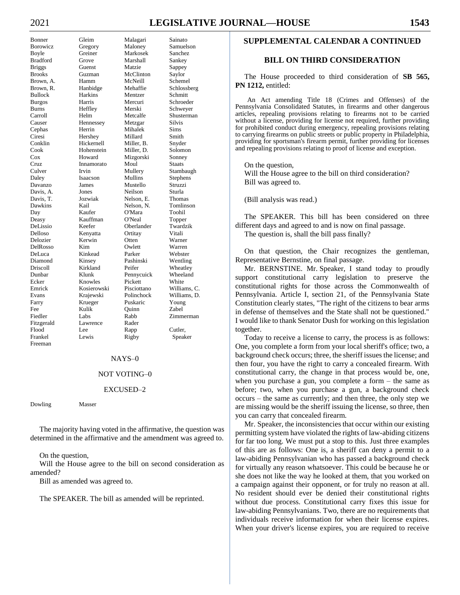# 2021 **LEGISLATIVE JOURNAL—HOUSE 1543**

Causer Hennessey Frankel Lewis Rigby Speaker Freeman

Bonner Gleim Malagari Sainato Borowicz Gregory Maloney Samuelson Boyle Greiner Markosek Sanchez Bradford Grove Marshall Sankey Briggs Guenst Matzie Sappey Brooks Guzman McClinton Saylor Brown, A. Hamm McNeill Schemel Brown, R. Hanbidge Mehaffie Schlossberg Bullock Harkins Mentzer Schmitt Burgos Harris Mercuri Schroeder Burns Heffley Merski Schweyer Carroll Helm Metcalfe Shusterman<br>Causer Hennessey Metzgar Silvis Cephas Herrin Mihalek Sims Ciresi Hershey Millard Smith Conklin Hickernell Miller, B. Snyder Cook Hohenstein Miller, D. Solomon Cox Howard Mizgorski Sonney Cruz Innamorato Moul Staats Culver Irvin Mullery Stambaugh Daley Isaacson Mullins Stephens Davanzo James Mustello Struzzi Davis, A. Jones Neilson Sturla Davis, T. Jozwiak Nelson, E. Thomas Dawkins Kail Nelson, N. Tomlinson Day Kaufer O'Mara Toohil Deasy Kauffman O'Neal Topper Oberlander Delloso Kenyatta Ortitay Vitali Delozier Kerwin Otten Warner DelRosso Kim Owlett Warren DeLuca Kinkead Parker Webster Diamond Kinsey Pashinski Wentling Driscoll Kirkland Peifer Wheatley Dunbar Klunk Pennycuick Wheeland Ecker Knowles Pickett White Emrick Kosierowski Pisciottano Williams, C. Evans Krajewski Polinchock Williams, D. Farry Krueger Puskaric Young Fee Kulik Quinn Zabel Fiedler Labs Rabb Zimmerman Fitzgerald Lawrence Rader Flood Lee Rapp Cutler,

#### NAYS–0

#### NOT VOTING–0

#### EXCUSED–2

Dowling Masser

The majority having voted in the affirmative, the question was determined in the affirmative and the amendment was agreed to.

On the question,

Will the House agree to the bill on second consideration as amended?

Bill as amended was agreed to.

The SPEAKER. The bill as amended will be reprinted.

# **SUPPLEMENTAL CALENDAR A CONTINUED**

# **BILL ON THIRD CONSIDERATION**

The House proceeded to third consideration of **SB 565, PN 1212,** entitled:

An Act amending Title 18 (Crimes and Offenses) of the Pennsylvania Consolidated Statutes, in firearms and other dangerous articles, repealing provisions relating to firearms not to be carried without a license, providing for license not required, further providing for prohibited conduct during emergency, repealing provisions relating to carrying firearms on public streets or public property in Philadelphia, providing for sportsman's firearm permit, further providing for licenses and repealing provisions relating to proof of license and exception.

On the question, Will the House agree to the bill on third consideration? Bill was agreed to.

(Bill analysis was read.)

The SPEAKER. This bill has been considered on three different days and agreed to and is now on final passage. The question is, shall the bill pass finally?

On that question, the Chair recognizes the gentleman,

Representative Bernstine, on final passage. Mr. BERNSTINE. Mr. Speaker, I stand today to proudly support constitutional carry legislation to preserve the constitutional rights for those across the Commonwealth of Pennsylvania. Article I, section 21, of the Pennsylvania State Constitution clearly states, "The right of the citizens to bear arms in defense of themselves and the State shall not be questioned." I would like to thank Senator Dush for working on this legislation together.

Today to receive a license to carry, the process is as follows: One, you complete a form from your local sheriff's office; two, a background check occurs; three, the sheriff issues the license; and then four, you have the right to carry a concealed firearm. With constitutional carry, the change in that process would be, one, when you purchase a gun, you complete a form – the same as before; two, when you purchase a gun, a background check occurs – the same as currently; and then three, the only step we are missing would be the sheriff issuing the license, so three, then you can carry that concealed firearm.

Mr. Speaker, the inconsistencies that occur within our existing permitting system have violated the rights of law-abiding citizens for far too long. We must put a stop to this. Just three examples of this are as follows: One is, a sheriff can deny a permit to a law-abiding Pennsylvanian who has passed a background check for virtually any reason whatsoever. This could be because he or she does not like the way he looked at them, that you worked on a campaign against their opponent, or for truly no reason at all. No resident should ever be denied their constitutional rights without due process. Constitutional carry fixes this issue for law-abiding Pennsylvanians. Two, there are no requirements that individuals receive information for when their license expires. When your driver's license expires, you are required to receive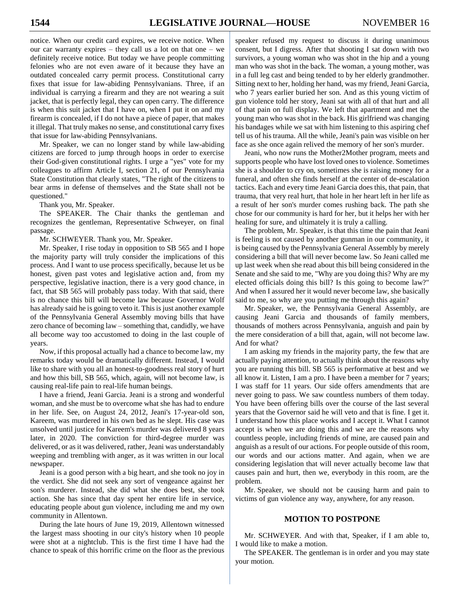notice. When our credit card expires, we receive notice. When our car warranty expires – they call us a lot on that one – we definitely receive notice. But today we have people committing felonies who are not even aware of it because they have an outdated concealed carry permit process. Constitutional carry fixes that issue for law-abiding Pennsylvanians. Three, if an individual is carrying a firearm and they are not wearing a suit jacket, that is perfectly legal, they can open carry. The difference is when this suit jacket that I have on, when I put it on and my firearm is concealed, if I do not have a piece of paper, that makes it illegal. That truly makes no sense, and constitutional carry fixes that issue for law-abiding Pennsylvanians.

Mr. Speaker, we can no longer stand by while law-abiding citizens are forced to jump through hoops in order to exercise their God-given constitutional rights. I urge a "yes" vote for my colleagues to affirm Article I, section 21, of our Pennsylvania State Constitution that clearly states, "The right of the citizens to bear arms in defense of themselves and the State shall not be questioned."

Thank you, Mr. Speaker.

The SPEAKER. The Chair thanks the gentleman and recognizes the gentleman, Representative Schweyer, on final passage.

Mr. SCHWEYER. Thank you, Mr. Speaker.

Mr. Speaker, I rise today in opposition to SB 565 and I hope the majority party will truly consider the implications of this process. And I want to use process specifically, because let us be honest, given past votes and legislative action and, from my perspective, legislative inaction, there is a very good chance, in fact, that SB 565 will probably pass today. With that said, there is no chance this bill will become law because Governor Wolf has already said he is going to veto it. This is just another example of the Pennsylvania General Assembly moving bills that have zero chance of becoming law – something that, candidly, we have all become way too accustomed to doing in the last couple of years.

Now, if this proposal actually had a chance to become law, my remarks today would be dramatically different. Instead, I would like to share with you all an honest-to-goodness real story of hurt and how this bill, SB 565, which, again, will not become law, is causing real-life pain to real-life human beings.

I have a friend, Jeani Garcia. Jeani is a strong and wonderful woman, and she must be to overcome what she has had to endure in her life. See, on August 24, 2012, Jeani's 17-year-old son, Kareem, was murdered in his own bed as he slept. His case was unsolved until justice for Kareem's murder was delivered 8 years later, in 2020. The conviction for third-degree murder was delivered, or as it was delivered, rather, Jeani was understandably weeping and trembling with anger, as it was written in our local newspaper.

Jeani is a good person with a big heart, and she took no joy in the verdict. She did not seek any sort of vengeance against her son's murderer. Instead, she did what she does best, she took action. She has since that day spent her entire life in service, educating people about gun violence, including me and my own community in Allentown.

During the late hours of June 19, 2019, Allentown witnessed the largest mass shooting in our city's history when 10 people were shot at a nightclub. This is the first time I have had the chance to speak of this horrific crime on the floor as the previous

speaker refused my request to discuss it during unanimous consent, but I digress. After that shooting I sat down with two survivors, a young woman who was shot in the hip and a young man who was shot in the back. The woman, a young mother, was in a full leg cast and being tended to by her elderly grandmother. Sitting next to her, holding her hand, was my friend, Jeani Garcia, who 7 years earlier buried her son. And as this young victim of gun violence told her story, Jeani sat with all of that hurt and all of that pain on full display. We left that apartment and met the young man who was shot in the back. His girlfriend was changing his bandages while we sat with him listening to this aspiring chef tell us of his trauma. All the while, Jeani's pain was visible on her face as she once again relived the memory of her son's murder.

Jeani, who now runs the Mother2Mother program, meets and supports people who have lost loved ones to violence. Sometimes she is a shoulder to cry on, sometimes she is raising money for a funeral, and often she finds herself at the center of de-escalation tactics. Each and every time Jeani Garcia does this, that pain, that trauma, that very real hurt, that hole in her heart left in her life as a result of her son's murder comes rushing back. The path she chose for our community is hard for her, but it helps her with her healing for sure, and ultimately it is truly a calling.

The problem, Mr. Speaker, is that this time the pain that Jeani is feeling is not caused by another gunman in our community, it is being caused by the Pennsylvania General Assembly by merely considering a bill that will never become law. So Jeani called me up last week when she read about this bill being considered in the Senate and she said to me, "Why are you doing this? Why are my elected officials doing this bill? Is this going to become law?" And when I assured her it would never become law, she basically said to me, so why are you putting me through this again?

Mr. Speaker, we, the Pennsylvania General Assembly, are causing Jeani Garcia and thousands of family members, thousands of mothers across Pennsylvania, anguish and pain by the mere consideration of a bill that, again, will not become law. And for what?

I am asking my friends in the majority party, the few that are actually paying attention, to actually think about the reasons why you are running this bill. SB 565 is performative at best and we all know it. Listen, I am a pro. I have been a member for 7 years; I was staff for 11 years. Our side offers amendments that are never going to pass. We saw countless numbers of them today. You have been offering bills over the course of the last several years that the Governor said he will veto and that is fine. I get it. I understand how this place works and I accept it. What I cannot accept is when we are doing this and we are the reasons why countless people, including friends of mine, are caused pain and anguish as a result of our actions. For people outside of this room, our words and our actions matter. And again, when we are considering legislation that will never actually become law that causes pain and hurt, then we, everybody in this room, are the problem.

Mr. Speaker, we should not be causing harm and pain to victims of gun violence any way, anywhere, for any reason.

# **MOTION TO POSTPONE**

Mr. SCHWEYER. And with that, Speaker, if I am able to, I would like to make a motion.

The SPEAKER. The gentleman is in order and you may state your motion.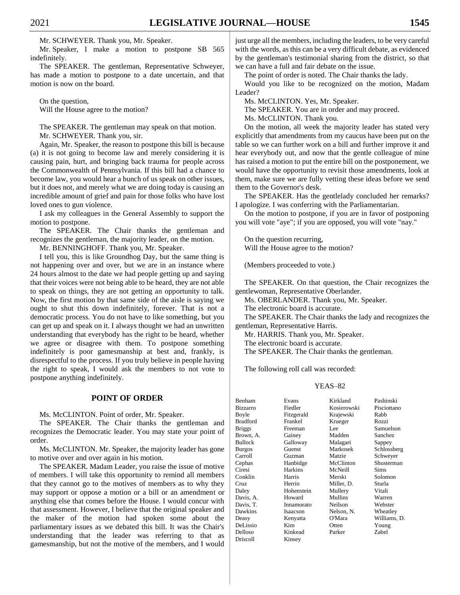Mr. SCHWEYER. Thank you, Mr. Speaker.

Mr. Speaker, I make a motion to postpone SB 565 indefinitely.

The SPEAKER. The gentleman, Representative Schweyer, has made a motion to postpone to a date uncertain, and that motion is now on the board.

On the question, Will the House agree to the motion?

The SPEAKER. The gentleman may speak on that motion. Mr. SCHWEYER. Thank you, sir.

Again, Mr. Speaker, the reason to postpone this bill is because (a) it is not going to become law and merely considering it is causing pain, hurt, and bringing back trauma for people across the Commonwealth of Pennsylvania. If this bill had a chance to become law, you would hear a bunch of us speak on other issues, but it does not, and merely what we are doing today is causing an incredible amount of grief and pain for those folks who have lost loved ones to gun violence.

I ask my colleagues in the General Assembly to support the motion to postpone.

The SPEAKER. The Chair thanks the gentleman and recognizes the gentleman, the majority leader, on the motion.

Mr. BENNINGHOFF. Thank you, Mr. Speaker.

I tell you, this is like Groundhog Day, but the same thing is not happening over and over, but we are in an instance where 24 hours almost to the date we had people getting up and saying that their voices were not being able to be heard, they are not able to speak on things, they are not getting an opportunity to talk. Now, the first motion by that same side of the aisle is saying we ought to shut this down indefinitely, forever. That is not a democratic process. You do not have to like something, but you can get up and speak on it. I always thought we had an unwritten understanding that everybody has the right to be heard, whether we agree or disagree with them. To postpone something indefinitely is poor gamesmanship at best and, frankly, is disrespectful to the process. If you truly believe in people having the right to speak, I would ask the members to not vote to postpone anything indefinitely.

#### **POINT OF ORDER**

Ms. McCLINTON. Point of order, Mr. Speaker.

The SPEAKER. The Chair thanks the gentleman and recognizes the Democratic leader. You may state your point of order.

Ms. McCLINTON. Mr. Speaker, the majority leader has gone to motive over and over again in his motion.

The SPEAKER. Madam Leader, you raise the issue of motive of members. I will take this opportunity to remind all members that they cannot go to the motives of members as to why they may support or oppose a motion or a bill or an amendment or anything else that comes before the House. I would concur with that assessment. However, I believe that the original speaker and the maker of the motion had spoken some about the parliamentary issues as we debated this bill. It was the Chair's understanding that the leader was referring to that as gamesmanship, but not the motive of the members, and I would

just urge all the members, including the leaders, to be very careful with the words, as this can be a very difficult debate, as evidenced by the gentleman's testimonial sharing from the district, so that we can have a full and fair debate on the issue.

The point of order is noted. The Chair thanks the lady.

Would you like to be recognized on the motion, Madam Leader?

Ms. McCLINTON. Yes, Mr. Speaker.

The SPEAKER. You are in order and may proceed. Ms. McCLINTON. Thank you.

On the motion, all week the majority leader has stated very explicitly that amendments from my caucus have been put on the table so we can further work on a bill and further improve it and hear everybody out, and now that the gentle colleague of mine has raised a motion to put the entire bill on the postponement, we would have the opportunity to revisit those amendments, look at them, make sure we are fully vetting these ideas before we send them to the Governor's desk.

The SPEAKER. Has the gentlelady concluded her remarks? I apologize. I was conferring with the Parliamentarian.

On the motion to postpone, if you are in favor of postponing you will vote "aye"; if you are opposed, you will vote "nay."

On the question recurring, Will the House agree to the motion?

(Members proceeded to vote.)

The SPEAKER. On that question, the Chair recognizes the gentlewoman, Representative Oberlander.

Ms. OBERLANDER. Thank you, Mr. Speaker.

The electronic board is accurate.

The SPEAKER. The Chair thanks the lady and recognizes the gentleman, Representative Harris.

Mr. HARRIS. Thank you, Mr. Speaker.

The electronic board is accurate.

The SPEAKER. The Chair thanks the gentleman.

The following roll call was recorded:

| Benham          | Evans      | Kirkland    | Pashinski    |
|-----------------|------------|-------------|--------------|
| <b>Bizzarro</b> | Fiedler    | Kosierowski | Pisciottano  |
| Boyle           | Fitzgerald | Krajewski   | Rabb         |
| <b>Bradford</b> | Frankel    | Krueger     | Rozzi        |
| <b>Briggs</b>   | Freeman    | Lee         | Samuelson    |
| Brown, A.       | Gainey     | Madden      | Sanchez      |
| <b>Bullock</b>  | Galloway   | Malagari    | Sappey       |
| <b>Burgos</b>   | Guenst     | Markosek    | Schlossberg  |
| Carroll         | Guzman     | Matzie      | Schweyer     |
| Cephas          | Hanbidge   | McClinton   | Shusterman   |
| Ciresi          | Harkins    | McNeill     | Sims         |
| Conklin         | Harris     | Merski      | Solomon      |
| Cruz            | Herrin     | Miller, D.  | Sturla       |
| Daley           | Hohenstein | Mullery     | Vitali       |
| Davis, A.       | Howard     | Mullins     | Warren       |
| Davis, T.       | Innamorato | Neilson     | Webster      |
| Dawkins         | Isaacson   | Nelson, N.  | Wheatley     |
| Deasy           | Kenyatta   | O'Mara      | Williams, D. |
| DeLissio        | Kim        | Otten       | Young        |
| Delloso         | Kinkead    | Parker      | Zabel        |
| Driscoll        | Kinsev     |             |              |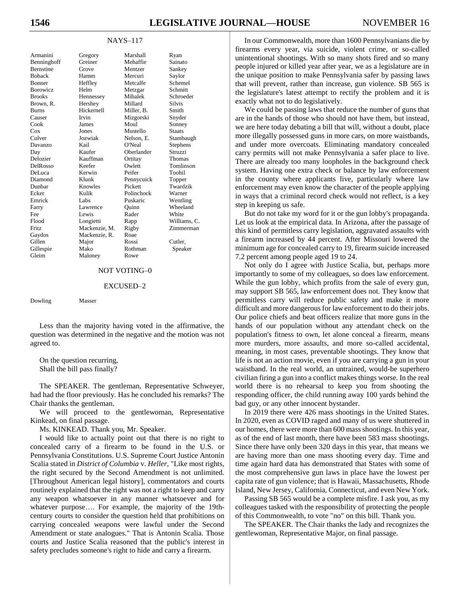#### NAYS–117

| Armanini    | Gregory       | Marshall   | Ryan          |
|-------------|---------------|------------|---------------|
| Benninghoff | Greiner       | Mehaffie   | Sainato       |
| Bernstine   | Grove         | Mentzer    | Sankey        |
| Boback      | Hamm          | Mercuri    | Saylor        |
| Bonner      | Heffley       | Metcalfe   | Schemel       |
| Borowicz    | Helm          | Metzgar    | Schmitt       |
| Brooks      | Hennessey     | Mihalek    | Schroeder     |
| Brown, R.   | Hershey       | Millard    | <b>Silvis</b> |
| Burns       | Hickernell    | Miller, B. | Smith         |
| Causer      | Irvin         | Mizgorski  | Snyder        |
| Cook        | James         | Moul       | Sonney        |
| Cox         | Jones         | Mustello   | <b>Staats</b> |
| Culver      | Jozwiak       | Nelson, E. | Stambaugh     |
| Davanzo     | Kail          | O'Neal     | Stephens      |
| Day         | Kaufer        | Oberlander | Struzzi       |
| Delozier    | Kauffman      | Ortitay    | Thomas        |
| DelRosso    | Keefer        | Owlett     | Tomlinson     |
| DeLuca      | Kerwin        | Peifer     | Toohil        |
| Diamond     | Klunk         | Pennycuick | Topper        |
| Dunbar      | Knowles       | Pickett    | Twardzik      |
| Ecker       | Kulik         | Polinchock | Warner        |
| Emrick      | Labs.         | Puskaric   | Wentling      |
| Farry       | Lawrence      | Quinn      | Wheeland      |
| Fee         | Lewis         | Rader      | White         |
| Flood       | Longietti     | Rapp       | Williams, C.  |
| Fritz       | Mackenzie, M. | Rigby      | Zimmerman     |
| Gaydos      | Mackenzie, R. | Roae       |               |
| Gillen      | Major         | Rossi      | Cutler.       |
| Gillespie   | Mako          | Rothman    | Speaker       |
| Gleim       | Maloney       | Rowe       |               |
|             |               |            |               |

#### NOT VOTING–0

#### EXCUSED–2

Dowling Masser

Less than the majority having voted in the affirmative, the question was determined in the negative and the motion was not agreed to.

On the question recurring, Shall the bill pass finally?

The SPEAKER. The gentleman, Representative Schweyer, had had the floor previously. Has he concluded his remarks? The Chair thanks the gentleman.

We will proceed to the gentlewoman, Representative Kinkead, on final passage.

Ms. KINKEAD. Thank you, Mr. Speaker.

I would like to actually point out that there is no right to concealed carry of a firearm to be found in the U.S. or Pennsylvania Constitutions. U.S. Supreme Court Justice Antonin Scalia stated in *District of Columbia* v. *Heller,* "Like most rights, the right secured by the Second Amendment is not unlimited. [Throughout American legal history], commentators and courts routinely explained that the right was not a right to keep and carry any weapon whatsoever in any manner whatsoever and for whatever purpose…. For example, the majority of the 19thcentury courts to consider the question held that prohibitions on carrying concealed weapons were lawful under the Second Amendment or state analogues." That is Antonin Scalia. Those courts and Justice Scalia reasoned that the public's interest in safety precludes someone's right to hide and carry a firearm.

In our Commonwealth, more than 1600 Pennsylvanians die by firearms every year, via suicide, violent crime, or so-called unintentional shootings. With so many shots fired and so many people injured or killed year after year, we as a legislature are in the unique position to make Pennsylvania safer by passing laws that will prevent, rather than increase, gun violence. SB 565 is the legislature's latest attempt to rectify the problem and it is exactly what not to do legislatively.

We could be passing laws that reduce the number of guns that are in the hands of those who should not have them, but instead, we are here today debating a bill that will, without a doubt, place more illegally possessed guns in more cars, on more waistbands, and under more overcoats. Eliminating mandatory concealed carry permits will not make Pennsylvania a safer place to live. There are already too many loopholes in the background check system. Having one extra check or balance by law enforcement in the county where applicants live, particularly where law enforcement may even know the character of the people applying in ways that a criminal record check would not reflect, is a key step in keeping us safe.

But do not take my word for it or the gun lobby's propaganda. Let us look at the empirical data. In Arizona, after the passage of this kind of permitless carry legislation, aggravated assaults with a firearm increased by 44 percent. After Missouri lowered the minimum age for concealed carry to 19, firearm suicide increased 7.2 percent among people aged 19 to 24.

Not only do I agree with Justice Scalia, but, perhaps more importantly to some of my colleagues, so does law enforcement. While the gun lobby, which profits from the sale of every gun, may support SB 565, law enforcement does not. They know that permitless carry will reduce public safety and make it more difficult and more dangerous for law enforcement to do their jobs. Our police chiefs and beat officers realize that more guns in the hands of our population without any attendant check on the population's fitness to own, let alone conceal a firearm, means more murders, more assaults, and more so-called accidental, meaning, in most cases, preventable shootings. They know that life is not an action movie, even if you are carrying a gun in your waistband. In the real world, an untrained, would-be superhero civilian firing a gun into a conflict makes things worse. In the real world there is no rehearsal to keep you from shooting the responding officer, the child running away 100 yards behind the bad guy, or any other innocent bystander.

In 2019 there were 426 mass shootings in the United States. In 2020, even as COVID raged and many of us were shuttered in our homes, there were more than 600 mass shootings. In this year, as of the end of last month, there have been 583 mass shootings. Since there have only been 320 days in this year, that means we are having more than one mass shooting every day. Time and time again hard data has demonstrated that States with some of the most comprehensive gun laws in place have the lowest per capita rate of gun violence; that is Hawaii, Massachusetts, Rhode Island, New Jersey, California, Connecticut, and even New York.

Passing SB 565 would be a complete misfire. I ask you, as my colleagues tasked with the responsibility of protecting the people of this Commonwealth, to vote "no" on this bill. Thank you.

The SPEAKER. The Chair thanks the lady and recognizes the gentlewoman, Representative Major, on final passage.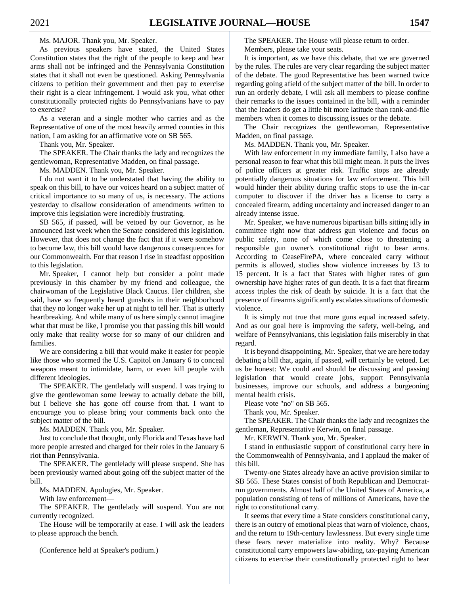Ms. MAJOR. Thank you, Mr. Speaker.

As previous speakers have stated, the United States Constitution states that the right of the people to keep and bear arms shall not be infringed and the Pennsylvania Constitution states that it shall not even be questioned. Asking Pennsylvania citizens to petition their government and then pay to exercise their right is a clear infringement. I would ask you, what other constitutionally protected rights do Pennsylvanians have to pay to exercise?

As a veteran and a single mother who carries and as the Representative of one of the most heavily armed counties in this nation, I am asking for an affirmative vote on SB 565.

Thank you, Mr. Speaker.

The SPEAKER. The Chair thanks the lady and recognizes the gentlewoman, Representative Madden, on final passage.

Ms. MADDEN. Thank you, Mr. Speaker.

I do not want it to be understated that having the ability to speak on this bill, to have our voices heard on a subject matter of critical importance to so many of us, is necessary. The actions yesterday to disallow consideration of amendments written to improve this legislation were incredibly frustrating.

SB 565, if passed, will be vetoed by our Governor, as he announced last week when the Senate considered this legislation. However, that does not change the fact that if it were somehow to become law, this bill would have dangerous consequences for our Commonwealth. For that reason I rise in steadfast opposition to this legislation.

Mr. Speaker, I cannot help but consider a point made previously in this chamber by my friend and colleague, the chairwoman of the Legislative Black Caucus. Her children, she said, have so frequently heard gunshots in their neighborhood that they no longer wake her up at night to tell her. That is utterly heartbreaking. And while many of us here simply cannot imagine what that must be like, I promise you that passing this bill would only make that reality worse for so many of our children and families.

We are considering a bill that would make it easier for people like those who stormed the U.S. Capitol on January 6 to conceal weapons meant to intimidate, harm, or even kill people with different ideologies.

The SPEAKER. The gentlelady will suspend. I was trying to give the gentlewoman some leeway to actually debate the bill, but I believe she has gone off course from that. I want to encourage you to please bring your comments back onto the subject matter of the bill.

Ms. MADDEN. Thank you, Mr. Speaker.

Just to conclude that thought, only Florida and Texas have had more people arrested and charged for their roles in the January 6 riot than Pennsylvania.

The SPEAKER. The gentlelady will please suspend. She has been previously warned about going off the subject matter of the bill.

Ms. MADDEN. Apologies, Mr. Speaker.

With law enforcement—

The SPEAKER. The gentlelady will suspend. You are not currently recognized.

The House will be temporarily at ease. I will ask the leaders to please approach the bench.

(Conference held at Speaker's podium.)

The SPEAKER. The House will please return to order. Members, please take your seats.

It is important, as we have this debate, that we are governed by the rules. The rules are very clear regarding the subject matter of the debate. The good Representative has been warned twice regarding going afield of the subject matter of the bill. In order to run an orderly debate, I will ask all members to please confine their remarks to the issues contained in the bill, with a reminder that the leaders do get a little bit more latitude than rank-and-file members when it comes to discussing issues or the debate.

The Chair recognizes the gentlewoman, Representative Madden, on final passage.

Ms. MADDEN. Thank you, Mr. Speaker.

With law enforcement in my immediate family, I also have a personal reason to fear what this bill might mean. It puts the lives of police officers at greater risk. Traffic stops are already potentially dangerous situations for law enforcement. This bill would hinder their ability during traffic stops to use the in-car computer to discover if the driver has a license to carry a concealed firearm, adding uncertainty and increased danger to an already intense issue.

Mr. Speaker, we have numerous bipartisan bills sitting idly in committee right now that address gun violence and focus on public safety, none of which come close to threatening a responsible gun owner's constitutional right to bear arms. According to CeaseFirePA, where concealed carry without permits is allowed, studies show violence increases by 13 to 15 percent. It is a fact that States with higher rates of gun ownership have higher rates of gun death. It is a fact that firearm access triples the risk of death by suicide. It is a fact that the presence of firearms significantly escalates situations of domestic violence.

It is simply not true that more guns equal increased safety. And as our goal here is improving the safety, well-being, and welfare of Pennsylvanians, this legislation fails miserably in that regard.

It is beyond disappointing, Mr. Speaker, that we are here today debating a bill that, again, if passed, will certainly be vetoed. Let us be honest: We could and should be discussing and passing legislation that would create jobs, support Pennsylvania businesses, improve our schools, and address a burgeoning mental health crisis.

Please vote "no" on SB 565.

Thank you, Mr. Speaker.

The SPEAKER. The Chair thanks the lady and recognizes the gentleman, Representative Kerwin, on final passage.

Mr. KERWIN. Thank you, Mr. Speaker.

I stand in enthusiastic support of constitutional carry here in the Commonwealth of Pennsylvania, and I applaud the maker of this bill.

Twenty-one States already have an active provision similar to SB 565. These States consist of both Republican and Democratrun governments. Almost half of the United States of America, a population consisting of tens of millions of Americans, have the right to constitutional carry.

It seems that every time a State considers constitutional carry, there is an outcry of emotional pleas that warn of violence, chaos, and the return to 19th-century lawlessness. But every single time these fears never materialize into reality. Why? Because constitutional carry empowers law-abiding, tax-paying American citizens to exercise their constitutionally protected right to bear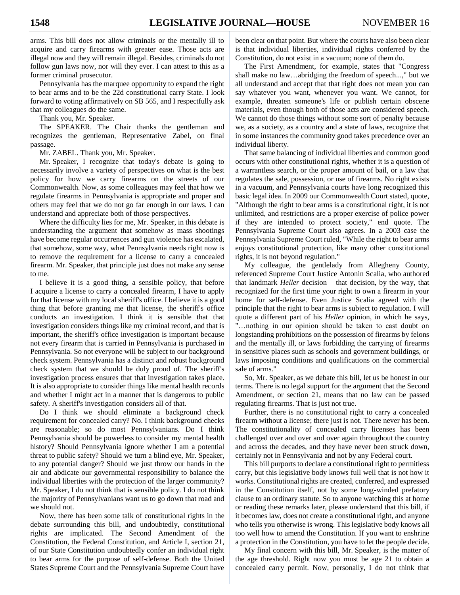arms. This bill does not allow criminals or the mentally ill to acquire and carry firearms with greater ease. Those acts are illegal now and they will remain illegal. Besides, criminals do not follow gun laws now, nor will they ever. I can attest to this as a former criminal prosecutor.

Pennsylvania has the marquee opportunity to expand the right to bear arms and to be the 22d constitutional carry State. I look forward to voting affirmatively on SB 565, and I respectfully ask that my colleagues do the same.

Thank you, Mr. Speaker.

The SPEAKER. The Chair thanks the gentleman and recognizes the gentleman, Representative Zabel, on final passage.

Mr. ZABEL. Thank you, Mr. Speaker.

Mr. Speaker, I recognize that today's debate is going to necessarily involve a variety of perspectives on what is the best policy for how we carry firearms on the streets of our Commonwealth. Now, as some colleagues may feel that how we regulate firearms in Pennsylvania is appropriate and proper and others may feel that we do not go far enough in our laws. I can understand and appreciate both of those perspectives.

Where the difficulty lies for me, Mr. Speaker, in this debate is understanding the argument that somehow as mass shootings have become regular occurrences and gun violence has escalated, that somehow, some way, what Pennsylvania needs right now is to remove the requirement for a license to carry a concealed firearm. Mr. Speaker, that principle just does not make any sense to me.

I believe it is a good thing, a sensible policy, that before I acquire a license to carry a concealed firearm, I have to apply for that license with my local sheriff's office. I believe it is a good thing that before granting me that license, the sheriff's office conducts an investigation. I think it is sensible that that investigation considers things like my criminal record, and that is important, the sheriff's office investigation is important because not every firearm that is carried in Pennsylvania is purchased in Pennsylvania. So not everyone will be subject to our background check system. Pennsylvania has a distinct and robust background check system that we should be duly proud of. The sheriff's investigation process ensures that that investigation takes place. It is also appropriate to consider things like mental health records and whether I might act in a manner that is dangerous to public safety. A sheriff's investigation considers all of that.

Do I think we should eliminate a background check requirement for concealed carry? No. I think background checks are reasonable; so do most Pennsylvanians. Do I think Pennsylvania should be powerless to consider my mental health history? Should Pennsylvania ignore whether I am a potential threat to public safety? Should we turn a blind eye, Mr. Speaker, to any potential danger? Should we just throw our hands in the air and abdicate our governmental responsibility to balance the individual liberties with the protection of the larger community? Mr. Speaker, I do not think that is sensible policy. I do not think the majority of Pennsylvanians want us to go down that road and we should not.

Now, there has been some talk of constitutional rights in the debate surrounding this bill, and undoubtedly, constitutional rights are implicated. The Second Amendment of the Constitution, the Federal Constitution, and Article I, section 21, of our State Constitution undoubtedly confer an individual right to bear arms for the purpose of self-defense. Both the United States Supreme Court and the Pennsylvania Supreme Court have

been clear on that point. But where the courts have also been clear is that individual liberties, individual rights conferred by the Constitution, do not exist in a vacuum; none of them do.

The First Amendment, for example, states that "Congress shall make no law…abridging the freedom of speech...," but we all understand and accept that that right does not mean you can say whatever you want, whenever you want. We cannot, for example, threaten someone's life or publish certain obscene materials, even though both of those acts are considered speech. We cannot do those things without some sort of penalty because we, as a society, as a country and a state of laws, recognize that in some instances the community good takes precedence over an individual liberty.

That same balancing of individual liberties and common good occurs with other constitutional rights, whether it is a question of a warrantless search, or the proper amount of bail, or a law that regulates the sale, possession, or use of firearms. No right exists in a vacuum, and Pennsylvania courts have long recognized this basic legal idea. In 2009 our Commonwealth Court stated, quote, "Although the right to bear arms is a constitutional right, it is not unlimited, and restrictions are a proper exercise of police power if they are intended to protect society," end quote. The Pennsylvania Supreme Court also agrees. In a 2003 case the Pennsylvania Supreme Court ruled, "While the right to bear arms enjoys constitutional protection, like many other constitutional rights, it is not beyond regulation."

My colleague, the gentlelady from Allegheny County, referenced Supreme Court Justice Antonin Scalia, who authored that landmark *Heller* decision – that decision, by the way, that recognized for the first time your right to own a firearm in your home for self-defense. Even Justice Scalia agreed with the principle that the right to bear arms is subject to regulation. I will quote a different part of his *Heller* opinion, in which he says, "…nothing in our opinion should be taken to cast doubt on longstanding prohibitions on the possession of firearms by felons and the mentally ill, or laws forbidding the carrying of firearms in sensitive places such as schools and government buildings, or laws imposing conditions and qualifications on the commercial sale of arms."

So, Mr. Speaker, as we debate this bill, let us be honest in our terms. There is no legal support for the argument that the Second Amendment, or section 21, means that no law can be passed regulating firearms. That is just not true.

Further, there is no constitutional right to carry a concealed firearm without a license; there just is not. There never has been. The constitutionality of concealed carry licenses has been challenged over and over and over again throughout the country and across the decades, and they have never been struck down, certainly not in Pennsylvania and not by any Federal court.

This bill purports to declare a constitutional right to permitless carry, but this legislative body knows full well that is not how it works. Constitutional rights are created, conferred, and expressed in the Constitution itself, not by some long-winded prefatory clause to an ordinary statute. So to anyone watching this at home or reading these remarks later, please understand that this bill, if it becomes law, does not create a constitutional right, and anyone who tells you otherwise is wrong. This legislative body knows all too well how to amend the Constitution. If you want to enshrine a protection in the Constitution, you have to let the people decide.

My final concern with this bill, Mr. Speaker, is the matter of the age threshold. Right now you must be age 21 to obtain a concealed carry permit. Now, personally, I do not think that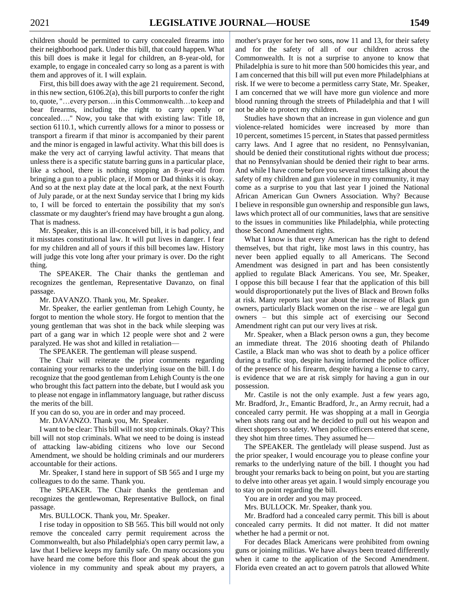children should be permitted to carry concealed firearms into their neighborhood park. Under this bill, that could happen. What this bill does is make it legal for children, an 8-year-old, for example, to engage in concealed carry so long as a parent is with them and approves of it. I will explain.

First, this bill does away with the age 21 requirement. Second, in this new section, 6106.2(a), this bill purports to confer the right to, quote, "…every person…in this Commonwealth…to keep and bear firearms, including the right to carry openly or concealed…." Now, you take that with existing law: Title 18, section 6110.1, which currently allows for a minor to possess or transport a firearm if that minor is accompanied by their parent and the minor is engaged in lawful activity. What this bill does is make the very act of carrying lawful activity. That means that unless there is a specific statute barring guns in a particular place, like a school, there is nothing stopping an 8-year-old from bringing a gun to a public place, if Mom or Dad thinks it is okay. And so at the next play date at the local park, at the next Fourth of July parade, or at the next Sunday service that I bring my kids to, I will be forced to entertain the possibility that my son's classmate or my daughter's friend may have brought a gun along. That is madness.

Mr. Speaker, this is an ill-conceived bill, it is bad policy, and it misstates constitutional law. It will put lives in danger. I fear for my children and all of yours if this bill becomes law. History will judge this vote long after your primary is over. Do the right thing.

The SPEAKER. The Chair thanks the gentleman and recognizes the gentleman, Representative Davanzo, on final passage.

Mr. DAVANZO. Thank you, Mr. Speaker.

Mr. Speaker, the earlier gentleman from Lehigh County, he forgot to mention the whole story. He forgot to mention that the young gentleman that was shot in the back while sleeping was part of a gang war in which 12 people were shot and 2 were paralyzed. He was shot and killed in retaliation—

The SPEAKER. The gentleman will please suspend.

The Chair will reiterate the prior comments regarding containing your remarks to the underlying issue on the bill. I do recognize that the good gentleman from Lehigh County is the one who brought this fact pattern into the debate, but I would ask you to please not engage in inflammatory language, but rather discuss the merits of the bill.

If you can do so, you are in order and may proceed.

Mr. DAVANZO. Thank you, Mr. Speaker.

I want to be clear: This bill will not stop criminals. Okay? This bill will not stop criminals. What we need to be doing is instead of attacking law-abiding citizens who love our Second Amendment, we should be holding criminals and our murderers accountable for their actions.

Mr. Speaker, I stand here in support of SB 565 and I urge my colleagues to do the same. Thank you.

The SPEAKER. The Chair thanks the gentleman and recognizes the gentlewoman, Representative Bullock, on final passage.

Mrs. BULLOCK. Thank you, Mr. Speaker.

I rise today in opposition to SB 565. This bill would not only remove the concealed carry permit requirement across the Commonwealth, but also Philadelphia's open carry permit law, a law that I believe keeps my family safe. On many occasions you have heard me come before this floor and speak about the gun violence in my community and speak about my prayers, a mother's prayer for her two sons, now 11 and 13, for their safety and for the safety of all of our children across the Commonwealth. It is not a surprise to anyone to know that Philadelphia is sure to hit more than 500 homicides this year, and I am concerned that this bill will put even more Philadelphians at risk. If we were to become a permitless carry State, Mr. Speaker, I am concerned that we will have more gun violence and more blood running through the streets of Philadelphia and that I will not be able to protect my children.

Studies have shown that an increase in gun violence and gun violence-related homicides were increased by more than 10 percent, sometimes 15 percent, in States that passed permitless carry laws. And I agree that no resident, no Pennsylvanian, should be denied their constitutional rights without due process; that no Pennsylvanian should be denied their right to bear arms. And while I have come before you several times talking about the safety of my children and gun violence in my community, it may come as a surprise to you that last year I joined the National African American Gun Owners Association. Why? Because I believe in responsible gun ownership and responsible gun laws, laws which protect all of our communities, laws that are sensitive to the issues in communities like Philadelphia, while protecting those Second Amendment rights.

What I know is that every American has the right to defend themselves, but that right, like most laws in this country, has never been applied equally to all Americans. The Second Amendment was designed in part and has been consistently applied to regulate Black Americans. You see, Mr. Speaker, I oppose this bill because I fear that the application of this bill would disproportionately put the lives of Black and Brown folks at risk. Many reports last year about the increase of Black gun owners, particularly Black women on the rise – we are legal gun owners – but this simple act of exercising our Second Amendment right can put our very lives at risk.

Mr. Speaker, when a Black person owns a gun, they become an immediate threat. The 2016 shooting death of Philando Castile, a Black man who was shot to death by a police officer during a traffic stop, despite having informed the police officer of the presence of his firearm, despite having a license to carry, is evidence that we are at risk simply for having a gun in our possession.

Mr. Castile is not the only example. Just a few years ago, Mr. Bradford, Jr., Emantic Bradford, Jr., an Army recruit, had a concealed carry permit. He was shopping at a mall in Georgia when shots rang out and he decided to pull out his weapon and direct shoppers to safety. When police officers entered that scene, they shot him three times. They assumed he—

The SPEAKER. The gentlelady will please suspend. Just as the prior speaker, I would encourage you to please confine your remarks to the underlying nature of the bill. I thought you had brought your remarks back to being on point, but you are starting to delve into other areas yet again. I would simply encourage you to stay on point regarding the bill.

You are in order and you may proceed.

Mrs. BULLOCK. Mr. Speaker, thank you.

Mr. Bradford had a concealed carry permit. This bill is about concealed carry permits. It did not matter. It did not matter whether he had a permit or not.

For decades Black Americans were prohibited from owning guns or joining militias. We have always been treated differently when it came to the application of the Second Amendment. Florida even created an act to govern patrols that allowed White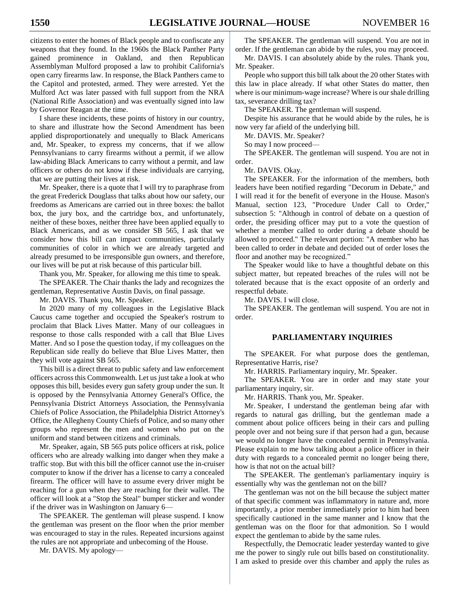citizens to enter the homes of Black people and to confiscate any weapons that they found. In the 1960s the Black Panther Party gained prominence in Oakland, and then Republican Assemblyman Mulford proposed a law to prohibit California's open carry firearms law. In response, the Black Panthers came to the Capitol and protested, armed. They were arrested. Yet the Mulford Act was later passed with full support from the NRA (National Rifle Association) and was eventually signed into law by Governor Reagan at the time.

I share these incidents, these points of history in our country, to share and illustrate how the Second Amendment has been applied disproportionately and unequally to Black Americans and, Mr. Speaker, to express my concerns, that if we allow Pennsylvanians to carry firearms without a permit, if we allow law-abiding Black Americans to carry without a permit, and law officers or others do not know if these individuals are carrying, that we are putting their lives at risk.

Mr. Speaker, there is a quote that I will try to paraphrase from the great Frederick Douglass that talks about how our safety, our freedoms as Americans are carried out in three boxes: the ballot box, the jury box, and the cartridge box, and unfortunately, neither of these boxes, neither three have been applied equally to Black Americans, and as we consider SB 565, I ask that we consider how this bill can impact communities, particularly communities of color in which we are already targeted and already presumed to be irresponsible gun owners, and therefore, our lives will be put at risk because of this particular bill.

Thank you, Mr. Speaker, for allowing me this time to speak.

The SPEAKER. The Chair thanks the lady and recognizes the gentleman, Representative Austin Davis, on final passage.

Mr. DAVIS. Thank you, Mr. Speaker.

In 2020 many of my colleagues in the Legislative Black Caucus came together and occupied the Speaker's rostrum to proclaim that Black Lives Matter. Many of our colleagues in response to those calls responded with a call that Blue Lives Matter. And so I pose the question today, if my colleagues on the Republican side really do believe that Blue Lives Matter, then they will vote against SB 565.

This bill is a direct threat to public safety and law enforcement officers across this Commonwealth. Let us just take a look at who opposes this bill, besides every gun safety group under the sun. It is opposed by the Pennsylvania Attorney General's Office, the Pennsylvania District Attorneys Association, the Pennsylvania Chiefs of Police Association, the Philadelphia District Attorney's Office, the Allegheny County Chiefs of Police, and so many other groups who represent the men and women who put on the uniform and stand between citizens and criminals.

Mr. Speaker, again, SB 565 puts police officers at risk, police officers who are already walking into danger when they make a traffic stop. But with this bill the officer cannot use the in-cruiser computer to know if the driver has a license to carry a concealed firearm. The officer will have to assume every driver might be reaching for a gun when they are reaching for their wallet. The officer will look at a "Stop the Steal" bumper sticker and wonder if the driver was in Washington on January 6—

The SPEAKER. The gentleman will please suspend. I know the gentleman was present on the floor when the prior member was encouraged to stay in the rules. Repeated incursions against the rules are not appropriate and unbecoming of the House.

Mr. DAVIS. My apology—

The SPEAKER. The gentleman will suspend. You are not in order. If the gentleman can abide by the rules, you may proceed.

Mr. DAVIS. I can absolutely abide by the rules. Thank you, Mr. Speaker.

People who support this bill talk about the 20 other States with this law in place already. If what other States do matter, then where is our minimum-wage increase? Where is our shale drilling tax, severance drilling tax?

The SPEAKER. The gentleman will suspend.

Despite his assurance that he would abide by the rules, he is now very far afield of the underlying bill.

Mr. DAVIS. Mr. Speaker?

So may I now proceed—

The SPEAKER. The gentleman will suspend. You are not in order.

Mr. DAVIS. Okay.

The SPEAKER. For the information of the members, both leaders have been notified regarding "Decorum in Debate," and I will read it for the benefit of everyone in the House. Mason's Manual, section 123, "Procedure Under Call to Order," subsection 5: "Although in control of debate on a question of order, the presiding officer may put to a vote the question of whether a member called to order during a debate should be allowed to proceed." The relevant portion: "A member who has been called to order in debate and decided out of order loses the floor and another may be recognized."

The Speaker would like to have a thoughtful debate on this subject matter, but repeated breaches of the rules will not be tolerated because that is the exact opposite of an orderly and respectful debate.

Mr. DAVIS. I will close.

The SPEAKER. The gentleman will suspend. You are not in order.

## **PARLIAMENTARY INQUIRIES**

The SPEAKER. For what purpose does the gentleman, Representative Harris, rise?

Mr. HARRIS. Parliamentary inquiry, Mr. Speaker.

The SPEAKER. You are in order and may state your parliamentary inquiry, sir.

Mr. HARRIS. Thank you, Mr. Speaker.

Mr. Speaker, I understand the gentleman being afar with regards to natural gas drilling, but the gentleman made a comment about police officers being in their cars and pulling people over and not being sure if that person had a gun, because we would no longer have the concealed permit in Pennsylvania. Please explain to me how talking about a police officer in their duty with regards to a concealed permit no longer being there, how is that not on the actual bill?

The SPEAKER. The gentleman's parliamentary inquiry is essentially why was the gentleman not on the bill?

The gentleman was not on the bill because the subject matter of that specific comment was inflammatory in nature and, more importantly, a prior member immediately prior to him had been specifically cautioned in the same manner and I know that the gentleman was on the floor for that admonition. So I would expect the gentleman to abide by the same rules.

Respectfully, the Democratic leader yesterday wanted to give me the power to singly rule out bills based on constitutionality. I am asked to preside over this chamber and apply the rules as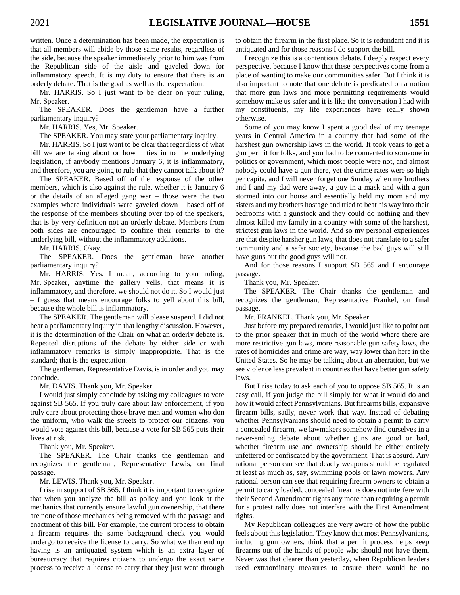written. Once a determination has been made, the expectation is that all members will abide by those same results, regardless of the side, because the speaker immediately prior to him was from the Republican side of the aisle and gaveled down for inflammatory speech. It is my duty to ensure that there is an orderly debate. That is the goal as well as the expectation.

Mr. HARRIS. So I just want to be clear on your ruling, Mr. Speaker.

The SPEAKER. Does the gentleman have a further parliamentary inquiry?

Mr. HARRIS. Yes, Mr. Speaker.

The SPEAKER. You may state your parliamentary inquiry.

Mr. HARRIS. So I just want to be clear that regardless of what bill we are talking about or how it ties in to the underlying legislation, if anybody mentions January 6, it is inflammatory, and therefore, you are going to rule that they cannot talk about it?

The SPEAKER. Based off of the response of the other members, which is also against the rule, whether it is January 6 or the details of an alleged gang war – those were the two examples where individuals were gaveled down – based off of the response of the members shouting over top of the speakers, that is by very definition not an orderly debate. Members from both sides are encouraged to confine their remarks to the underlying bill, without the inflammatory additions.

Mr. HARRIS. Okay.

The SPEAKER. Does the gentleman have another parliamentary inquiry?

Mr. HARRIS. Yes. I mean, according to your ruling, Mr. Speaker, anytime the gallery yells, that means it is inflammatory, and therefore, we should not do it. So I would just – I guess that means encourage folks to yell about this bill, because the whole bill is inflammatory.

The SPEAKER. The gentleman will please suspend. I did not hear a parliamentary inquiry in that lengthy discussion. However, it is the determination of the Chair on what an orderly debate is. Repeated disruptions of the debate by either side or with inflammatory remarks is simply inappropriate. That is the standard; that is the expectation.

The gentleman, Representative Davis, is in order and you may conclude.

Mr. DAVIS. Thank you, Mr. Speaker.

I would just simply conclude by asking my colleagues to vote against SB 565. If you truly care about law enforcement, if you truly care about protecting those brave men and women who don the uniform, who walk the streets to protect our citizens, you would vote against this bill, because a vote for SB 565 puts their lives at risk.

Thank you, Mr. Speaker.

The SPEAKER. The Chair thanks the gentleman and recognizes the gentleman, Representative Lewis, on final passage.

Mr. LEWIS. Thank you, Mr. Speaker.

I rise in support of SB 565. I think it is important to recognize that when you analyze the bill as policy and you look at the mechanics that currently ensure lawful gun ownership, that there are none of those mechanics being removed with the passage and enactment of this bill. For example, the current process to obtain a firearm requires the same background check you would undergo to receive the license to carry. So what we then end up having is an antiquated system which is an extra layer of bureaucracy that requires citizens to undergo the exact same process to receive a license to carry that they just went through

to obtain the firearm in the first place. So it is redundant and it is antiquated and for those reasons I do support the bill.

I recognize this is a contentious debate. I deeply respect every perspective, because I know that these perspectives come from a place of wanting to make our communities safer. But I think it is also important to note that one debate is predicated on a notion that more gun laws and more permitting requirements would somehow make us safer and it is like the conversation I had with my constituents, my life experiences have really shown otherwise.

Some of you may know I spent a good deal of my teenage years in Central America in a country that had some of the harshest gun ownership laws in the world. It took years to get a gun permit for folks, and you had to be connected to someone in politics or government, which most people were not, and almost nobody could have a gun there, yet the crime rates were so high per capita, and I will never forget one Sunday when my brothers and I and my dad were away, a guy in a mask and with a gun stormed into our house and essentially held my mom and my sisters and my brothers hostage and tried to beat his way into their bedrooms with a gunstock and they could do nothing and they almost killed my family in a country with some of the harshest, strictest gun laws in the world. And so my personal experiences are that despite harsher gun laws, that does not translate to a safer community and a safer society, because the bad guys will still have guns but the good guys will not.

And for those reasons I support SB 565 and I encourage passage.

Thank you, Mr. Speaker.

The SPEAKER. The Chair thanks the gentleman and recognizes the gentleman, Representative Frankel, on final passage.

Mr. FRANKEL. Thank you, Mr. Speaker.

Just before my prepared remarks, I would just like to point out to the prior speaker that in much of the world where there are more restrictive gun laws, more reasonable gun safety laws, the rates of homicides and crime are way, way lower than here in the United States. So he may be talking about an aberration, but we see violence less prevalent in countries that have better gun safety laws.

But I rise today to ask each of you to oppose SB 565. It is an easy call, if you judge the bill simply for what it would do and how it would affect Pennsylvanians. But firearms bills, expansive firearm bills, sadly, never work that way. Instead of debating whether Pennsylvanians should need to obtain a permit to carry a concealed firearm, we lawmakers somehow find ourselves in a never-ending debate about whether guns are good or bad, whether firearm use and ownership should be either entirely unfettered or confiscated by the government. That is absurd. Any rational person can see that deadly weapons should be regulated at least as much as, say, swimming pools or lawn mowers. Any rational person can see that requiring firearm owners to obtain a permit to carry loaded, concealed firearms does not interfere with their Second Amendment rights any more than requiring a permit for a protest rally does not interfere with the First Amendment rights.

My Republican colleagues are very aware of how the public feels about this legislation. They know that most Pennsylvanians, including gun owners, think that a permit process helps keep firearms out of the hands of people who should not have them. Never was that clearer than yesterday, when Republican leaders used extraordinary measures to ensure there would be no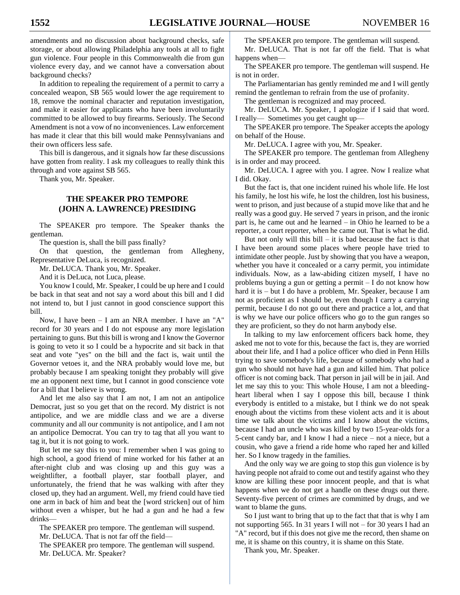amendments and no discussion about background checks, safe storage, or about allowing Philadelphia any tools at all to fight gun violence. Four people in this Commonwealth die from gun violence every day, and we cannot have a conversation about background checks?

In addition to repealing the requirement of a permit to carry a concealed weapon, SB 565 would lower the age requirement to 18, remove the nominal character and reputation investigation, and make it easier for applicants who have been involuntarily committed to be allowed to buy firearms. Seriously. The Second Amendment is not a vow of no inconveniences. Law enforcement has made it clear that this bill would make Pennsylvanians and their own officers less safe.

This bill is dangerous, and it signals how far these discussions have gotten from reality. I ask my colleagues to really think this through and vote against SB 565.

Thank you, Mr. Speaker.

# **THE SPEAKER PRO TEMPORE (JOHN A. LAWRENCE) PRESIDING**

The SPEAKER pro tempore. The Speaker thanks the gentleman.

The question is, shall the bill pass finally?

On that question, the gentleman from Allegheny, Representative DeLuca, is recognized.

Mr. DeLUCA. Thank you, Mr. Speaker.

And it is DeLuca, not Luca, please.

You know I could, Mr. Speaker, I could be up here and I could be back in that seat and not say a word about this bill and I did not intend to, but I just cannot in good conscience support this bill.

Now, I have been – I am an NRA member. I have an "A" record for 30 years and I do not espouse any more legislation pertaining to guns. But this bill is wrong and I know the Governor is going to veto it so I could be a hypocrite and sit back in that seat and vote "yes" on the bill and the fact is, wait until the Governor vetoes it, and the NRA probably would love me, but probably because I am speaking tonight they probably will give me an opponent next time, but I cannot in good conscience vote for a bill that I believe is wrong.

And let me also say that I am not, I am not an antipolice Democrat, just so you get that on the record. My district is not antipolice, and we are middle class and we are a diverse community and all our community is not antipolice, and I am not an antipolice Democrat. You can try to tag that all you want to tag it, but it is not going to work.

But let me say this to you: I remember when I was going to high school, a good friend of mine worked for his father at an after-night club and was closing up and this guy was a weightlifter, a football player, star football player, and unfortunately, the friend that he was walking with after they closed up, they had an argument. Well, my friend could have tied one arm in back of him and beat the [word stricken] out of him without even a whisper, but he had a gun and he had a few drinks—

The SPEAKER pro tempore. The gentleman will suspend. Mr. DeLUCA. That is not far off the field— The SPEAKER pro tempore. The gentleman will suspend. Mr. DeLUCA. Mr. Speaker?

The SPEAKER pro tempore. The gentleman will suspend.

Mr. DeLUCA. That is not far off the field. That is what happens when—

The SPEAKER pro tempore. The gentleman will suspend. He is not in order.

The Parliamentarian has gently reminded me and I will gently remind the gentleman to refrain from the use of profanity.

The gentleman is recognized and may proceed.

Mr. DeLUCA. Mr. Speaker, I apologize if I said that word. I really— Sometimes you get caught up—

The SPEAKER pro tempore. The Speaker accepts the apology on behalf of the House.

Mr. DeLUCA. I agree with you, Mr. Speaker.

The SPEAKER pro tempore. The gentleman from Allegheny is in order and may proceed.

Mr. DeLUCA. I agree with you. I agree. Now I realize what I did. Okay.

But the fact is, that one incident ruined his whole life. He lost his family, he lost his wife, he lost the children, lost his business, went to prison, and just because of a stupid move like that and he really was a good guy. He served 7 years in prison, and the ironic part is, he came out and he learned – in Ohio he learned to be a reporter, a court reporter, when he came out. That is what he did.

But not only will this  $\frac{1}{1}$  – it is bad because the fact is that I have been around some places where people have tried to intimidate other people. Just by showing that you have a weapon, whether you have it concealed or a carry permit, you intimidate individuals. Now, as a law-abiding citizen myself, I have no problems buying a gun or getting a permit – I do not know how hard it is – but I do have a problem, Mr. Speaker, because I am not as proficient as I should be, even though I carry a carrying permit, because I do not go out there and practice a lot, and that is why we have our police officers who go to the gun ranges so they are proficient, so they do not harm anybody else.

In talking to my law enforcement officers back home, they asked me not to vote for this, because the fact is, they are worried about their life, and I had a police officer who died in Penn Hills trying to save somebody's life, because of somebody who had a gun who should not have had a gun and killed him. That police officer is not coming back. That person in jail will be in jail. And let me say this to you: This whole House, I am not a bleedingheart liberal when I say I oppose this bill, because I think everybody is entitled to a mistake, but I think we do not speak enough about the victims from these violent acts and it is about time we talk about the victims and I know about the victims, because I had an uncle who was killed by two 15-year-olds for a 5-cent candy bar, and I know I had a niece – not a niece, but a cousin, who gave a friend a ride home who raped her and killed her. So I know tragedy in the families.

And the only way we are going to stop this gun violence is by having people not afraid to come out and testify against who they know are killing these poor innocent people, and that is what happens when we do not get a handle on these drugs out there. Seventy-five percent of crimes are committed by drugs, and we want to blame the guns.

So I just want to bring that up to the fact that that is why I am not supporting 565. In 31 years I will not – for 30 years I had an "A" record, but if this does not give me the record, then shame on me, it is shame on this country, it is shame on this State.

Thank you, Mr. Speaker.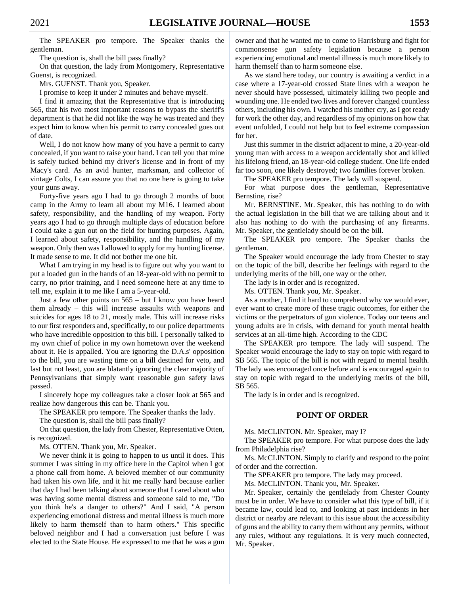The SPEAKER pro tempore. The Speaker thanks the gentleman.

The question is, shall the bill pass finally?

On that question, the lady from Montgomery, Representative Guenst, is recognized.

Mrs. GUENST. Thank you, Speaker.

I promise to keep it under 2 minutes and behave myself.

I find it amazing that the Representative that is introducing 565, that his two most important reasons to bypass the sheriff's department is that he did not like the way he was treated and they expect him to know when his permit to carry concealed goes out of date.

Well, I do not know how many of you have a permit to carry concealed, if you want to raise your hand. I can tell you that mine is safely tucked behind my driver's license and in front of my Macy's card. As an avid hunter, marksman, and collector of vintage Colts, I can assure you that no one here is going to take your guns away.

Forty-five years ago I had to go through 2 months of boot camp in the Army to learn all about my M16. I learned about safety, responsibility, and the handling of my weapon. Forty years ago I had to go through multiple days of education before I could take a gun out on the field for hunting purposes. Again, I learned about safety, responsibility, and the handling of my weapon. Only then was I allowed to apply for my hunting license. It made sense to me. It did not bother me one bit.

What I am trying in my head is to figure out why you want to put a loaded gun in the hands of an 18-year-old with no permit to carry, no prior training, and I need someone here at any time to tell me, explain it to me like I am a 5-year-old.

Just a few other points on 565 – but I know you have heard them already – this will increase assaults with weapons and suicides for ages 18 to 21, mostly male. This will increase risks to our first responders and, specifically, to our police departments who have incredible opposition to this bill. I personally talked to my own chief of police in my own hometown over the weekend about it. He is appalled. You are ignoring the D.A.s' opposition to the bill, you are wasting time on a bill destined for veto, and last but not least, you are blatantly ignoring the clear majority of Pennsylvanians that simply want reasonable gun safety laws passed.

I sincerely hope my colleagues take a closer look at 565 and realize how dangerous this can be. Thank you.

The SPEAKER pro tempore. The Speaker thanks the lady.

The question is, shall the bill pass finally?

On that question, the lady from Chester, Representative Otten, is recognized.

Ms. OTTEN. Thank you, Mr. Speaker.

We never think it is going to happen to us until it does. This summer I was sitting in my office here in the Capitol when I got a phone call from home. A beloved member of our community had taken his own life, and it hit me really hard because earlier that day I had been talking about someone that I cared about who was having some mental distress and someone said to me, "Do you think he's a danger to others?" And I said, "A person experiencing emotional distress and mental illness is much more likely to harm themself than to harm others." This specific beloved neighbor and I had a conversation just before I was elected to the State House. He expressed to me that he was a gun

owner and that he wanted me to come to Harrisburg and fight for commonsense gun safety legislation because a person experiencing emotional and mental illness is much more likely to harm themself than to harm someone else.

As we stand here today, our country is awaiting a verdict in a case where a 17-year-old crossed State lines with a weapon he never should have possessed, ultimately killing two people and wounding one. He ended two lives and forever changed countless others, including his own. I watched his mother cry, as I got ready for work the other day, and regardless of my opinions on how that event unfolded, I could not help but to feel extreme compassion for her.

Just this summer in the district adjacent to mine, a 20-year-old young man with access to a weapon accidentally shot and killed his lifelong friend, an 18-year-old college student. One life ended far too soon, one likely destroyed; two families forever broken.

The SPEAKER pro tempore. The lady will suspend.

For what purpose does the gentleman, Representative Bernstine, rise?

Mr. BERNSTINE. Mr. Speaker, this has nothing to do with the actual legislation in the bill that we are talking about and it also has nothing to do with the purchasing of any firearms. Mr. Speaker, the gentlelady should be on the bill.

The SPEAKER pro tempore. The Speaker thanks the gentleman.

The Speaker would encourage the lady from Chester to stay on the topic of the bill, describe her feelings with regard to the underlying merits of the bill, one way or the other.

The lady is in order and is recognized.

Ms. OTTEN. Thank you, Mr. Speaker.

As a mother, I find it hard to comprehend why we would ever, ever want to create more of these tragic outcomes, for either the victims or the perpetrators of gun violence. Today our teens and young adults are in crisis, with demand for youth mental health services at an all-time high. According to the CDC—

The SPEAKER pro tempore. The lady will suspend. The Speaker would encourage the lady to stay on topic with regard to SB 565. The topic of the bill is not with regard to mental health. The lady was encouraged once before and is encouraged again to stay on topic with regard to the underlying merits of the bill, SB 565.

The lady is in order and is recognized.

# **POINT OF ORDER**

Ms. McCLINTON. Mr. Speaker, may I?

The SPEAKER pro tempore. For what purpose does the lady from Philadelphia rise?

Ms. McCLINTON. Simply to clarify and respond to the point of order and the correction.

The SPEAKER pro tempore. The lady may proceed.

Ms. McCLINTON. Thank you, Mr. Speaker.

Mr. Speaker, certainly the gentlelady from Chester County must be in order. We have to consider what this type of bill, if it became law, could lead to, and looking at past incidents in her district or nearby are relevant to this issue about the accessibility of guns and the ability to carry them without any permits, without any rules, without any regulations. It is very much connected, Mr. Speaker.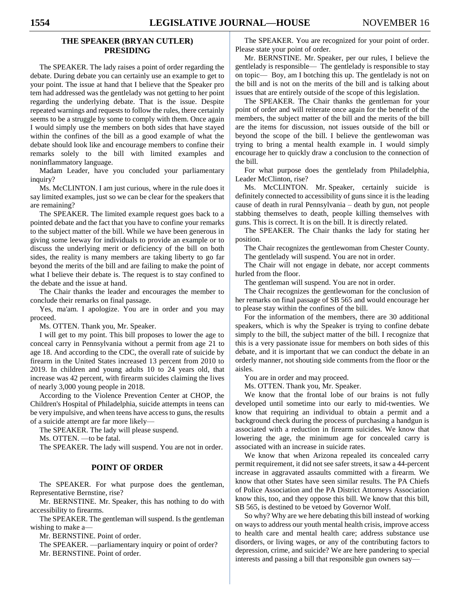# **THE SPEAKER (BRYAN CUTLER) PRESIDING**

The SPEAKER. The lady raises a point of order regarding the debate. During debate you can certainly use an example to get to your point. The issue at hand that I believe that the Speaker pro tem had addressed was the gentlelady was not getting to her point regarding the underlying debate. That is the issue. Despite repeated warnings and requests to follow the rules, there certainly seems to be a struggle by some to comply with them. Once again I would simply use the members on both sides that have stayed within the confines of the bill as a good example of what the debate should look like and encourage members to confine their remarks solely to the bill with limited examples and noninflammatory language.

Madam Leader, have you concluded your parliamentary inquiry?

Ms. McCLINTON. I am just curious, where in the rule does it say limited examples, just so we can be clear for the speakers that are remaining?

The SPEAKER. The limited example request goes back to a pointed debate and the fact that you have to confine your remarks to the subject matter of the bill. While we have been generous in giving some leeway for individuals to provide an example or to discuss the underlying merit or deficiency of the bill on both sides, the reality is many members are taking liberty to go far beyond the merits of the bill and are failing to make the point of what I believe their debate is. The request is to stay confined to the debate and the issue at hand.

The Chair thanks the leader and encourages the member to conclude their remarks on final passage.

Yes, ma'am. I apologize. You are in order and you may proceed.

Ms. OTTEN. Thank you, Mr. Speaker.

I will get to my point. This bill proposes to lower the age to conceal carry in Pennsylvania without a permit from age 21 to age 18. And according to the CDC, the overall rate of suicide by firearm in the United States increased 13 percent from 2010 to 2019. In children and young adults 10 to 24 years old, that increase was 42 percent, with firearm suicides claiming the lives of nearly 3,000 young people in 2018.

According to the Violence Prevention Center at CHOP, the Children's Hospital of Philadelphia, suicide attempts in teens can be very impulsive, and when teens have access to guns, the results of a suicide attempt are far more likely—

The SPEAKER. The lady will please suspend.

Ms. OTTEN. —to be fatal.

The SPEAKER. The lady will suspend. You are not in order.

## **POINT OF ORDER**

The SPEAKER. For what purpose does the gentleman, Representative Bernstine, rise?

Mr. BERNSTINE. Mr. Speaker, this has nothing to do with accessibility to firearms.

The SPEAKER. The gentleman will suspend. Is the gentleman wishing to make a—

Mr. BERNSTINE. Point of order.

The SPEAKER. —parliamentary inquiry or point of order? Mr. BERNSTINE. Point of order.

The SPEAKER. You are recognized for your point of order. Please state your point of order.

Mr. BERNSTINE. Mr. Speaker, per our rules, I believe the gentlelady is responsible— The gentlelady is responsible to stay on topic— Boy, am I botching this up. The gentlelady is not on the bill and is not on the merits of the bill and is talking about issues that are entirely outside of the scope of this legislation.

The SPEAKER. The Chair thanks the gentleman for your point of order and will reiterate once again for the benefit of the members, the subject matter of the bill and the merits of the bill are the items for discussion, not issues outside of the bill or beyond the scope of the bill. I believe the gentlewoman was trying to bring a mental health example in. I would simply encourage her to quickly draw a conclusion to the connection of the bill.

For what purpose does the gentlelady from Philadelphia, Leader McClinton, rise?

Ms. McCLINTON. Mr. Speaker, certainly suicide is definitely connected to accessibility of guns since it is the leading cause of death in rural Pennsylvania – death by gun, not people stabbing themselves to death, people killing themselves with guns. This is correct. It is on the bill. It is directly related.

The SPEAKER. The Chair thanks the lady for stating her position.

The Chair recognizes the gentlewoman from Chester County. The gentlelady will suspend. You are not in order.

The Chair will not engage in debate, nor accept comments hurled from the floor.

The gentleman will suspend. You are not in order.

The Chair recognizes the gentlewoman for the conclusion of her remarks on final passage of SB 565 and would encourage her to please stay within the confines of the bill.

For the information of the members, there are 30 additional speakers, which is why the Speaker is trying to confine debate simply to the bill, the subject matter of the bill. I recognize that this is a very passionate issue for members on both sides of this debate, and it is important that we can conduct the debate in an orderly manner, not shouting side comments from the floor or the aisles.

You are in order and may proceed.

Ms. OTTEN. Thank you, Mr. Speaker.

We know that the frontal lobe of our brains is not fully developed until sometime into our early to mid-twenties. We know that requiring an individual to obtain a permit and a background check during the process of purchasing a handgun is associated with a reduction in firearm suicides. We know that lowering the age, the minimum age for concealed carry is associated with an increase in suicide rates.

We know that when Arizona repealed its concealed carry permit requirement, it did not see safer streets, it saw a 44-percent increase in aggravated assaults committed with a firearm. We know that other States have seen similar results. The PA Chiefs of Police Association and the PA District Attorneys Association know this, too, and they oppose this bill. We know that this bill, SB 565, is destined to be vetoed by Governor Wolf.

So why? Why are we here debating this bill instead of working on ways to address our youth mental health crisis, improve access to health care and mental health care; address substance use disorders, or living wages, or any of the contributing factors to depression, crime, and suicide? We are here pandering to special interests and passing a bill that responsible gun owners say—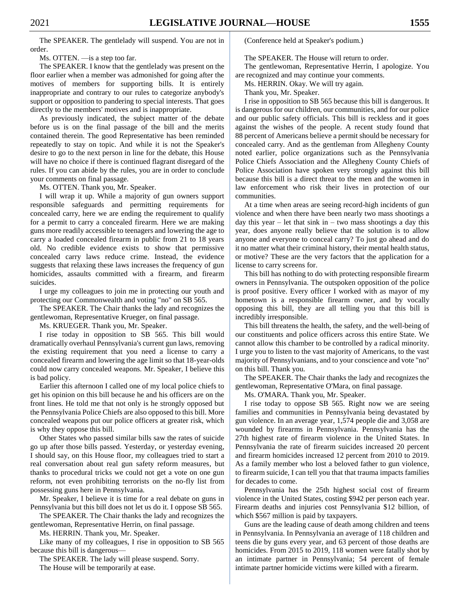The SPEAKER. The gentlelady will suspend. You are not in order.

Ms. OTTEN. —is a step too far.

The SPEAKER. I know that the gentlelady was present on the floor earlier when a member was admonished for going after the motives of members for supporting bills. It is entirely inappropriate and contrary to our rules to categorize anybody's support or opposition to pandering to special interests. That goes directly to the members' motives and is inappropriate.

As previously indicated, the subject matter of the debate before us is on the final passage of the bill and the merits contained therein. The good Representative has been reminded repeatedly to stay on topic. And while it is not the Speaker's desire to go to the next person in line for the debate, this House will have no choice if there is continued flagrant disregard of the rules. If you can abide by the rules, you are in order to conclude your comments on final passage.

Ms. OTTEN. Thank you, Mr. Speaker.

I will wrap it up. While a majority of gun owners support responsible safeguards and permitting requirements for concealed carry, here we are ending the requirement to qualify for a permit to carry a concealed firearm. Here we are making guns more readily accessible to teenagers and lowering the age to carry a loaded concealed firearm in public from 21 to 18 years old. No credible evidence exists to show that permissive concealed carry laws reduce crime. Instead, the evidence suggests that relaxing these laws increases the frequency of gun homicides, assaults committed with a firearm, and firearm suicides.

I urge my colleagues to join me in protecting our youth and protecting our Commonwealth and voting "no" on SB 565.

The SPEAKER. The Chair thanks the lady and recognizes the gentlewoman, Representative Krueger, on final passage.

Ms. KRUEGER. Thank you, Mr. Speaker.

I rise today in opposition to SB 565. This bill would dramatically overhaul Pennsylvania's current gun laws, removing the existing requirement that you need a license to carry a concealed firearm and lowering the age limit so that 18-year-olds could now carry concealed weapons. Mr. Speaker, I believe this is bad policy.

Earlier this afternoon I called one of my local police chiefs to get his opinion on this bill because he and his officers are on the front lines. He told me that not only is he strongly opposed but the Pennsylvania Police Chiefs are also opposed to this bill. More concealed weapons put our police officers at greater risk, which is why they oppose this bill.

Other States who passed similar bills saw the rates of suicide go up after those bills passed. Yesterday, or yesterday evening, I should say, on this House floor, my colleagues tried to start a real conversation about real gun safety reform measures, but thanks to procedural tricks we could not get a vote on one gun reform, not even prohibiting terrorists on the no-fly list from possessing guns here in Pennsylvania.

Mr. Speaker, I believe it is time for a real debate on guns in Pennsylvania but this bill does not let us do it. I oppose SB 565.

The SPEAKER. The Chair thanks the lady and recognizes the gentlewoman, Representative Herrin, on final passage.

Ms. HERRIN. Thank you, Mr. Speaker.

Like many of my colleagues, I rise in opposition to SB 565 because this bill is dangerous—

The SPEAKER. The lady will please suspend. Sorry. The House will be temporarily at ease.

(Conference held at Speaker's podium.)

The SPEAKER. The House will return to order.

The gentlewoman, Representative Herrin, I apologize. You are recognized and may continue your comments.

Ms. HERRIN. Okay. We will try again.

Thank you, Mr. Speaker.

I rise in opposition to SB 565 because this bill is dangerous. It is dangerous for our children, our communities, and for our police and our public safety officials. This bill is reckless and it goes against the wishes of the people. A recent study found that 88 percent of Americans believe a permit should be necessary for concealed carry. And as the gentleman from Allegheny County noted earlier, police organizations such as the Pennsylvania Police Chiefs Association and the Allegheny County Chiefs of Police Association have spoken very strongly against this bill because this bill is a direct threat to the men and the women in law enforcement who risk their lives in protection of our communities.

At a time when areas are seeing record-high incidents of gun violence and when there have been nearly two mass shootings a day this year – let that sink in – two mass shootings a day this year, does anyone really believe that the solution is to allow anyone and everyone to conceal carry? To just go ahead and do it no matter what their criminal history, their mental health status, or motive? These are the very factors that the application for a license to carry screens for.

This bill has nothing to do with protecting responsible firearm owners in Pennsylvania. The outspoken opposition of the police is proof positive. Every officer I worked with as mayor of my hometown is a responsible firearm owner, and by vocally opposing this bill, they are all telling you that this bill is incredibly irresponsible.

This bill threatens the health, the safety, and the well-being of our constituents and police officers across this entire State. We cannot allow this chamber to be controlled by a radical minority. I urge you to listen to the vast majority of Americans, to the vast majority of Pennsylvanians, and to your conscience and vote "no" on this bill. Thank you.

The SPEAKER. The Chair thanks the lady and recognizes the gentlewoman, Representative O'Mara, on final passage.

Ms. O'MARA. Thank you, Mr. Speaker.

I rise today to oppose SB 565. Right now we are seeing families and communities in Pennsylvania being devastated by gun violence. In an average year, 1,574 people die and 3,058 are wounded by firearms in Pennsylvania. Pennsylvania has the 27th highest rate of firearm violence in the United States. In Pennsylvania the rate of firearm suicides increased 20 percent and firearm homicides increased 12 percent from 2010 to 2019. As a family member who lost a beloved father to gun violence, to firearm suicide, I can tell you that that trauma impacts families for decades to come.

Pennsylvania has the 25th highest social cost of firearm violence in the United States, costing \$942 per person each year. Firearm deaths and injuries cost Pennsylvania \$12 billion, of which \$567 million is paid by taxpayers.

Guns are the leading cause of death among children and teens in Pennsylvania. In Pennsylvania an average of 118 children and teens die by guns every year, and 63 percent of those deaths are homicides. From 2015 to 2019, 118 women were fatally shot by an intimate partner in Pennsylvania; 54 percent of female intimate partner homicide victims were killed with a firearm.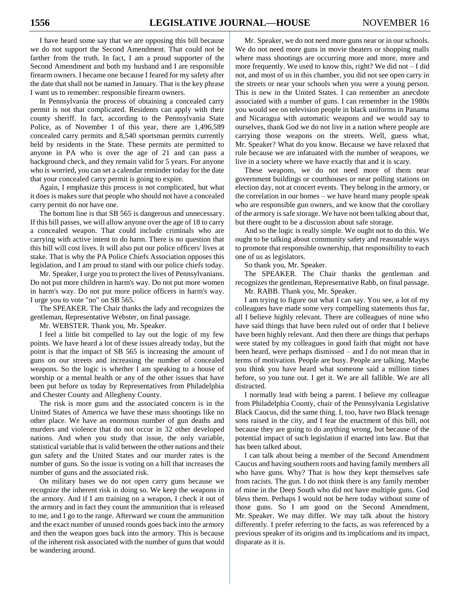I have heard some say that we are opposing this bill because we do not support the Second Amendment. That could not be farther from the truth. In fact, I am a proud supporter of the Second Amendment and both my husband and I are responsible firearm owners. I became one because I feared for my safety after the date that shall not be named in January. That is the key phrase I want us to remember: responsible firearm owners.

In Pennsylvania the process of obtaining a concealed carry permit is not that complicated. Residents can apply with their county sheriff. In fact, according to the Pennsylvania State Police, as of November 1 of this year, there are 1,496,589 concealed carry permits and 8,540 sportsman permits currently held by residents in the State. These permits are permitted to anyone in PA who is over the age of 21 and can pass a background check, and they remain valid for 5 years. For anyone who is worried, you can set a calendar reminder today for the date that your concealed carry permit is going to expire.

Again, I emphasize this process is not complicated, but what it does is makes sure that people who should not have a concealed carry permit do not have one.

The bottom line is that SB 565 is dangerous and unnecessary. If this bill passes, we will allow anyone over the age of 18 to carry a concealed weapon. That could include criminals who are carrying with active intent to do harm. There is no question that this bill will cost lives. It will also put our police officers' lives at stake. That is why the PA Police Chiefs Association opposes this legislation, and I am proud to stand with our police chiefs today.

Mr. Speaker, I urge you to protect the lives of Pennsylvanians. Do not put more children in harm's way. Do not put more women in harm's way. Do not put more police officers in harm's way. I urge you to vote "no" on SB 565.

The SPEAKER. The Chair thanks the lady and recognizes the gentleman, Representative Webster, on final passage.

Mr. WEBSTER. Thank you, Mr. Speaker.

I feel a little bit compelled to lay out the logic of my few points. We have heard a lot of these issues already today, but the point is that the impact of SB 565 is increasing the amount of guns on our streets and increasing the number of concealed weapons. So the logic is whether I am speaking to a house of worship or a mental health or any of the other issues that have been put before us today by Representatives from Philadelphia and Chester County and Allegheny County.

The risk is more guns and the associated concern is in the United States of America we have these mass shootings like no other place. We have an enormous number of gun deaths and murders and violence that do not occur in 32 other developed nations. And when you study that issue, the only variable, statistical variable that is valid between the other nations and their gun safety and the United States and our murder rates is the number of guns. So the issue is voting on a bill that increases the number of guns and the associated risk.

On military bases we do not open carry guns because we recognize the inherent risk in doing so. We keep the weapons in the armory. And if I am training on a weapon, I check it out of the armory and in fact they count the ammunition that is released to me, and I go to the range. Afterward we count the ammunition and the exact number of unused rounds goes back into the armory and then the weapon goes back into the armory. This is because of the inherent risk associated with the number of guns that would be wandering around.

Mr. Speaker, we do not need more guns near or in our schools. We do not need more guns in movie theaters or shopping malls where mass shootings are occurring more and more, more and more frequently. We used to know this, right? We did not – I did not, and most of us in this chamber, you did not see open carry in the streets or near your schools when you were a young person. This is new in the United States. I can remember an anecdote associated with a number of guns. I can remember in the 1980s you would see on television people in black uniforms in Panama and Nicaragua with automatic weapons and we would say to ourselves, thank God we do not live in a nation where people are carrying those weapons on the streets. Well, guess what, Mr. Speaker? What do you know. Because we have relaxed that rule because we are infatuated with the number of weapons, we live in a society where we have exactly that and it is scary.

These weapons, we do not need more of them near government buildings or courthouses or near polling stations on election day, not at concert events. They belong in the armory, or the correlation in our homes – we have heard many people speak who are responsible gun owners, and we know that the corollary of the armory is safe storage. We have not been talking about that, but there ought to be a discussion about safe storage.

And so the logic is really simple. We ought not to do this. We ought to be talking about community safety and reasonable ways to promote that responsible ownership, that responsibility to each one of us as legislators.

So thank you, Mr. Speaker.

The SPEAKER. The Chair thanks the gentleman and recognizes the gentleman, Representative Rabb, on final passage. Mr. RABB. Thank you, Mr. Speaker.

I am trying to figure out what I can say. You see, a lot of my colleagues have made some very compelling statements thus far, all I believe highly relevant. There are colleagues of mine who have said things that have been ruled out of order that I believe have been highly relevant. And then there are things that perhaps were stated by my colleagues in good faith that might not have been heard, were perhaps dismissed – and I do not mean that in terms of motivation. People are busy. People are talking. Maybe you think you have heard what someone said a million times before, so you tune out. I get it. We are all fallible. We are all distracted.

I normally lead with being a parent. I believe my colleague from Philadelphia County, chair of the Pennsylvania Legislative Black Caucus, did the same thing. I, too, have two Black teenage sons raised in the city, and I fear the enactment of this bill, not because they are going to do anything wrong, but because of the potential impact of such legislation if enacted into law. But that has been talked about.

I can talk about being a member of the Second Amendment Caucus and having southern roots and having family members all who have guns. Why? That is how they kept themselves safe from racists. The gun. I do not think there is any family member of mine in the Deep South who did not have multiple guns. God bless them. Perhaps I would not be here today without some of those guns. So I am good on the Second Amendment, Mr. Speaker. We may differ. We may talk about the history differently. I prefer referring to the facts, as was referenced by a previous speaker of its origins and its implications and its impact, disparate as it is.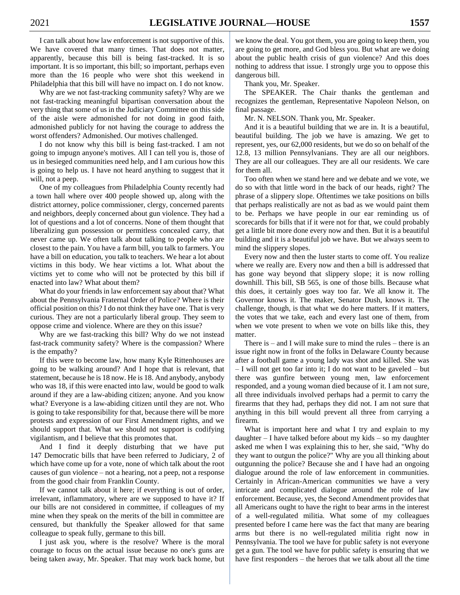I can talk about how law enforcement is not supportive of this. We have covered that many times. That does not matter, apparently, because this bill is being fast-tracked. It is so important. It is so important, this bill; so important, perhaps even more than the 16 people who were shot this weekend in Philadelphia that this bill will have no impact on. I do not know.

Why are we not fast-tracking community safety? Why are we not fast-tracking meaningful bipartisan conversation about the very thing that some of us in the Judiciary Committee on this side of the aisle were admonished for not doing in good faith, admonished publicly for not having the courage to address the worst offenders? Admonished. Our motives challenged.

I do not know why this bill is being fast-tracked. I am not going to impugn anyone's motives. All I can tell you is, those of us in besieged communities need help, and I am curious how this is going to help us. I have not heard anything to suggest that it will, not a peep.

One of my colleagues from Philadelphia County recently had a town hall where over 400 people showed up, along with the district attorney, police commissioner, clergy, concerned parents and neighbors, deeply concerned about gun violence. They had a lot of questions and a lot of concerns. None of them thought that liberalizing gun possession or permitless concealed carry, that never came up. We often talk about talking to people who are closest to the pain. You have a farm bill, you talk to farmers. You have a bill on education, you talk to teachers. We hear a lot about victims in this body. We hear victims a lot. What about the victims yet to come who will not be protected by this bill if enacted into law? What about them?

What do your friends in law enforcement say about that? What about the Pennsylvania Fraternal Order of Police? Where is their official position on this? I do not think they have one. That is very curious. They are not a particularly liberal group. They seem to oppose crime and violence. Where are they on this issue?

Why are we fast-tracking this bill? Why do we not instead fast-track community safety? Where is the compassion? Where is the empathy?

If this were to become law, how many Kyle Rittenhouses are going to be walking around? And I hope that is relevant, that statement, because he is 18 now. He is 18. And anybody, anybody who was 18, if this were enacted into law, would be good to walk around if they are a law-abiding citizen; anyone. And you know what? Everyone is a law-abiding citizen until they are not. Who is going to take responsibility for that, because there will be more protests and expression of our First Amendment rights, and we should support that. What we should not support is codifying vigilantism, and I believe that this promotes that.

And I find it deeply disturbing that we have put 147 Democratic bills that have been referred to Judiciary, 2 of which have come up for a vote, none of which talk about the root causes of gun violence – not a hearing, not a peep, not a response from the good chair from Franklin County.

If we cannot talk about it here; if everything is out of order, irrelevant, inflammatory, where are we supposed to have it? If our bills are not considered in committee, if colleagues of my mine when they speak on the merits of the bill in committee are censured, but thankfully the Speaker allowed for that same colleague to speak fully, germane to this bill.

I just ask you, where is the resolve? Where is the moral courage to focus on the actual issue because no one's guns are being taken away, Mr. Speaker. That may work back home, but we know the deal. You got them, you are going to keep them, you are going to get more, and God bless you. But what are we doing about the public health crisis of gun violence? And this does nothing to address that issue. I strongly urge you to oppose this dangerous bill.

Thank you, Mr. Speaker.

The SPEAKER. The Chair thanks the gentleman and recognizes the gentleman, Representative Napoleon Nelson, on final passage.

Mr. N. NELSON. Thank you, Mr. Speaker.

And it is a beautiful building that we are in. It is a beautiful, beautiful building. The job we have is amazing. We get to represent, yes, our 62,000 residents, but we do so on behalf of the 12.8, 13 million Pennsylvanians. They are all our neighbors. They are all our colleagues. They are all our residents. We care for them all.

Too often when we stand here and we debate and we vote, we do so with that little word in the back of our heads, right? The phrase of a slippery slope. Oftentimes we take positions on bills that perhaps realistically are not as bad as we would paint them to be. Perhaps we have people in our ear reminding us of scorecards for bills that if it were not for that, we could probably get a little bit more done every now and then. But it is a beautiful building and it is a beautiful job we have. But we always seem to mind the slippery slopes.

Every now and then the luster starts to come off. You realize where we really are. Every now and then a bill is addressed that has gone way beyond that slippery slope; it is now rolling downhill. This bill, SB 565, is one of those bills. Because what this does, it certainly goes way too far. We all know it. The Governor knows it. The maker, Senator Dush, knows it. The challenge, though, is that what we do here matters. If it matters, the votes that we take, each and every last one of them, from when we vote present to when we vote on bills like this, they matter.

There is  $-$  and I will make sure to mind the rules  $-$  there is an issue right now in front of the folks in Delaware County because after a football game a young lady was shot and killed. She was – I will not get too far into it; I do not want to be gaveled – but there was gunfire between young men, law enforcement responded, and a young woman died because of it. I am not sure, all three individuals involved perhaps had a permit to carry the firearms that they had, perhaps they did not. I am not sure that anything in this bill would prevent all three from carrying a firearm.

What is important here and what I try and explain to my daughter – I have talked before about my kids – so my daughter asked me when I was explaining this to her, she said, "Why do they want to outgun the police?" Why are you all thinking about outgunning the police? Because she and I have had an ongoing dialogue around the role of law enforcement in communities. Certainly in African-American communities we have a very intricate and complicated dialogue around the role of law enforcement. Because, yes, the Second Amendment provides that all Americans ought to have the right to bear arms in the interest of a well-regulated militia. What some of my colleagues presented before I came here was the fact that many are bearing arms but there is no well-regulated militia right now in Pennsylvania. The tool we have for public safety is not everyone get a gun. The tool we have for public safety is ensuring that we have first responders – the heroes that we talk about all the time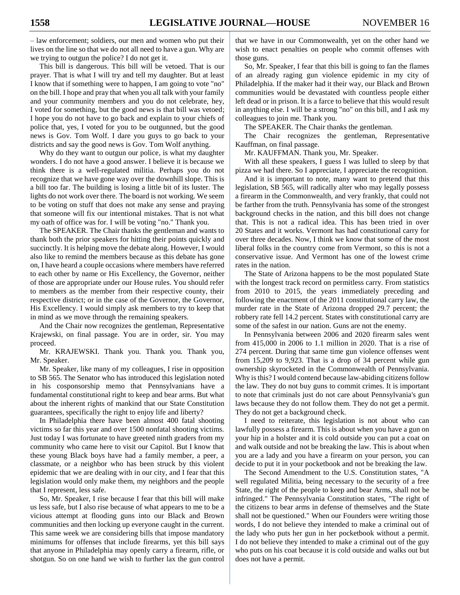– law enforcement; soldiers, our men and women who put their lives on the line so that we do not all need to have a gun. Why are we trying to outgun the police? I do not get it.

This bill is dangerous. This bill will be vetoed. That is our prayer. That is what I will try and tell my daughter. But at least I know that if something were to happen, I am going to vote "no" on the bill. I hope and pray that when you all talk with your family and your community members and you do not celebrate, hey, I voted for something, but the good news is that bill was vetoed; I hope you do not have to go back and explain to your chiefs of police that, yes, I voted for you to be outgunned, but the good news is Gov. Tom Wolf. I dare you guys to go back to your districts and say the good news is Gov. Tom Wolf anything.

Why do they want to outgun our police, is what my daughter wonders. I do not have a good answer. I believe it is because we think there is a well-regulated militia. Perhaps you do not recognize that we have gone way over the downhill slope. This is a bill too far. The building is losing a little bit of its luster. The lights do not work over there. The board is not working. We seem to be voting on stuff that does not make any sense and praying that someone will fix our intentional mistakes. That is not what my oath of office was for. I will be voting "no." Thank you.

The SPEAKER. The Chair thanks the gentleman and wants to thank both the prior speakers for hitting their points quickly and succinctly. It is helping move the debate along. However, I would also like to remind the members because as this debate has gone on, I have heard a couple occasions where members have referred to each other by name or His Excellency, the Governor, neither of those are appropriate under our House rules. You should refer to members as the member from their respective county, their respective district; or in the case of the Governor, the Governor, His Excellency. I would simply ask members to try to keep that in mind as we move through the remaining speakers.

And the Chair now recognizes the gentleman, Representative Krajewski, on final passage. You are in order, sir. You may proceed.

Mr. KRAJEWSKI. Thank you. Thank you. Thank you, Mr. Speaker.

Mr. Speaker, like many of my colleagues, I rise in opposition to SB 565. The Senator who has introduced this legislation noted in his cosponsorship memo that Pennsylvanians have a fundamental constitutional right to keep and bear arms. But what about the inherent rights of mankind that our State Constitution guarantees, specifically the right to enjoy life and liberty?

In Philadelphia there have been almost 400 fatal shooting victims so far this year and over 1500 nonfatal shooting victims. Just today I was fortunate to have greeted ninth graders from my community who came here to visit our Capitol. But I know that these young Black boys have had a family member, a peer, a classmate, or a neighbor who has been struck by this violent epidemic that we are dealing with in our city, and I fear that this legislation would only make them, my neighbors and the people that I represent, less safe.

So, Mr. Speaker, I rise because I fear that this bill will make us less safe, but I also rise because of what appears to me to be a vicious attempt at flooding guns into our Black and Brown communities and then locking up everyone caught in the current. This same week we are considering bills that impose mandatory minimums for offenses that include firearms, yet this bill says that anyone in Philadelphia may openly carry a firearm, rifle, or shotgun. So on one hand we wish to further lax the gun control

that we have in our Commonwealth, yet on the other hand we wish to enact penalties on people who commit offenses with those guns.

So, Mr. Speaker, I fear that this bill is going to fan the flames of an already raging gun violence epidemic in my city of Philadelphia. If the maker had it their way, our Black and Brown communities would be devastated with countless people either left dead or in prison. It is a farce to believe that this would result in anything else. I will be a strong "no" on this bill, and I ask my colleagues to join me. Thank you.

The SPEAKER. The Chair thanks the gentleman.

The Chair recognizes the gentleman, Representative Kauffman, on final passage.

Mr. KAUFFMAN. Thank you, Mr. Speaker.

With all these speakers, I guess I was lulled to sleep by that pizza we had there. So I appreciate, I appreciate the recognition.

And it is important to note, many want to pretend that this legislation, SB 565, will radically alter who may legally possess a firearm in the Commonwealth, and very frankly, that could not be farther from the truth. Pennsylvania has some of the strongest background checks in the nation, and this bill does not change that. This is not a radical idea. This has been tried in over 20 States and it works. Vermont has had constitutional carry for over three decades. Now, I think we know that some of the most liberal folks in the country come from Vermont, so this is not a conservative issue. And Vermont has one of the lowest crime rates in the nation.

The State of Arizona happens to be the most populated State with the longest track record on permitless carry. From statistics from 2010 to 2015, the years immediately preceding and following the enactment of the 2011 constitutional carry law, the murder rate in the State of Arizona dropped 29.7 percent; the robbery rate fell 14.2 percent. States with constitutional carry are some of the safest in our nation. Guns are not the enemy.

In Pennsylvania between 2006 and 2020 firearm sales went from 415,000 in 2006 to 1.1 million in 2020. That is a rise of 274 percent. During that same time gun violence offenses went from 15,209 to 9,923. That is a drop of 34 percent while gun ownership skyrocketed in the Commonwealth of Pennsylvania. Why is this? I would contend because law-abiding citizens follow the law. They do not buy guns to commit crimes. It is important to note that criminals just do not care about Pennsylvania's gun laws because they do not follow them. They do not get a permit. They do not get a background check.

I need to reiterate, this legislation is not about who can lawfully possess a firearm. This is about when you have a gun on your hip in a holster and it is cold outside you can put a coat on and walk outside and not be breaking the law. This is about when you are a lady and you have a firearm on your person, you can decide to put it in your pocketbook and not be breaking the law.

The Second Amendment to the U.S. Constitution states, "A well regulated Militia, being necessary to the security of a free State, the right of the people to keep and bear Arms, shall not be infringed." The Pennsylvania Constitution states, "The right of the citizens to bear arms in defense of themselves and the State shall not be questioned." When our Founders were writing those words, I do not believe they intended to make a criminal out of the lady who puts her gun in her pocketbook without a permit. I do not believe they intended to make a criminal out of the guy who puts on his coat because it is cold outside and walks out but does not have a permit.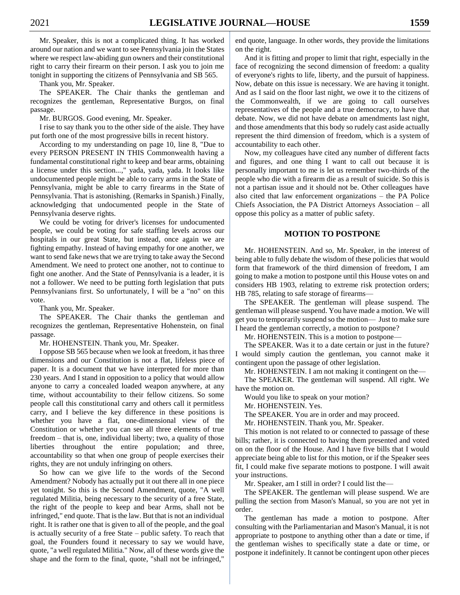Mr. Speaker, this is not a complicated thing. It has worked around our nation and we want to see Pennsylvania join the States where we respect law-abiding gun owners and their constitutional right to carry their firearm on their person. I ask you to join me tonight in supporting the citizens of Pennsylvania and SB 565.

Thank you, Mr. Speaker.

The SPEAKER. The Chair thanks the gentleman and recognizes the gentleman, Representative Burgos, on final passage.

Mr. BURGOS. Good evening, Mr. Speaker.

I rise to say thank you to the other side of the aisle. They have put forth one of the most progressive bills in recent history.

According to my understanding on page 10, line 8, "Due to every PERSON PRESENT IN THIS Commonwealth having a fundamental constitutional right to keep and bear arms, obtaining a license under this section...," yada, yada, yada. It looks like undocumented people might be able to carry arms in the State of Pennsylvania, might be able to carry firearms in the State of Pennsylvania. That is astonishing. (Remarks in Spanish.) Finally, acknowledging that undocumented people in the State of Pennsylvania deserve rights.

We could be voting for driver's licenses for undocumented people, we could be voting for safe staffing levels across our hospitals in our great State, but instead, once again we are fighting empathy. Instead of having empathy for one another, we want to send fake news that we are trying to take away the Second Amendment. We need to protect one another, not to continue to fight one another. And the State of Pennsylvania is a leader, it is not a follower. We need to be putting forth legislation that puts Pennsylvanians first. So unfortunately, I will be a "no" on this vote.

Thank you, Mr. Speaker.

The SPEAKER. The Chair thanks the gentleman and recognizes the gentleman, Representative Hohenstein, on final passage.

Mr. HOHENSTEIN. Thank you, Mr. Speaker.

I oppose SB 565 because when we look at freedom, it has three dimensions and our Constitution is not a flat, lifeless piece of paper. It is a document that we have interpreted for more than 230 years. And I stand in opposition to a policy that would allow anyone to carry a concealed loaded weapon anywhere, at any time, without accountability to their fellow citizens. So some people call this constitutional carry and others call it permitless carry, and I believe the key difference in these positions is whether you have a flat, one-dimensional view of the Constitution or whether you can see all three elements of true freedom – that is, one, individual liberty; two, a quality of those liberties throughout the entire population; and three, accountability so that when one group of people exercises their rights, they are not unduly infringing on others.

So how can we give life to the words of the Second Amendment? Nobody has actually put it out there all in one piece yet tonight. So this is the Second Amendment, quote, "A well regulated Militia, being necessary to the security of a free State, the right of the people to keep and bear Arms, shall not be infringed," end quote. That is the law. But that is not an individual right. It is rather one that is given to all of the people, and the goal is actually security of a free State – public safety. To reach that goal, the Founders found it necessary to say we would have, quote, "a well regulated Militia." Now, all of these words give the shape and the form to the final, quote, "shall not be infringed,"

end quote, language. In other words, they provide the limitations on the right.

And it is fitting and proper to limit that right, especially in the face of recognizing the second dimension of freedom: a quality of everyone's rights to life, liberty, and the pursuit of happiness. Now, debate on this issue is necessary. We are having it tonight. And as I said on the floor last night, we owe it to the citizens of the Commonwealth, if we are going to call ourselves representatives of the people and a true democracy, to have that debate. Now, we did not have debate on amendments last night, and those amendments that this body so rudely cast aside actually represent the third dimension of freedom, which is a system of accountability to each other.

Now, my colleagues have cited any number of different facts and figures, and one thing I want to call out because it is personally important to me is let us remember two-thirds of the people who die with a firearm die as a result of suicide. So this is not a partisan issue and it should not be. Other colleagues have also cited that law enforcement organizations – the PA Police Chiefs Association, the PA District Attorneys Association – all oppose this policy as a matter of public safety.

#### **MOTION TO POSTPONE**

Mr. HOHENSTEIN. And so, Mr. Speaker, in the interest of being able to fully debate the wisdom of these policies that would form that framework of the third dimension of freedom, I am going to make a motion to postpone until this House votes on and considers HB 1903, relating to extreme risk protection orders; HB 785, relating to safe storage of firearms—

The SPEAKER. The gentleman will please suspend. The gentleman will please suspend. You have made a motion. We will get you to temporarily suspend so the motion— Just to make sure I heard the gentleman correctly, a motion to postpone?

Mr. HOHENSTEIN. This is a motion to postpone—

The SPEAKER. Was it to a date certain or just in the future? I would simply caution the gentleman, you cannot make it contingent upon the passage of other legislation.

Mr. HOHENSTEIN. I am not making it contingent on the—

The SPEAKER. The gentleman will suspend. All right. We have the motion on.

Would you like to speak on your motion?

Mr. HOHENSTEIN. Yes.

The SPEAKER. You are in order and may proceed.

Mr. HOHENSTEIN. Thank you, Mr. Speaker.

This motion is not related to or connected to passage of these bills; rather, it is connected to having them presented and voted on on the floor of the House. And I have five bills that I would appreciate being able to list for this motion, or if the Speaker sees fit, I could make five separate motions to postpone. I will await your instructions.

Mr. Speaker, am I still in order? I could list the—

The SPEAKER. The gentleman will please suspend. We are pulling the section from Mason's Manual, so you are not yet in order.

The gentleman has made a motion to postpone. After consulting with the Parliamentarian and Mason's Manual, it is not appropriate to postpone to anything other than a date or time, if the gentleman wishes to specifically state a date or time, or postpone it indefinitely. It cannot be contingent upon other pieces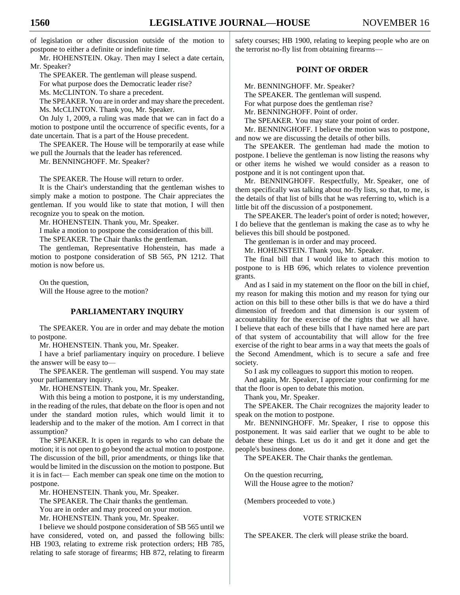of legislation or other discussion outside of the motion to postpone to either a definite or indefinite time.

Mr. HOHENSTEIN. Okay. Then may I select a date certain, Mr. Speaker?

The SPEAKER. The gentleman will please suspend.

For what purpose does the Democratic leader rise?

Ms. McCLINTON. To share a precedent.

The SPEAKER. You are in order and may share the precedent. Ms. McCLINTON. Thank you, Mr. Speaker.

On July 1, 2009, a ruling was made that we can in fact do a motion to postpone until the occurrence of specific events, for a date uncertain. That is a part of the House precedent.

The SPEAKER. The House will be temporarily at ease while we pull the Journals that the leader has referenced.

Mr. BENNINGHOFF. Mr. Speaker?

The SPEAKER. The House will return to order.

It is the Chair's understanding that the gentleman wishes to simply make a motion to postpone. The Chair appreciates the gentleman. If you would like to state that motion, I will then recognize you to speak on the motion.

Mr. HOHENSTEIN. Thank you, Mr. Speaker.

I make a motion to postpone the consideration of this bill. The SPEAKER. The Chair thanks the gentleman.

The gentleman, Representative Hohenstein, has made a motion to postpone consideration of SB 565, PN 1212. That motion is now before us.

On the question, Will the House agree to the motion?

# **PARLIAMENTARY INQUIRY**

The SPEAKER. You are in order and may debate the motion to postpone.

Mr. HOHENSTEIN. Thank you, Mr. Speaker.

I have a brief parliamentary inquiry on procedure. I believe the answer will be easy to—

The SPEAKER. The gentleman will suspend. You may state your parliamentary inquiry.

Mr. HOHENSTEIN. Thank you, Mr. Speaker.

With this being a motion to postpone, it is my understanding, in the reading of the rules, that debate on the floor is open and not under the standard motion rules, which would limit it to leadership and to the maker of the motion. Am I correct in that assumption?

The SPEAKER. It is open in regards to who can debate the motion; it is not open to go beyond the actual motion to postpone. The discussion of the bill, prior amendments, or things like that would be limited in the discussion on the motion to postpone. But it is in fact— Each member can speak one time on the motion to postpone.

Mr. HOHENSTEIN. Thank you, Mr. Speaker.

The SPEAKER. The Chair thanks the gentleman.

You are in order and may proceed on your motion.

Mr. HOHENSTEIN. Thank you, Mr. Speaker.

I believe we should postpone consideration of SB 565 until we have considered, voted on, and passed the following bills: HB 1903, relating to extreme risk protection orders; HB 785, relating to safe storage of firearms; HB 872, relating to firearm safety courses; HB 1900, relating to keeping people who are on the terrorist no-fly list from obtaining firearms—

# **POINT OF ORDER**

Mr. BENNINGHOFF. Mr. Speaker?

The SPEAKER. The gentleman will suspend.

For what purpose does the gentleman rise?

Mr. BENNINGHOFF. Point of order.

The SPEAKER. You may state your point of order.

Mr. BENNINGHOFF. I believe the motion was to postpone, and now we are discussing the details of other bills.

The SPEAKER. The gentleman had made the motion to postpone. I believe the gentleman is now listing the reasons why or other items he wished we would consider as a reason to postpone and it is not contingent upon that.

Mr. BENNINGHOFF. Respectfully, Mr. Speaker, one of them specifically was talking about no-fly lists, so that, to me, is the details of that list of bills that he was referring to, which is a little bit off the discussion of a postponement.

The SPEAKER. The leader's point of order is noted; however, I do believe that the gentleman is making the case as to why he believes this bill should be postponed.

The gentleman is in order and may proceed.

Mr. HOHENSTEIN. Thank you, Mr. Speaker.

The final bill that I would like to attach this motion to postpone to is HB 696, which relates to violence prevention grants.

And as I said in my statement on the floor on the bill in chief, my reason for making this motion and my reason for tying our action on this bill to these other bills is that we do have a third dimension of freedom and that dimension is our system of accountability for the exercise of the rights that we all have. I believe that each of these bills that I have named here are part of that system of accountability that will allow for the free exercise of the right to bear arms in a way that meets the goals of the Second Amendment, which is to secure a safe and free society.

So I ask my colleagues to support this motion to reopen.

And again, Mr. Speaker, I appreciate your confirming for me that the floor is open to debate this motion.

Thank you, Mr. Speaker.

The SPEAKER. The Chair recognizes the majority leader to speak on the motion to postpone.

Mr. BENNINGHOFF. Mr. Speaker, I rise to oppose this postponement. It was said earlier that we ought to be able to debate these things. Let us do it and get it done and get the people's business done.

The SPEAKER. The Chair thanks the gentleman.

On the question recurring, Will the House agree to the motion?

(Members proceeded to vote.)

## VOTE STRICKEN

The SPEAKER. The clerk will please strike the board.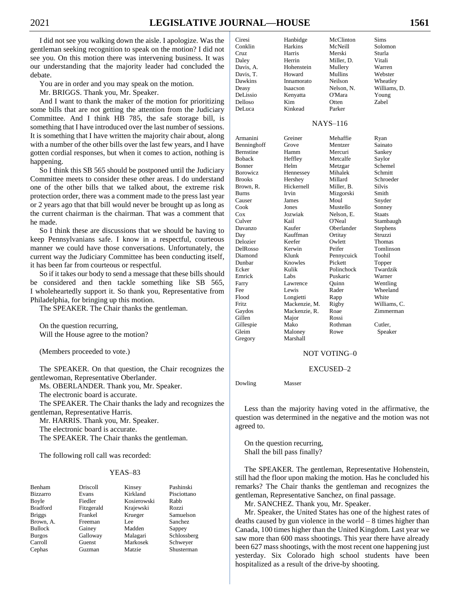I did not see you walking down the aisle. I apologize. Was the gentleman seeking recognition to speak on the motion? I did not see you. On this motion there was intervening business. It was our understanding that the majority leader had concluded the debate.

You are in order and you may speak on the motion.

Mr. BRIGGS. Thank you, Mr. Speaker.

And I want to thank the maker of the motion for prioritizing some bills that are not getting the attention from the Judiciary Committee. And I think HB 785, the safe storage bill, is something that I have introduced over the last number of sessions. It is something that I have written the majority chair about, along with a number of the other bills over the last few years, and I have gotten cordial responses, but when it comes to action, nothing is happening.

So I think this SB 565 should be postponed until the Judiciary Committee meets to consider these other areas. I do understand one of the other bills that we talked about, the extreme risk protection order, there was a comment made to the press last year or 2 years ago that that bill would never be brought up as long as the current chairman is the chairman. That was a comment that he made.

So I think these are discussions that we should be having to keep Pennsylvanians safe. I know in a respectful, courteous manner we could have those conversations. Unfortunately, the current way the Judiciary Committee has been conducting itself, it has been far from courteous or respectful.

So if it takes our body to send a message that these bills should be considered and then tackle something like SB 565, I wholeheartedly support it. So thank you, Representative from Philadelphia, for bringing up this motion.

The SPEAKER. The Chair thanks the gentleman.

On the question recurring, Will the House agree to the motion?

(Members proceeded to vote.)

The SPEAKER. On that question, the Chair recognizes the gentlewoman, Representative Oberlander.

Ms. OBERLANDER. Thank you, Mr. Speaker.

The electronic board is accurate.

The SPEAKER. The Chair thanks the lady and recognizes the gentleman, Representative Harris.

Mr. HARRIS. Thank you, Mr. Speaker.

The electronic board is accurate.

The SPEAKER. The Chair thanks the gentleman.

The following roll call was recorded:

#### YEAS–83

| Benham          | <b>Driscoll</b> | Kinsey      | Pashinski      |
|-----------------|-----------------|-------------|----------------|
| <b>Bizzarro</b> | Evans           | Kirkland    | Pisciottano    |
| Boyle           | Fiedler         | Kosierowski | Rabb           |
| <b>Bradford</b> | Fitzgerald      | Krajewski   | Rozzi          |
| <b>Briggs</b>   | Frankel         | Krueger     | Samuelson      |
| Brown, A.       | Freeman         | Lee         | <b>Sanchez</b> |
| <b>Bullock</b>  | Gainey          | Madden      | Sappey         |
| <b>Burgos</b>   | Galloway        | Malagari    | Schlossberg    |
| Carroll         | Guenst          | Markosek    | Schwever       |
| Cephas          | Guzman          | Matzie      | Shusterman     |

| Conklin   | Harkins    | McNeill       | Solomon      |
|-----------|------------|---------------|--------------|
| Cruz      | Harris     | Merski        | Sturla       |
| Daley     | Herrin     | Miller, D.    | Vitali       |
| Davis, A. | Hohenstein | Mullery       | Warren       |
| Davis, T. | Howard     | Mullins       | Webster      |
| Dawkins   | Innamorato | Neilson       | Wheatley     |
| Deasy     | Isaacson   | Nelson, N.    | Williams, D. |
| DeLissio  | Kenyatta   | O'Mara        | Young        |
| Delloso   | Kim        | Otten         | Zabel        |
| Del uca   | Kinkead    | <b>Darker</b> |              |

Ciresi Hanbidge McClinton Sims

Hohenstein Mullery Warren Kenyatta O'Mara Young

#### NAYS–116

| Armanini         | Greiner       | Mehaffie   | Ryan          |
|------------------|---------------|------------|---------------|
| Benninghoff      | Grove         | Mentzer    | Sainato       |
| <b>Bernstine</b> | Hamm          | Mercuri    | Sankey        |
| <b>Boback</b>    | Heffley       | Metcalfe   | Saylor        |
| <b>Bonner</b>    | Helm          | Metzgar    | Schemel       |
| Borowicz         | Hennessey     | Mihalek    | Schmitt       |
| <b>Brooks</b>    | Hershey       | Millard    | Schroeder     |
| Brown, R.        | Hickernell    | Miller, B. | <b>Silvis</b> |
| <b>Burns</b>     | Irvin         | Mizgorski  | Smith         |
| Causer           | James         | Moul       | Snyder        |
| Cook             | Jones         | Mustello   | Sonney        |
| Cox              | Jozwiak       | Nelson, E. | <b>Staats</b> |
| Culver           | Kail          | O'Neal     | Stambaugh     |
| Davanzo          | Kaufer        | Oberlander | Stephens      |
| Day              | Kauffman      | Ortitay    | Struzzi       |
| Delozier         | Keefer        | Owlett     | Thomas        |
| DelRosso         | Kerwin        | Peifer     | Tomlinson     |
| Diamond          | Klunk         | Pennycuick | Toohil        |
| Dunbar           | Knowles       | Pickett    | Topper        |
| Ecker            | Kulik         | Polinchock | Twardzik      |
| Emrick           | Labs          | Puskaric   | Warner        |
| Farry            | Lawrence      | Ouinn      | Wentling      |
| Fee              | Lewis         | Rader      | Wheeland      |
| Flood            | Longietti     | Rapp       | White         |
| <b>Fritz</b>     | Mackenzie, M. | Rigby      | Williams, C.  |
| Gaydos           | Mackenzie, R. | Roae       | Zimmerman     |
| Gillen           | Major         | Rossi      |               |
| Gillespie        | Mako          | Rothman    | Cutler,       |
| Gleim            | Maloney       | Rowe       | Speaker       |
| Gregory          | Marshall      |            |               |
|                  |               |            |               |

#### NOT VOTING–0

#### EXCUSED–2

Dowling Masser

Less than the majority having voted in the affirmative, the question was determined in the negative and the motion was not agreed to.

On the question recurring, Shall the bill pass finally?

The SPEAKER. The gentleman, Representative Hohenstein, still had the floor upon making the motion. Has he concluded his remarks? The Chair thanks the gentleman and recognizes the gentleman, Representative Sanchez, on final passage.

Mr. SANCHEZ. Thank you, Mr. Speaker.

Mr. Speaker, the United States has one of the highest rates of deaths caused by gun violence in the world  $-8$  times higher than Canada, 100 times higher than the United Kingdom. Last year we saw more than 600 mass shootings. This year there have already been 627 mass shootings, with the most recent one happening just yesterday. Six Colorado high school students have been hospitalized as a result of the drive-by shooting.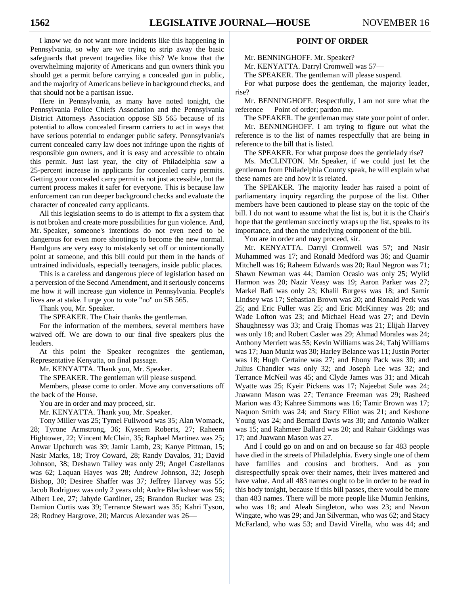I know we do not want more incidents like this happening in Pennsylvania, so why are we trying to strip away the basic safeguards that prevent tragedies like this? We know that the overwhelming majority of Americans and gun owners think you should get a permit before carrying a concealed gun in public, and the majority of Americans believe in background checks, and that should not be a partisan issue.

Here in Pennsylvania, as many have noted tonight, the Pennsylvania Police Chiefs Association and the Pennsylvania District Attorneys Association oppose SB 565 because of its potential to allow concealed firearm carriers to act in ways that have serious potential to endanger public safety. Pennsylvania's current concealed carry law does not infringe upon the rights of responsible gun owners, and it is easy and accessible to obtain this permit. Just last year, the city of Philadelphia saw a 25-percent increase in applicants for concealed carry permits. Getting your concealed carry permit is not just accessible, but the current process makes it safer for everyone. This is because law enforcement can run deeper background checks and evaluate the character of concealed carry applicants.

All this legislation seems to do is attempt to fix a system that is not broken and create more possibilities for gun violence. And, Mr. Speaker, someone's intentions do not even need to be dangerous for even more shootings to become the new normal. Handguns are very easy to mistakenly set off or unintentionally point at someone, and this bill could put them in the hands of untrained individuals, especially teenagers, inside public places.

This is a careless and dangerous piece of legislation based on a perversion of the Second Amendment, and it seriously concerns me how it will increase gun violence in Pennsylvania. People's lives are at stake. I urge you to vote "no" on SB 565.

Thank you, Mr. Speaker.

The SPEAKER. The Chair thanks the gentleman.

For the information of the members, several members have waived off. We are down to our final five speakers plus the leaders.

At this point the Speaker recognizes the gentleman, Representative Kenyatta, on final passage.

Mr. KENYATTA. Thank you, Mr. Speaker.

The SPEAKER. The gentleman will please suspend.

Members, please come to order. Move any conversations off the back of the House.

You are in order and may proceed, sir.

Mr. KENYATTA. Thank you, Mr. Speaker.

Tony Miller was 25; Tymel Fullwood was 35; Alan Womack, 28; Tyrone Armstrong, 36; Kyseem Roberts, 27; Raheem Hightower, 22; Vincent McClain, 35; Raphael Martinez was 25; Anwar Upchurch was 39; Jamir Lamb, 23; Kanye Pittman, 15; Nasir Marks, 18; Troy Coward, 28; Randy Davalos, 31; David Johnson, 38; Deshawn Talley was only 29; Angel Castellanos was 62; Laquan Hayes was 28; Andrew Johnson, 32; Joseph Bishop, 30; Desiree Shaffer was 37; Jeffrey Harvey was 55; Jacob Rodriguez was only 2 years old; Andre Blackshear was 56; Albert Lee, 27; Jahyde Gardiner, 25; Brandon Rucker was 23; Damion Curtis was 39; Terrance Stewart was 35; Kahri Tyson, 28; Rodney Hargrove, 20; Marcus Alexander was 26—

# **POINT OF ORDER**

Mr. BENNINGHOFF. Mr. Speaker?

Mr. KENYATTA. Darryl Cromwell was 57—

The SPEAKER. The gentleman will please suspend.

For what purpose does the gentleman, the majority leader, rise?

Mr. BENNINGHOFF. Respectfully, I am not sure what the reference— Point of order; pardon me.

The SPEAKER. The gentleman may state your point of order.

Mr. BENNINGHOFF. I am trying to figure out what the reference is to the list of names respectfully that are being in reference to the bill that is listed.

The SPEAKER. For what purpose does the gentlelady rise?

Ms. McCLINTON. Mr. Speaker, if we could just let the gentleman from Philadelphia County speak, he will explain what these names are and how it is related.

The SPEAKER. The majority leader has raised a point of parliamentary inquiry regarding the purpose of the list. Other members have been cautioned to please stay on the topic of the bill. I do not want to assume what the list is, but it is the Chair's hope that the gentleman succinctly wraps up the list, speaks to its importance, and then the underlying component of the bill.

You are in order and may proceed, sir.

Mr. KENYATTA. Darryl Cromwell was 57; and Nasir Muhammed was 17; and Ronald Medford was 36; and Quamir Mitchell was 16; Raheem Edwards was 20; Raul Negron was 71; Shawn Newman was 44; Damion Ocasio was only 25; Wylid Harmon was 20; Nazir Veasy was 19; Aaron Parker was 27; Markel Rafi was only 23; Khalil Burgess was 18; and Samir Lindsey was 17; Sebastian Brown was 20; and Ronald Peck was 25; and Eric Fuller was 25; and Eric McKinney was 28; and Wade Lofton was 23; and Michael Head was 27; and Devin Shaughnessy was 33; and Craig Thomas was 21; Elijah Harvey was only 18; and Robert Casler was 29; Ahmad Morales was 24; Anthony Merriett was 55; Kevin Williams was 24; Tahj Williams was 17; Juan Muniz was 30; Harley Belance was 11; Justin Porter was 18; Hugh Certaine was 27; and Ebony Pack was 30; and Julius Chandler was only 32; and Joseph Lee was 32; and Terrance McNeil was 45; and Clyde James was 31; and Micah Wyatte was 25; Kyeir Pickens was 17; Najeebat Sule was 24; Juawann Mason was 27; Terrance Freeman was 29; Rasheed Marion was 43; Kahree Simmons was 16; Tamir Brown was 17; Naquon Smith was 24; and Stacy Elliot was 21; and Keshone Young was 24; and Bernard Davis was 30; and Antonio Walker was 15; and Rahmeer Ballard was 20; and Rahair Giddings was 17; and Juawann Mason was 27.

And I could go on and on and on because so far 483 people have died in the streets of Philadelphia. Every single one of them have families and cousins and brothers. And as you disrespectfully speak over their names, their lives mattered and have value. And all 483 names ought to be in order to be read in this body tonight, because if this bill passes, there would be more than 483 names. There will be more people like Mumin Jenkins, who was 18; and Aleah Singleton, who was 23; and Navon Wingate, who was 29; and Jan Silverman, who was 62; and Stacy McFarland, who was 53; and David Virella, who was 44; and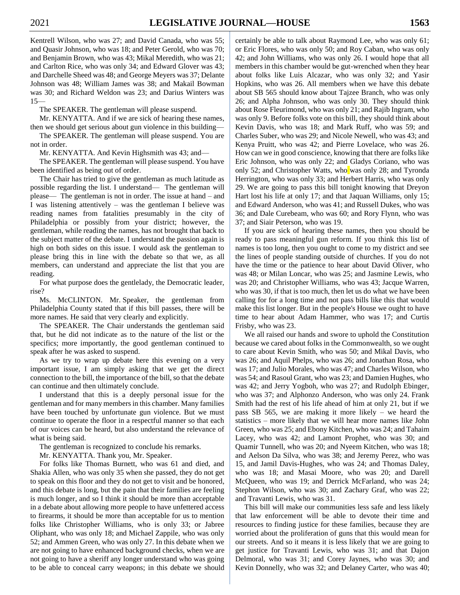Kentrell Wilson, who was 27; and David Canada, who was 55; and Quasir Johnson, who was 18; and Peter Gerold, who was 70; and Benjamin Brown, who was 43; Mikal Meredith, who was 21; and Carlton Rice, who was only 34; and Edward Glover was 43; and Darchelle Sheed was 48; and George Meyers was 37; Delante Johnson was 48; William James was 38; and Makail Bowman was 30; and Richard Weldon was 23; and Darius Winters was 15—

The SPEAKER. The gentleman will please suspend.

Mr. KENYATTA. And if we are sick of hearing these names,

then we should get serious about gun violence in this building— The SPEAKER. The gentleman will please suspend. You are not in order.

Mr. KENYATTA. And Kevin Highsmith was 43; and—

The SPEAKER. The gentleman will please suspend. You have been identified as being out of order.

The Chair has tried to give the gentleman as much latitude as possible regarding the list. I understand— The gentleman will please— The gentleman is not in order. The issue at hand – and I was listening attentively – was the gentleman I believe was reading names from fatalities presumably in the city of Philadelphia or possibly from your district; however, the gentleman, while reading the names, has not brought that back to the subject matter of the debate. I understand the passion again is high on both sides on this issue. I would ask the gentleman to please bring this in line with the debate so that we, as all members, can understand and appreciate the list that you are reading.

For what purpose does the gentlelady, the Democratic leader, rise?

Ms. McCLINTON. Mr. Speaker, the gentleman from Philadelphia County stated that if this bill passes, there will be more names. He said that very clearly and explicitly.

The SPEAKER. The Chair understands the gentleman said that, but he did not indicate as to the nature of the list or the specifics; more importantly, the good gentleman continued to speak after he was asked to suspend.

As we try to wrap up debate here this evening on a very important issue, I am simply asking that we get the direct connection to the bill, the importance of the bill, so that the debate can continue and then ultimately conclude.

I understand that this is a deeply personal issue for the gentleman and for many members in this chamber. Many families have been touched by unfortunate gun violence. But we must continue to operate the floor in a respectful manner so that each of our voices can be heard, but also understand the relevance of what is being said.

The gentleman is recognized to conclude his remarks.

Mr. KENYATTA. Thank you, Mr. Speaker.

For folks like Thomas Burnett, who was 61 and died, and Shakia Allen, who was only 35 when she passed, they do not get to speak on this floor and they do not get to visit and be honored, and this debate is long, but the pain that their families are feeling is much longer, and so I think it should be more than acceptable in a debate about allowing more people to have unfettered access to firearms, it should be more than acceptable for us to mention folks like Christopher Williams, who is only 33; or Jabree Oliphant, who was only 18; and Michael Zappile, who was only 52; and Ammen Green, who was only 27. In this debate when we are not going to have enhanced background checks, when we are not going to have a sheriff any longer understand who was going to be able to conceal carry weapons; in this debate we should

certainly be able to talk about Raymond Lee, who was only 61; or Eric Flores, who was only 50; and Roy Caban, who was only 42; and John Williams, who was only 26. I would hope that all members in this chamber would be gut-wrenched when they hear about folks like Luis Alcazar, who was only 32; and Yasir Hopkins, who was 26. All members when we have this debate about SB 565 should know about Tajzee Branch, who was only 26; and Alpha Johnson, who was only 30. They should think about Rose Fleurimond, who was only 21; and Rajib Ingram, who was only 9. Before folks vote on this bill, they should think about Kevin Davis, who was 18; and Mark Ruff, who was 59; and Charles Suber, who was 29; and Nicole Newell, who was 43; and Kenya Pruitt, who was 42; and Pierre Lovelace, who was 26. How can we in good conscience, knowing that there are folks like Eric Johnson, who was only 22; and Gladys Coriano, who was only 52; and Christopher Watts, who was only 28; and Tyronda Herrington, who was only 33; and Herbert Harris, who was only 29. We are going to pass this bill tonight knowing that Dreyon Hart lost his life at only 17; and that Jaquan Williams, only 15; and Edward Anderson, who was 41; and Russell Dukes, who was 36; and Dale Curebeam, who was 60; and Rory Flynn, who was 37; and Siair Peterson, who was 19.

If you are sick of hearing these names, then you should be ready to pass meaningful gun reform. If you think this list of names is too long, then you ought to come to my district and see the lines of people standing outside of churches. If you do not have the time or the patience to hear about David Oliver, who was 48; or Milan Loncar, who was 25; and Jasmine Lewis, who was 20; and Christopher Williams, who was 43; Jacque Warren, who was 30, if that is too much, then let us do what we have been calling for for a long time and not pass bills like this that would make this list longer. But in the people's House we ought to have time to hear about Adam Hammer, who was 17; and Curtis Frisby, who was 23.

We all raised our hands and swore to uphold the Constitution because we cared about folks in the Commonwealth, so we ought to care about Kevin Smith, who was 50; and Mikal Davis, who was 26; and Aquil Phelps, who was 26; and Jonathan Rosa, who was 17; and Julio Morales, who was 47; and Charles Wilson, who was 54; and Rasoul Grant, who was 23; and Damien Hughes, who was 42; and Jerry Yogboh, who was 27; and Rudolph Ebinger, who was 37; and Alphonzo Anderson, who was only 24. Frank Smith had the rest of his life ahead of him at only 21, but if we pass SB 565, we are making it more likely – we heard the statistics – more likely that we will hear more names like John Green, who was 25; and Ebony Kitchen, who was 24; and Tahaim Lacey, who was 42; and Lamont Prophet, who was 30; and Quamir Tunnell, who was 20; and Nyeem Kitchen, who was 18; and Aelson Da Silva, who was 38; and Jeremy Perez, who was 15, and Jamil Davis-Hughes, who was 24; and Thomas Daley, who was 18; and Masai Moore, who was 20; and Darell McQueen, who was 19; and Derrick McFarland, who was 24; Stephon Wilson, who was 30; and Zachary Graf, who was 22; and Travanti Lewis, who was 31.

This bill will make our communities less safe and less likely that law enforcement will be able to devote their time and resources to finding justice for these families, because they are worried about the proliferation of guns that this would mean for our streets. And so it means it is less likely that we are going to get justice for Travanti Lewis, who was 31; and that Dajon Delmoral, who was 31; and Corey Jaynes, who was 30; and Kevin Donnelly, who was 32; and Delaney Carter, who was 40;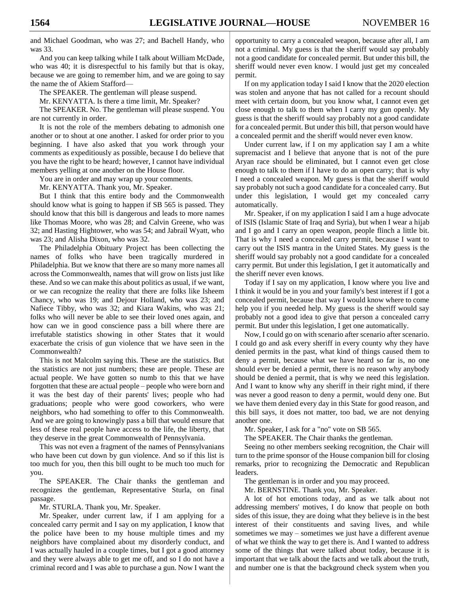and Michael Goodman, who was 27; and Bachell Handy, who was 33.

And you can keep talking while I talk about William McDade, who was 40; it is disrespectful to his family but that is okay, because we are going to remember him, and we are going to say the name the of Akiem Stafford—

The SPEAKER. The gentleman will please suspend.

Mr. KENYATTA. Is there a time limit, Mr. Speaker?

The SPEAKER. No. The gentleman will please suspend. You are not currently in order.

It is not the role of the members debating to admonish one another or to shout at one another. I asked for order prior to you beginning. I have also asked that you work through your comments as expeditiously as possible, because I do believe that you have the right to be heard; however, I cannot have individual members yelling at one another on the House floor.

You are in order and may wrap up your comments.

Mr. KENYATTA. Thank you, Mr. Speaker.

But I think that this entire body and the Commonwealth should know what is going to happen if SB 565 is passed. They should know that this bill is dangerous and leads to more names like Thomas Moore, who was 28; and Calvin Greene, who was 32; and Hasting Hightower, who was 54; and Jabrail Wyatt, who was 23; and Alisha Dixon, who was 32.

The Philadelphia Obituary Project has been collecting the names of folks who have been tragically murdered in Philadelphia. But we know that there are so many more names all across the Commonwealth, names that will grow on lists just like these. And so we can make this about politics as usual, if we want, or we can recognize the reality that there are folks like Isheem Chancy, who was 19; and Dejour Holland, who was 23; and Nafiece Tibby, who was 32; and Kiara Wakins, who was 21; folks who will never be able to see their loved ones again, and how can we in good conscience pass a bill where there are irrefutable statistics showing in other States that it would exacerbate the crisis of gun violence that we have seen in the Commonwealth?

This is not Malcolm saying this. These are the statistics. But the statistics are not just numbers; these are people. These are actual people. We have gotten so numb to this that we have forgotten that these are actual people – people who were born and it was the best day of their parents' lives; people who had graduations; people who were good coworkers, who were neighbors, who had something to offer to this Commonwealth. And we are going to knowingly pass a bill that would ensure that less of these real people have access to the life, the liberty, that they deserve in the great Commonwealth of Pennsylvania.

This was not even a fragment of the names of Pennsylvanians who have been cut down by gun violence. And so if this list is too much for you, then this bill ought to be much too much for you.

The SPEAKER. The Chair thanks the gentleman and recognizes the gentleman, Representative Sturla, on final passage.

Mr. STURLA. Thank you, Mr. Speaker.

Mr. Speaker, under current law, if I am applying for a concealed carry permit and I say on my application, I know that the police have been to my house multiple times and my neighbors have complained about my disorderly conduct, and I was actually hauled in a couple times, but I got a good attorney and they were always able to get me off, and so I do not have a criminal record and I was able to purchase a gun. Now I want the

opportunity to carry a concealed weapon, because after all, I am not a criminal. My guess is that the sheriff would say probably not a good candidate for concealed permit. But under this bill, the sheriff would never even know. I would just get my concealed permit.

If on my application today I said I know that the 2020 election was stolen and anyone that has not called for a recount should meet with certain doom, but you know what, I cannot even get close enough to talk to them when I carry my gun openly. My guess is that the sheriff would say probably not a good candidate for a concealed permit. But under this bill, that person would have a concealed permit and the sheriff would never even know.

Under current law, if I on my application say I am a white supremacist and I believe that anyone that is not of the pure Aryan race should be eliminated, but I cannot even get close enough to talk to them if I have to do an open carry; that is why I need a concealed weapon. My guess is that the sheriff would say probably not such a good candidate for a concealed carry. But under this legislation, I would get my concealed carry automatically.

Mr. Speaker, if on my application I said I am a huge advocate of ISIS (Islamic State of Iraq and Syria), but when I wear a hijab and I go and I carry an open weapon, people flinch a little bit. That is why I need a concealed carry permit, because I want to carry out the ISIS mantra in the United States. My guess is the sheriff would say probably not a good candidate for a concealed carry permit. But under this legislation, I get it automatically and the sheriff never even knows.

Today if I say on my application, I know where you live and I think it would be in you and your family's best interest if I got a concealed permit, because that way I would know where to come help you if you needed help. My guess is the sheriff would say probably not a good idea to give that person a concealed carry permit. But under this legislation, I get one automatically.

Now, I could go on with scenario after scenario after scenario. I could go and ask every sheriff in every county why they have denied permits in the past, what kind of things caused them to deny a permit, because what we have heard so far is, no one should ever be denied a permit, there is no reason why anybody should be denied a permit, that is why we need this legislation. And I want to know why any sheriff in their right mind, if there was never a good reason to deny a permit, would deny one. But we have them denied every day in this State for good reason, and this bill says, it does not matter, too bad, we are not denying another one.

Mr. Speaker, I ask for a "no" vote on SB 565.

The SPEAKER. The Chair thanks the gentleman.

Seeing no other members seeking recognition, the Chair will turn to the prime sponsor of the House companion bill for closing remarks, prior to recognizing the Democratic and Republican leaders.

The gentleman is in order and you may proceed.

Mr. BERNSTINE. Thank you, Mr. Speaker.

A lot of hot emotions today, and as we talk about not addressing members' motives, I do know that people on both sides of this issue, they are doing what they believe is in the best interest of their constituents and saving lives, and while sometimes we may – sometimes we just have a different avenue of what we think the way to get there is. And I wanted to address some of the things that were talked about today, because it is important that we talk about the facts and we talk about the truth, and number one is that the background check system when you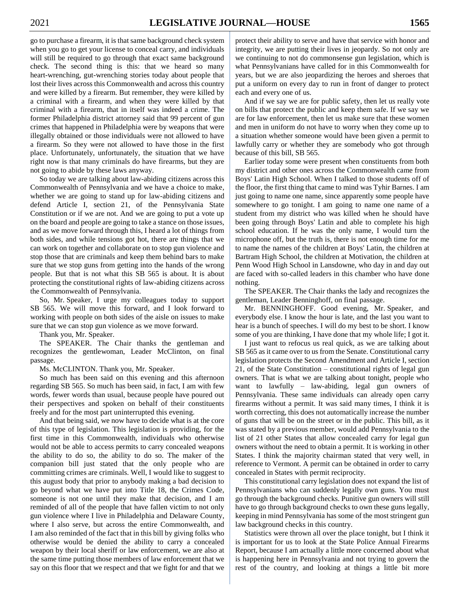go to purchase a firearm, it is that same background check system when you go to get your license to conceal carry, and individuals will still be required to go through that exact same background check. The second thing is this: that we heard so many heart-wrenching, gut-wrenching stories today about people that lost their lives across this Commonwealth and across this country and were killed by a firearm. But remember, they were killed by a criminal with a firearm, and when they were killed by that criminal with a firearm, that in itself was indeed a crime. The former Philadelphia district attorney said that 99 percent of gun crimes that happened in Philadelphia were by weapons that were illegally obtained or those individuals were not allowed to have a firearm. So they were not allowed to have those in the first place. Unfortunately, unfortunately, the situation that we have right now is that many criminals do have firearms, but they are not going to abide by these laws anyway.

So today we are talking about law-abiding citizens across this Commonwealth of Pennsylvania and we have a choice to make, whether we are going to stand up for law-abiding citizens and defend Article I, section 21, of the Pennsylvania State Constitution or if we are not. And we are going to put a vote up on the board and people are going to take a stance on those issues, and as we move forward through this, I heard a lot of things from both sides, and while tensions got hot, there are things that we can work on together and collaborate on to stop gun violence and stop those that are criminals and keep them behind bars to make sure that we stop guns from getting into the hands of the wrong people. But that is not what this SB 565 is about. It is about protecting the constitutional rights of law-abiding citizens across the Commonwealth of Pennsylvania.

So, Mr. Speaker, I urge my colleagues today to support SB 565. We will move this forward, and I look forward to working with people on both sides of the aisle on issues to make sure that we can stop gun violence as we move forward.

Thank you, Mr. Speaker.

The SPEAKER. The Chair thanks the gentleman and recognizes the gentlewoman, Leader McClinton, on final passage.

Ms. McCLINTON. Thank you, Mr. Speaker.

So much has been said on this evening and this afternoon regarding SB 565. So much has been said, in fact, I am with few words, fewer words than usual, because people have poured out their perspectives and spoken on behalf of their constituents freely and for the most part uninterrupted this evening.

And that being said, we now have to decide what is at the core of this type of legislation. This legislation is providing, for the first time in this Commonwealth, individuals who otherwise would not be able to access permits to carry concealed weapons the ability to do so, the ability to do so. The maker of the companion bill just stated that the only people who are committing crimes are criminals. Well, I would like to suggest to this august body that prior to anybody making a bad decision to go beyond what we have put into Title 18, the Crimes Code, someone is not one until they make that decision, and I am reminded of all of the people that have fallen victim to not only gun violence where I live in Philadelphia and Delaware County, where I also serve, but across the entire Commonwealth, and I am also reminded of the fact that in this bill by giving folks who otherwise would be denied the ability to carry a concealed weapon by their local sheriff or law enforcement, we are also at the same time putting those members of law enforcement that we say on this floor that we respect and that we fight for and that we

protect their ability to serve and have that service with honor and integrity, we are putting their lives in jeopardy. So not only are we continuing to not do commonsense gun legislation, which is what Pennsylvanians have called for in this Commonwealth for years, but we are also jeopardizing the heroes and sheroes that put a uniform on every day to run in front of danger to protect each and every one of us.

And if we say we are for public safety, then let us really vote on bills that protect the public and keep them safe. If we say we are for law enforcement, then let us make sure that these women and men in uniform do not have to worry when they come up to a situation whether someone would have been given a permit to lawfully carry or whether they are somebody who got through because of this bill, SB 565.

Earlier today some were present when constituents from both my district and other ones across the Commonwealth came from Boys' Latin High School. When I talked to those students off of the floor, the first thing that came to mind was Tyhir Barnes. I am just going to name one name, since apparently some people have somewhere to go tonight. I am going to name one name of a student from my district who was killed when he should have been going through Boys' Latin and able to complete his high school education. If he was the only name, I would turn the microphone off, but the truth is, there is not enough time for me to name the names of the children at Boys' Latin, the children at Bartram High School, the children at Motivation, the children at Penn Wood High School in Lansdowne, who day in and day out are faced with so-called leaders in this chamber who have done nothing.

The SPEAKER. The Chair thanks the lady and recognizes the gentleman, Leader Benninghoff, on final passage.

Mr. BENNINGHOFF. Good evening, Mr. Speaker, and everybody else. I know the hour is late, and the last you want to hear is a bunch of speeches. I will do my best to be short. I know some of you are thinking, I have done that my whole life; I got it.

I just want to refocus us real quick, as we are talking about SB 565 as it came over to us from the Senate. Constitutional carry legislation protects the Second Amendment and Article I, section 21, of the State Constitution – constitutional rights of legal gun owners. That is what we are talking about tonight, people who want to lawfully – law-abiding, legal gun owners of Pennsylvania. These same individuals can already open carry firearms without a permit. It was said many times, I think it is worth correcting, this does not automatically increase the number of guns that will be on the street or in the public. This bill, as it was stated by a previous member, would add Pennsylvania to the list of 21 other States that allow concealed carry for legal gun owners without the need to obtain a permit. It is working in other States. I think the majority chairman stated that very well, in reference to Vermont. A permit can be obtained in order to carry concealed in States with permit reciprocity.

This constitutional carry legislation does not expand the list of Pennsylvanians who can suddenly legally own guns. You must go through the background checks. Punitive gun owners will still have to go through background checks to own these guns legally, keeping in mind Pennsylvania has some of the most stringent gun law background checks in this country.

Statistics were thrown all over the place tonight, but I think it is important for us to look at the State Police Annual Firearms Report, because I am actually a little more concerned about what is happening here in Pennsylvania and not trying to govern the rest of the country, and looking at things a little bit more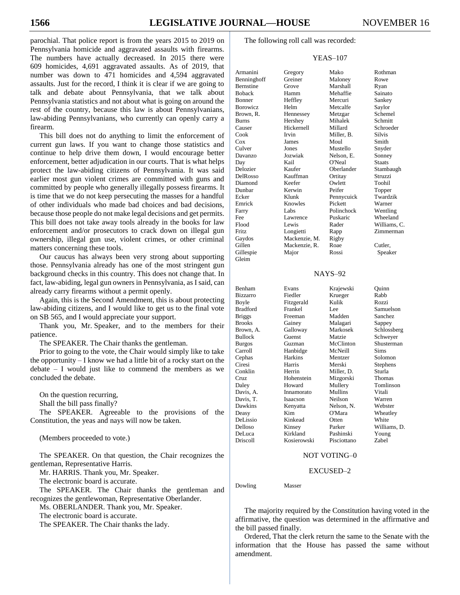parochial. That police report is from the years 2015 to 2019 on Pennsylvania homicide and aggravated assaults with firearms. The numbers have actually decreased. In 2015 there were 609 homicides, 4,691 aggravated assaults. As of 2019, that number was down to 471 homicides and 4,594 aggravated assaults. Just for the record, I think it is clear if we are going to talk and debate about Pennsylvania, that we talk about Pennsylvania statistics and not about what is going on around the rest of the country, because this law is about Pennsylvanians, law-abiding Pennsylvanians, who currently can openly carry a firearm.

This bill does not do anything to limit the enforcement of current gun laws. If you want to change those statistics and continue to help drive them down, I would encourage better enforcement, better adjudication in our courts. That is what helps protect the law-abiding citizens of Pennsylvania. It was said earlier most gun violent crimes are committed with guns and committed by people who generally illegally possess firearms. It is time that we do not keep persecuting the masses for a handful of other individuals who made bad choices and bad decisions, because those people do not make legal decisions and get permits. This bill does not take away tools already in the books for law enforcement and/or prosecutors to crack down on illegal gun ownership, illegal gun use, violent crimes, or other criminal matters concerning these tools.

Our caucus has always been very strong about supporting those. Pennsylvania already has one of the most stringent gun background checks in this country. This does not change that. In fact, law-abiding, legal gun owners in Pennsylvania, as I said, can already carry firearms without a permit openly.

Again, this is the Second Amendment, this is about protecting law-abiding citizens, and I would like to get us to the final vote on SB 565, and I would appreciate your support.

Thank you, Mr. Speaker, and to the members for their patience.

The SPEAKER. The Chair thanks the gentleman.

Prior to going to the vote, the Chair would simply like to take the opportunity – I know we had a little bit of a rocky start on the  $debate - I$  would just like to commend the members as we concluded the debate.

On the question recurring,

Shall the bill pass finally?

The SPEAKER. Agreeable to the provisions of the Constitution, the yeas and nays will now be taken.

(Members proceeded to vote.)

The SPEAKER. On that question, the Chair recognizes the gentleman, Representative Harris.

Mr. HARRIS. Thank you, Mr. Speaker.

The electronic board is accurate.

The SPEAKER. The Chair thanks the gentleman and recognizes the gentlewoman, Representative Oberlander.

Ms. OBERLANDER. Thank you, Mr. Speaker.

The electronic board is accurate.

The SPEAKER. The Chair thanks the lady.

The following roll call was recorded:

## YEAS–107

Armanini Gregory Mako Rothman Benninghoff Greiner Maloney Rowe Bernstine Grove Marshall Ryan Boback Hamm Mehaffie Sainato Bonner Heffley Mercuri Sankey Borowicz Helm Metcalfe Saylor Brown, R. Hennessey Metzgar Schemel Burns Hershey Mihalek Schmitt<br>Causer Hickernell Millard Schroeder Causer Hickernell Millard Cook Irvin Miller, B. Silvis Cox James Moul Smith Culver Jones Mustello Snyder Davanzo Jozwiak Nelson, E. Sonney Day Kail O'Neal Staats Delozier Kaufer Oberlander Stambaugh DelRosso Kauffman Ortitay Struzzi Diamond Keefer Owlett Toohil Dunbar Kerwin Peifer Topper Ecker Klunk Pennycuick Twardzik Emrick Knowles Pickett Warner Farry Labs Polinchock Wentling Fee Lawrence Puskaric Wheeland Flood Lewis Rader Williams, C. Fritz Longietti Rapp Zimmerman Gaydos Mackenzie, M. Rigby Gillen Mackenzie, R. Roae Cutler, Gillespie Major Rossi Speaker Gleim NAYS–92 Benham E Bizzarro Fi Boyle Fitzgerald Kulik Rozzi Bradford Fr Briggs Free Brooks G Carroll Hanbidge McNeill Sims Cephas H

| Benham          | Evans       | Krajewski   | Ouinn          |
|-----------------|-------------|-------------|----------------|
| Bizzarro        | Fiedler     | Krueger     | Rabb           |
| Boyle           | Fitzgerald  | Kulik       | Rozzi          |
| <b>Bradford</b> | Frankel     | Lee         | Samuelson      |
| <b>Briggs</b>   | Freeman     | Madden      | <b>Sanchez</b> |
| <b>Brooks</b>   | Gainey      | Malagari    | Sappey         |
| Brown, A.       | Galloway    | Markosek    | Schlossberg    |
| <b>Bullock</b>  | Guenst      | Matzie      | Schweyer       |
| <b>Burgos</b>   | Guzman      | McClinton   | Shusterman     |
| Carroll         | Hanbidge    | McNeill     | Sims           |
| Cephas          | Harkins     | Mentzer     | Solomon        |
| Ciresi          | Harris      | Merski      | Stephens       |
| Conklin         | Herrin      | Miller, D.  | Sturla         |
| Cruz            | Hohenstein  | Mizgorski   | Thomas         |
| Daley           | Howard      | Mullery     | Tomlinson      |
| Davis, A.       | Innamorato  | Mullins     | Vitali         |
| Davis, T.       | Isaacson    | Neilson     | Warren         |
| Dawkins         | Kenyatta    | Nelson, N.  | Webster        |
| Deasy           | Kim         | O'Mara      | Wheatley       |
| DeLissio        | Kinkead     | Otten       | White          |
| Delloso         | Kinsey      | Parker      | Williams, D.   |
| DeLuca          | Kirkland    | Pashinski   | Young          |
| Driscoll        | Kosierowski | Pisciottano | Zabel          |
|                 |             |             |                |

#### NOT VOTING–0

#### EXCUSED–2

Dowling Masser

The majority required by the Constitution having voted in the affirmative, the question was determined in the affirmative and the bill passed finally.

Ordered, That the clerk return the same to the Senate with the information that the House has passed the same without amendment.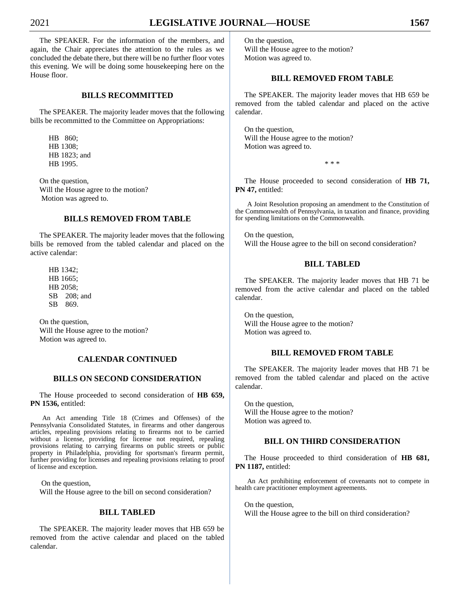The SPEAKER. For the information of the members, and again, the Chair appreciates the attention to the rules as we concluded the debate there, but there will be no further floor votes this evening. We will be doing some housekeeping here on the House floor.

# **BILLS RECOMMITTED**

The SPEAKER. The majority leader moves that the following bills be recommitted to the Committee on Appropriations:

HB 860; HB 1308; HB 1823; and HB 1995.

On the question, Will the House agree to the motion? Motion was agreed to.

# **BILLS REMOVED FROM TABLE**

The SPEAKER. The majority leader moves that the following bills be removed from the tabled calendar and placed on the active calendar:

HB 1342; HB 1665; HB 2058; SB 208; and SB 869.

On the question, Will the House agree to the motion? Motion was agreed to.

# **CALENDAR CONTINUED**

## **BILLS ON SECOND CONSIDERATION**

The House proceeded to second consideration of **HB 659, PN 1536,** entitled:

An Act amending Title 18 (Crimes and Offenses) of the Pennsylvania Consolidated Statutes, in firearms and other dangerous articles, repealing provisions relating to firearms not to be carried without a license, providing for license not required, repealing provisions relating to carrying firearms on public streets or public property in Philadelphia, providing for sportsman's firearm permit, further providing for licenses and repealing provisions relating to proof of license and exception.

On the question,

Will the House agree to the bill on second consideration?

# **BILL TABLED**

The SPEAKER. The majority leader moves that HB 659 be removed from the active calendar and placed on the tabled calendar.

On the question, Will the House agree to the motion? Motion was agreed to.

# **BILL REMOVED FROM TABLE**

The SPEAKER. The majority leader moves that HB 659 be removed from the tabled calendar and placed on the active calendar.

On the question, Will the House agree to the motion? Motion was agreed to.

\* \* \*

The House proceeded to second consideration of **HB 71, PN 47,** entitled:

A Joint Resolution proposing an amendment to the Constitution of the Commonwealth of Pennsylvania, in taxation and finance, providing for spending limitations on the Commonwealth.

On the question, Will the House agree to the bill on second consideration?

#### **BILL TABLED**

The SPEAKER. The majority leader moves that HB 71 be removed from the active calendar and placed on the tabled calendar.

On the question, Will the House agree to the motion? Motion was agreed to.

# **BILL REMOVED FROM TABLE**

The SPEAKER. The majority leader moves that HB 71 be removed from the tabled calendar and placed on the active calendar.

On the question, Will the House agree to the motion? Motion was agreed to.

## **BILL ON THIRD CONSIDERATION**

The House proceeded to third consideration of **HB 681, PN 1187,** entitled:

An Act prohibiting enforcement of covenants not to compete in health care practitioner employment agreements.

On the question, Will the House agree to the bill on third consideration?